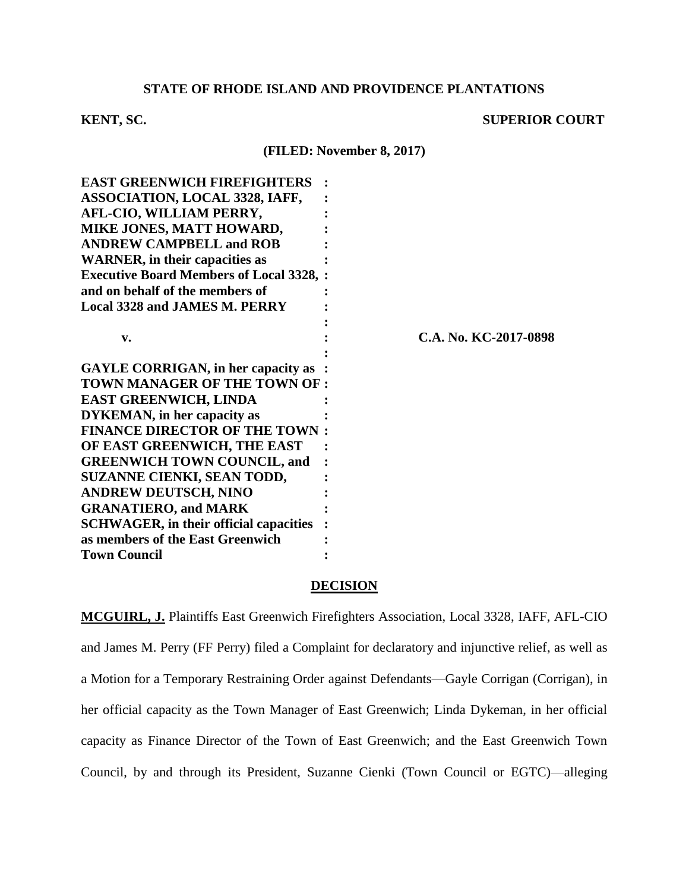# **STATE OF RHODE ISLAND AND PROVIDENCE PLANTATIONS**

# **KENT, SC.** SUPERIOR COURT

**(FILED: November 8, 2017)**

| <b>EAST GREENWICH FIREFIGHTERS</b>              |                       |
|-------------------------------------------------|-----------------------|
| ASSOCIATION, LOCAL 3328, IAFF,                  |                       |
| AFL-CIO, WILLIAM PERRY,                         |                       |
| MIKE JONES, MATT HOWARD,                        |                       |
| <b>ANDREW CAMPBELL and ROB</b>                  |                       |
| <b>WARNER</b> , in their capacities as          |                       |
| <b>Executive Board Members of Local 3328, :</b> |                       |
| and on behalf of the members of                 |                       |
| <b>Local 3328 and JAMES M. PERRY</b>            |                       |
|                                                 |                       |
| v.                                              | C.A. No. KC-2017-0898 |
|                                                 |                       |
| <b>GAYLE CORRIGAN, in her capacity as</b>       |                       |
| TOWN MANAGER OF THE TOWN OF :                   |                       |
| <b>EAST GREENWICH, LINDA</b>                    |                       |
| <b>DYKEMAN</b> , in her capacity as             |                       |
| <b>FINANCE DIRECTOR OF THE TOWN</b>             |                       |
| OF EAST GREENWICH, THE EAST                     |                       |
| <b>GREENWICH TOWN COUNCIL, and</b>              |                       |
| SUZANNE CIENKI, SEAN TODD,                      |                       |
| <b>ANDREW DEUTSCH, NINO</b>                     |                       |
| <b>GRANATIERO, and MARK</b>                     |                       |
| <b>SCHWAGER, in their official capacities</b>   |                       |
| as members of the East Greenwich                |                       |
| <b>Town Council</b>                             |                       |
|                                                 |                       |

## **DECISION**

**MCGUIRL, J.** Plaintiffs East Greenwich Firefighters Association, Local 3328, IAFF, AFL-CIO and James M. Perry (FF Perry) filed a Complaint for declaratory and injunctive relief, as well as a Motion for a Temporary Restraining Order against Defendants—Gayle Corrigan (Corrigan), in her official capacity as the Town Manager of East Greenwich; Linda Dykeman, in her official capacity as Finance Director of the Town of East Greenwich; and the East Greenwich Town Council, by and through its President, Suzanne Cienki (Town Council or EGTC)—alleging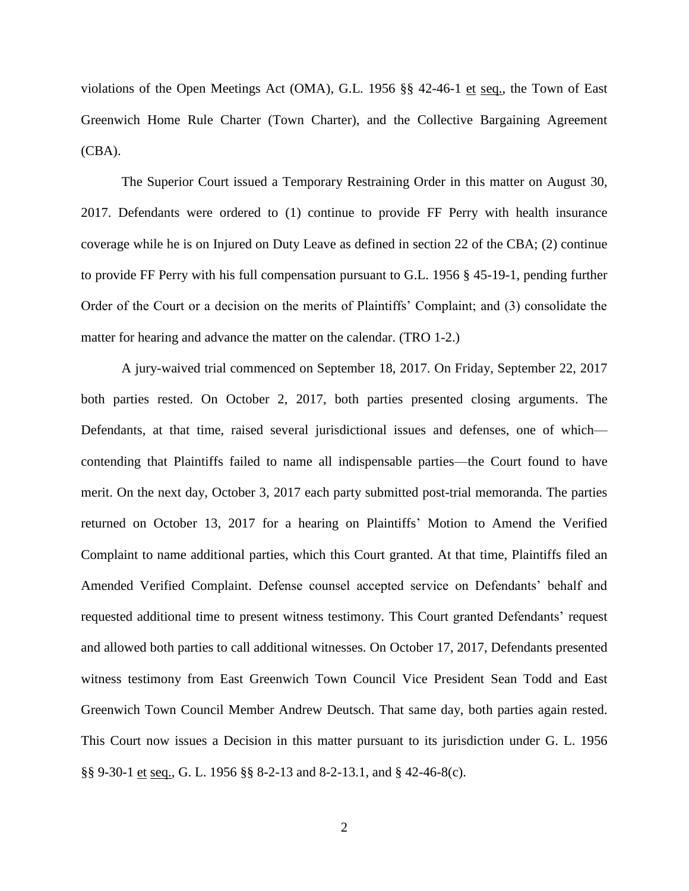violations of the Open Meetings Act (OMA), G.L. 1956 §§ 42-46-1 et seq., the Town of East Greenwich Home Rule Charter (Town Charter), and the Collective Bargaining Agreement (CBA).

The Superior Court issued a Temporary Restraining Order in this matter on August 30, 2017. Defendants were ordered to (1) continue to provide FF Perry with health insurance coverage while he is on Injured on Duty Leave as defined in section 22 of the CBA; (2) continue to provide FF Perry with his full compensation pursuant to G.L. 1956 § 45-19-1, pending further Order of the Court or a decision on the merits of Plaintiffs' Complaint; and (3) consolidate the matter for hearing and advance the matter on the calendar. (TRO 1-2.)

A jury-waived trial commenced on September 18, 2017. On Friday, September 22, 2017 both parties rested. On October 2, 2017, both parties presented closing arguments. The Defendants, at that time, raised several jurisdictional issues and defenses, one of which contending that Plaintiffs failed to name all indispensable parties—the Court found to have merit. On the next day, October 3, 2017 each party submitted post-trial memoranda. The parties returned on October 13, 2017 for a hearing on Plaintiffs' Motion to Amend the Verified Complaint to name additional parties, which this Court granted. At that time, Plaintiffs filed an Amended Verified Complaint. Defense counsel accepted service on Defendants' behalf and requested additional time to present witness testimony. This Court granted Defendants' request and allowed both parties to call additional witnesses. On October 17, 2017, Defendants presented witness testimony from East Greenwich Town Council Vice President Sean Todd and East Greenwich Town Council Member Andrew Deutsch. That same day, both parties again rested. This Court now issues a Decision in this matter pursuant to its jurisdiction under G. L. 1956 §§ 9-30-1 et seq., G. L. 1956 §§ 8-2-13 and 8-2-13.1, and § 42-46-8(c).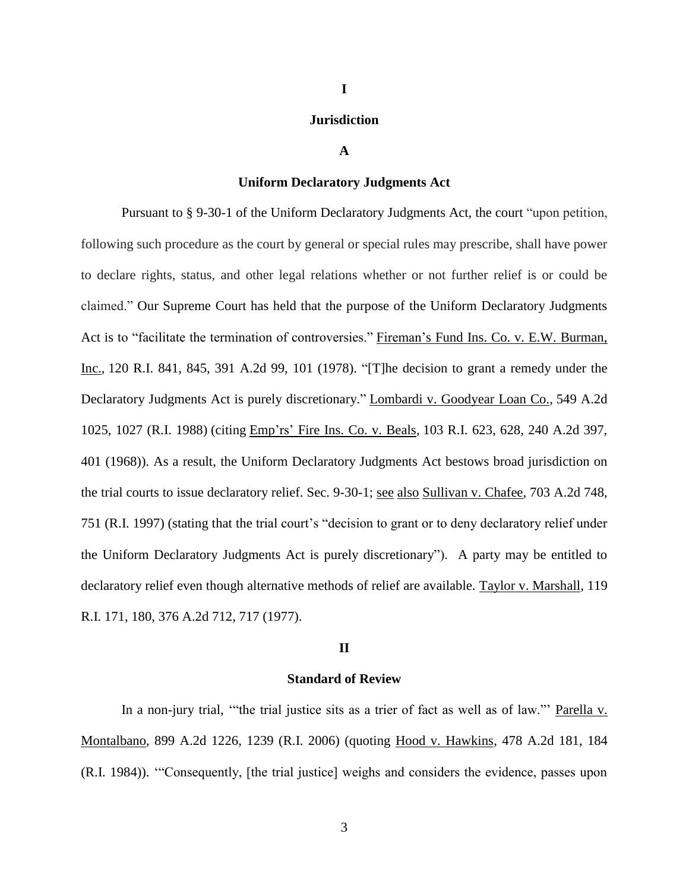## **Jurisdiction**

**I**

## **A**

## **Uniform Declaratory Judgments Act**

Pursuant to § 9-30-1 of the Uniform Declaratory Judgments Act, the court "upon petition, following such procedure as the court by general or special rules may prescribe, shall have power to declare rights, status, and other legal relations whether or not further relief is or could be claimed." Our Supreme Court has held that the purpose of the Uniform Declaratory Judgments Act is to "facilitate the termination of controversies." Fireman's Fund Ins. Co. v. E.W. Burman, Inc., 120 R.I. 841, 845, 391 A.2d 99, 101 (1978). "[T]he decision to grant a remedy under the Declaratory Judgments Act is purely discretionary." Lombardi v. Goodyear Loan Co.*,* 549 A.2d 1025, 1027 (R.I. 1988) (citing Emp'rs' Fire Ins. Co. v. Beals*,* 103 R.I. 623, 628, 240 A.2d 397, 401 (1968)). As a result, the Uniform Declaratory Judgments Act bestows broad jurisdiction on the trial courts to issue declaratory relief. Sec. 9-30-1; see also Sullivan v. Chafee, 703 A.2d 748, 751 (R.I. 1997) (stating that the trial court's "decision to grant or to deny declaratory relief under the Uniform Declaratory Judgments Act is purely discretionary"). A party may be entitled to declaratory relief even though alternative methods of relief are available. Taylor v. Marshall*,* 119 R.I. 171, 180, 376 A.2d 712, 717 (1977).

## **II**

## **Standard of Review**

In a non-jury trial, "the trial justice sits as a trier of fact as well as of law." Parella v. Montalbano, 899 A.2d 1226, 1239 (R.I. 2006) (quoting Hood v. Hawkins, 478 A.2d 181, 184 (R.I. 1984)). '"Consequently, [the trial justice] weighs and considers the evidence, passes upon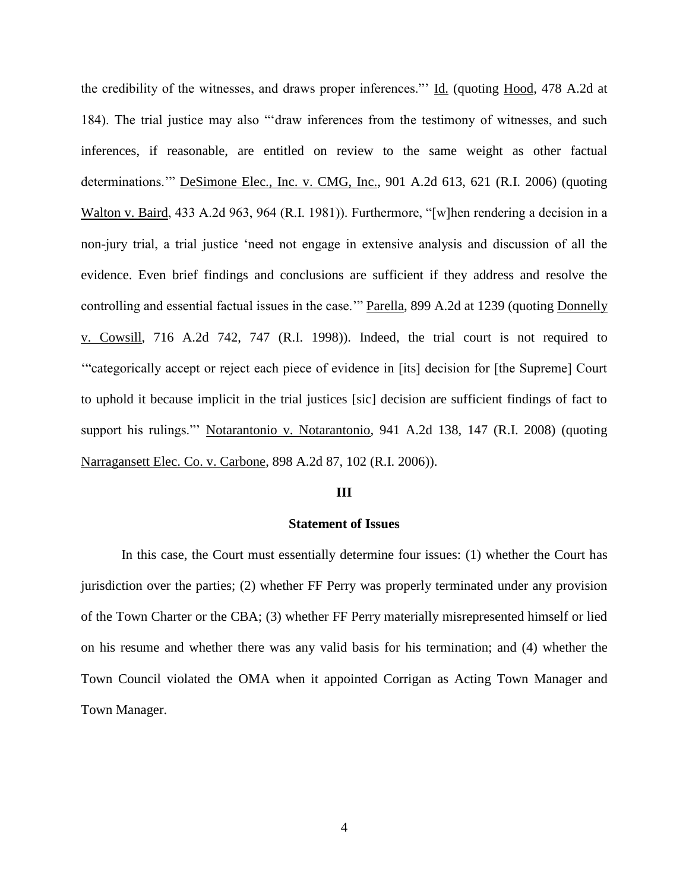the credibility of the witnesses, and draws proper inferences."' Id. (quoting Hood, 478 A.2d at 184). The trial justice may also "'draw inferences from the testimony of witnesses, and such inferences, if reasonable, are entitled on review to the same weight as other factual determinations.'" DeSimone Elec., Inc. v. CMG, Inc., 901 A.2d 613, 621 (R.I. 2006) (quoting Walton v. Baird, 433 A.2d 963, 964 (R.I. 1981)). Furthermore, "[w]hen rendering a decision in a non-jury trial, a trial justice 'need not engage in extensive analysis and discussion of all the evidence. Even brief findings and conclusions are sufficient if they address and resolve the controlling and essential factual issues in the case.'" Parella, 899 A.2d at 1239 (quoting Donnelly v. Cowsill, 716 A.2d 742, 747 (R.I. 1998)). Indeed, the trial court is not required to '"categorically accept or reject each piece of evidence in [its] decision for [the Supreme] Court to uphold it because implicit in the trial justices [sic] decision are sufficient findings of fact to support his rulings."' Notarantonio v. Notarantonio, 941 A.2d 138, 147 (R.I. 2008) (quoting Narragansett Elec. Co. v. Carbone, 898 A.2d 87, 102 (R.I. 2006)).

## **III**

## **Statement of Issues**

In this case, the Court must essentially determine four issues: (1) whether the Court has jurisdiction over the parties; (2) whether FF Perry was properly terminated under any provision of the Town Charter or the CBA; (3) whether FF Perry materially misrepresented himself or lied on his resume and whether there was any valid basis for his termination; and (4) whether the Town Council violated the OMA when it appointed Corrigan as Acting Town Manager and Town Manager.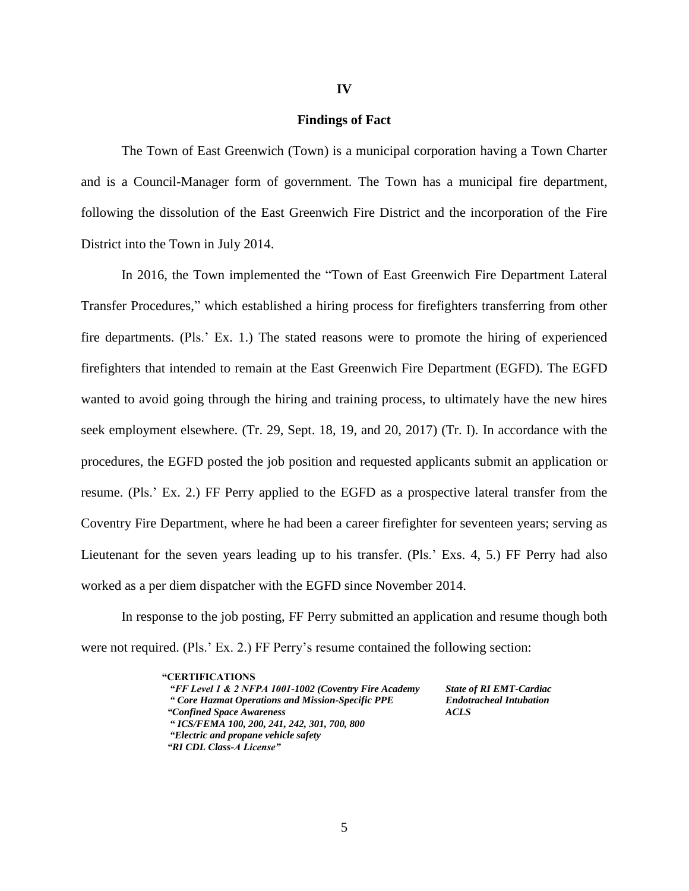## **Findings of Fact**

The Town of East Greenwich (Town) is a municipal corporation having a Town Charter and is a Council-Manager form of government. The Town has a municipal fire department, following the dissolution of the East Greenwich Fire District and the incorporation of the Fire District into the Town in July 2014.

In 2016, the Town implemented the "Town of East Greenwich Fire Department Lateral Transfer Procedures," which established a hiring process for firefighters transferring from other fire departments. (Pls.' Ex. 1.) The stated reasons were to promote the hiring of experienced firefighters that intended to remain at the East Greenwich Fire Department (EGFD). The EGFD wanted to avoid going through the hiring and training process, to ultimately have the new hires seek employment elsewhere. (Tr. 29, Sept. 18, 19, and 20, 2017) (Tr. I). In accordance with the procedures, the EGFD posted the job position and requested applicants submit an application or resume. (Pls.' Ex. 2.) FF Perry applied to the EGFD as a prospective lateral transfer from the Coventry Fire Department, where he had been a career firefighter for seventeen years; serving as Lieutenant for the seven years leading up to his transfer. (Pls.' Exs. 4, 5.) FF Perry had also worked as a per diem dispatcher with the EGFD since November 2014.

In response to the job posting, FF Perry submitted an application and resume though both were not required. (Pls.' Ex. 2.) FF Perry's resume contained the following section:

> **"CERTIFICATIONS**  *"FF Level 1 & 2 NFPA 1001-1002 (Coventry Fire Academy State of RI EMT-Cardiac " Core Hazmat Operations and Mission-Specific PPE Endotracheal Intubation "Confined Space Awareness ACLS " ICS/FEMA 100, 200, 241, 242, 301, 700, 800 "Electric and propane vehicle safety "RI CDL Class-A License"*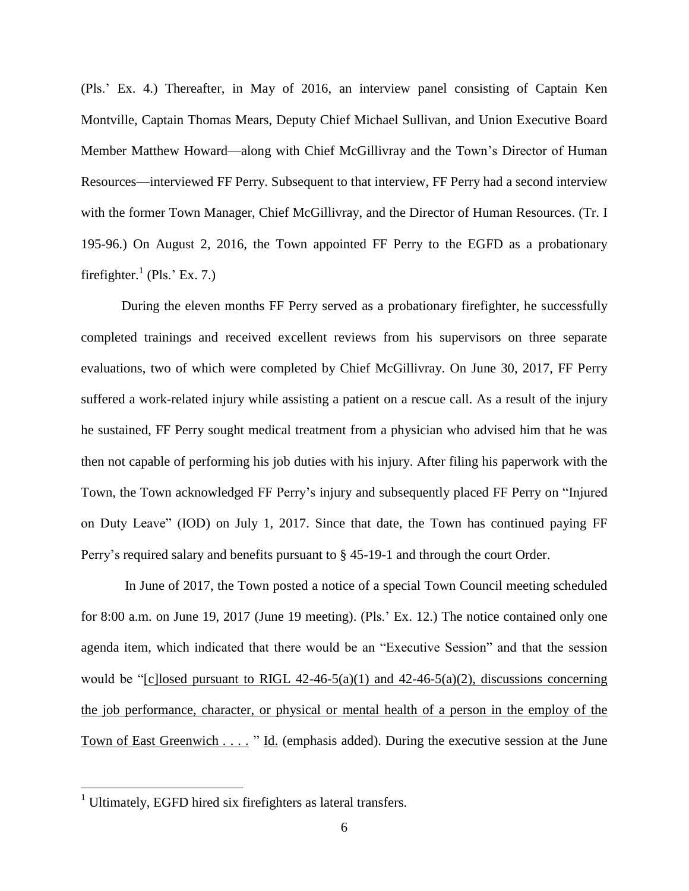(Pls.' Ex. 4.) Thereafter, in May of 2016, an interview panel consisting of Captain Ken Montville, Captain Thomas Mears, Deputy Chief Michael Sullivan, and Union Executive Board Member Matthew Howard—along with Chief McGillivray and the Town's Director of Human Resources—interviewed FF Perry. Subsequent to that interview, FF Perry had a second interview with the former Town Manager, Chief McGillivray, and the Director of Human Resources. (Tr. I 195-96.) On August 2, 2016, the Town appointed FF Perry to the EGFD as a probationary firefighter. $^{1}$  (Pls.' Ex. 7.)

During the eleven months FF Perry served as a probationary firefighter, he successfully completed trainings and received excellent reviews from his supervisors on three separate evaluations, two of which were completed by Chief McGillivray. On June 30, 2017, FF Perry suffered a work-related injury while assisting a patient on a rescue call. As a result of the injury he sustained, FF Perry sought medical treatment from a physician who advised him that he was then not capable of performing his job duties with his injury. After filing his paperwork with the Town, the Town acknowledged FF Perry's injury and subsequently placed FF Perry on "Injured on Duty Leave" (IOD) on July 1, 2017. Since that date, the Town has continued paying FF Perry's required salary and benefits pursuant to § 45-19-1 and through the court Order.

In June of 2017, the Town posted a notice of a special Town Council meeting scheduled for 8:00 a.m. on June 19, 2017 (June 19 meeting). (Pls.' Ex. 12.) The notice contained only one agenda item, which indicated that there would be an "Executive Session" and that the session would be "[c]losed pursuant to RIGL  $42-46-5(a)(1)$  and  $42-46-5(a)(2)$ , discussions concerning the job performance, character, or physical or mental health of a person in the employ of the Town of East Greenwich *. . . .* " Id. (emphasis added). During the executive session at the June

 $\overline{a}$ 

<sup>&</sup>lt;sup>1</sup> Ultimately, EGFD hired six firefighters as lateral transfers.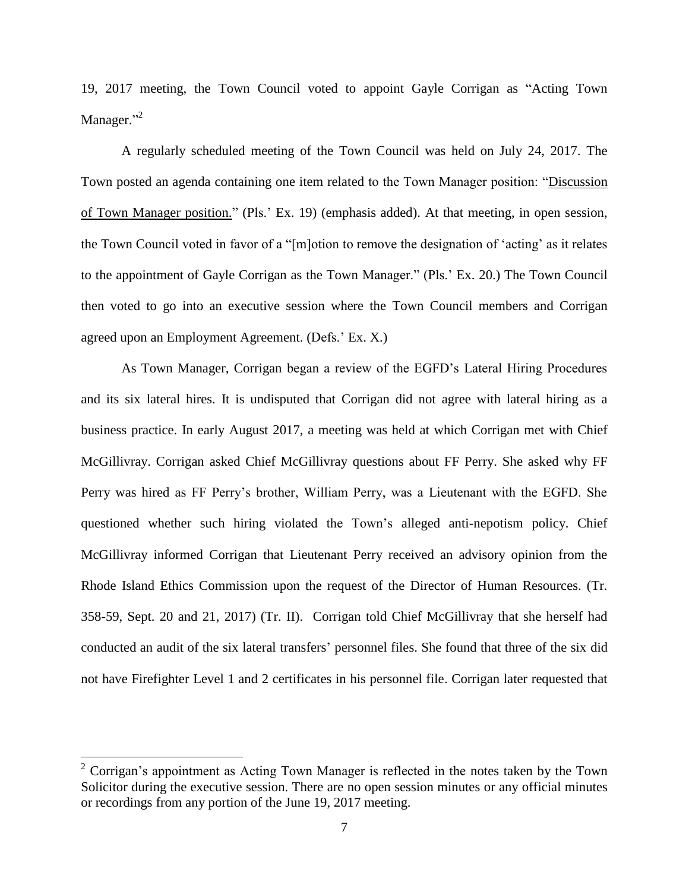19, 2017 meeting, the Town Council voted to appoint Gayle Corrigan as "Acting Town Manager."<sup>2</sup>

A regularly scheduled meeting of the Town Council was held on July 24, 2017. The Town posted an agenda containing one item related to the Town Manager position: "Discussion of Town Manager position." (Pls.' Ex. 19) (emphasis added). At that meeting, in open session, the Town Council voted in favor of a "[m]otion to remove the designation of 'acting' as it relates to the appointment of Gayle Corrigan as the Town Manager." (Pls.' Ex. 20.) The Town Council then voted to go into an executive session where the Town Council members and Corrigan agreed upon an Employment Agreement. (Defs.' Ex. X.)

As Town Manager, Corrigan began a review of the EGFD's Lateral Hiring Procedures and its six lateral hires. It is undisputed that Corrigan did not agree with lateral hiring as a business practice. In early August 2017, a meeting was held at which Corrigan met with Chief McGillivray. Corrigan asked Chief McGillivray questions about FF Perry. She asked why FF Perry was hired as FF Perry's brother, William Perry, was a Lieutenant with the EGFD. She questioned whether such hiring violated the Town's alleged anti-nepotism policy. Chief McGillivray informed Corrigan that Lieutenant Perry received an advisory opinion from the Rhode Island Ethics Commission upon the request of the Director of Human Resources. (Tr. 358-59, Sept. 20 and 21, 2017) (Tr. II). Corrigan told Chief McGillivray that she herself had conducted an audit of the six lateral transfers' personnel files. She found that three of the six did not have Firefighter Level 1 and 2 certificates in his personnel file. Corrigan later requested that

 $\overline{a}$ 

 $2$  Corrigan's appointment as Acting Town Manager is reflected in the notes taken by the Town Solicitor during the executive session. There are no open session minutes or any official minutes or recordings from any portion of the June 19, 2017 meeting.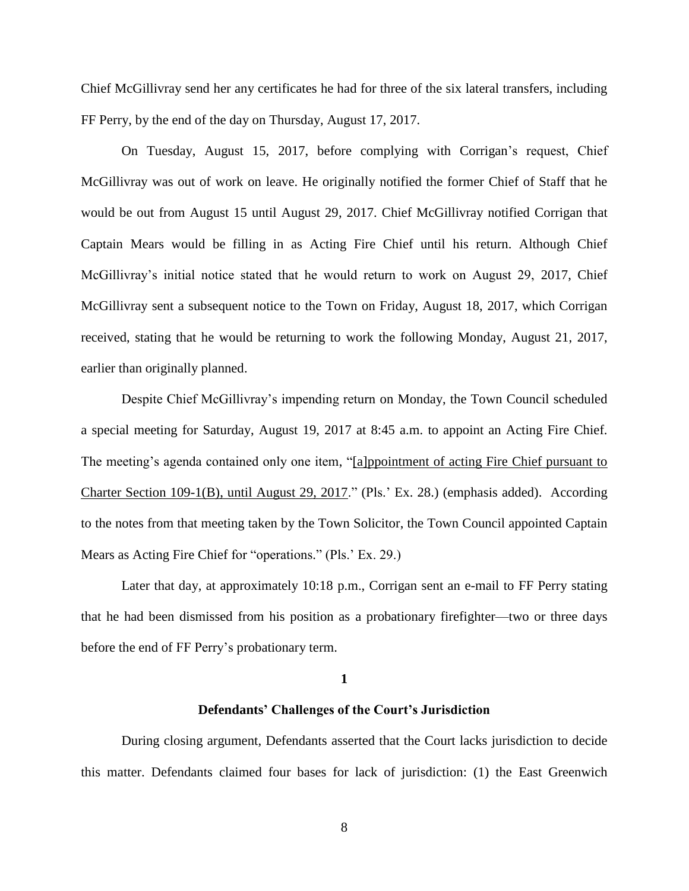Chief McGillivray send her any certificates he had for three of the six lateral transfers, including FF Perry, by the end of the day on Thursday, August 17, 2017.

On Tuesday, August 15, 2017, before complying with Corrigan's request, Chief McGillivray was out of work on leave. He originally notified the former Chief of Staff that he would be out from August 15 until August 29, 2017. Chief McGillivray notified Corrigan that Captain Mears would be filling in as Acting Fire Chief until his return. Although Chief McGillivray's initial notice stated that he would return to work on August 29, 2017, Chief McGillivray sent a subsequent notice to the Town on Friday, August 18, 2017, which Corrigan received, stating that he would be returning to work the following Monday, August 21, 2017, earlier than originally planned.

Despite Chief McGillivray's impending return on Monday, the Town Council scheduled a special meeting for Saturday, August 19, 2017 at 8:45 a.m. to appoint an Acting Fire Chief. The meeting's agenda contained only one item, "[a]ppointment of acting Fire Chief pursuant to Charter Section 109-1(B), until August 29, 2017." (Pls.' Ex. 28.) (emphasis added). According to the notes from that meeting taken by the Town Solicitor, the Town Council appointed Captain Mears as Acting Fire Chief for "operations." (Pls.' Ex. 29.)

Later that day, at approximately 10:18 p.m., Corrigan sent an e-mail to FF Perry stating that he had been dismissed from his position as a probationary firefighter—two or three days before the end of FF Perry's probationary term.

#### **1**

# **Defendants' Challenges of the Court's Jurisdiction**

During closing argument, Defendants asserted that the Court lacks jurisdiction to decide this matter. Defendants claimed four bases for lack of jurisdiction: (1) the East Greenwich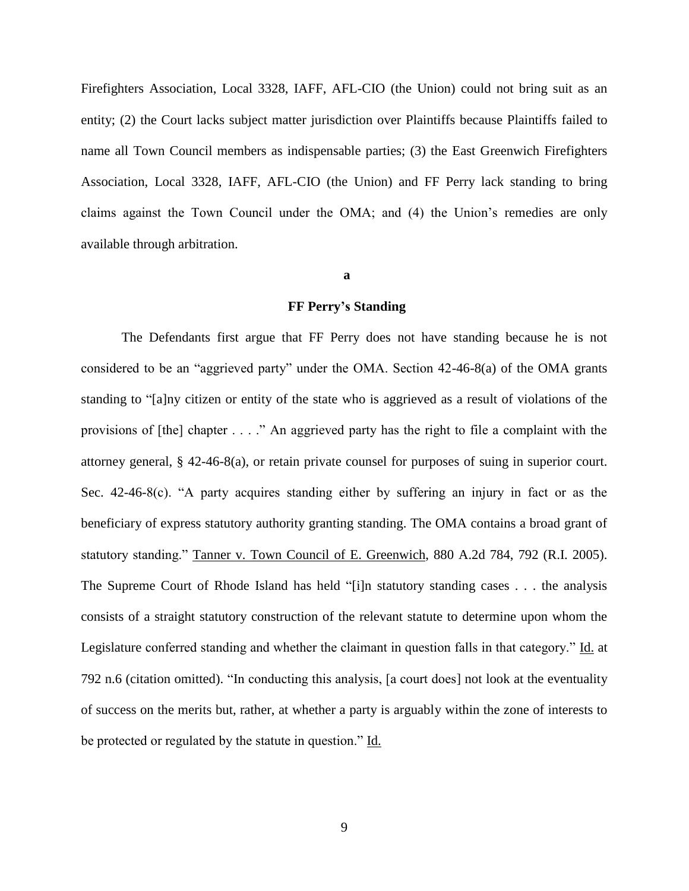Firefighters Association, Local 3328, IAFF, AFL-CIO (the Union) could not bring suit as an entity; (2) the Court lacks subject matter jurisdiction over Plaintiffs because Plaintiffs failed to name all Town Council members as indispensable parties; (3) the East Greenwich Firefighters Association, Local 3328, IAFF, AFL-CIO (the Union) and FF Perry lack standing to bring claims against the Town Council under the OMA; and (4) the Union's remedies are only available through arbitration.

#### **a**

## **FF Perry's Standing**

The Defendants first argue that FF Perry does not have standing because he is not considered to be an "aggrieved party" under the OMA. Section 42-46-8(a) of the OMA grants standing to "[a]ny citizen or entity of the state who is aggrieved as a result of violations of the provisions of [the] chapter . . . ." An aggrieved party has the right to file a complaint with the attorney general, § 42-46-8(a), or retain private counsel for purposes of suing in superior court. Sec. 42-46-8(c). "A party acquires standing either by suffering an injury in fact or as the beneficiary of express statutory authority granting standing. The OMA contains a broad grant of statutory standing." Tanner v. Town Council of E. Greenwich, 880 A.2d 784, 792 (R.I. 2005). The Supreme Court of Rhode Island has held "[i]n statutory standing cases . . . the analysis consists of a straight statutory construction of the relevant statute to determine upon whom the Legislature conferred standing and whether the claimant in question falls in that category." Id. at 792 n.6 (citation omitted). "In conducting this analysis, [a court does] not look at the eventuality of success on the merits but, rather, at whether a party is arguably within the zone of interests to be protected or regulated by the statute in question." Id.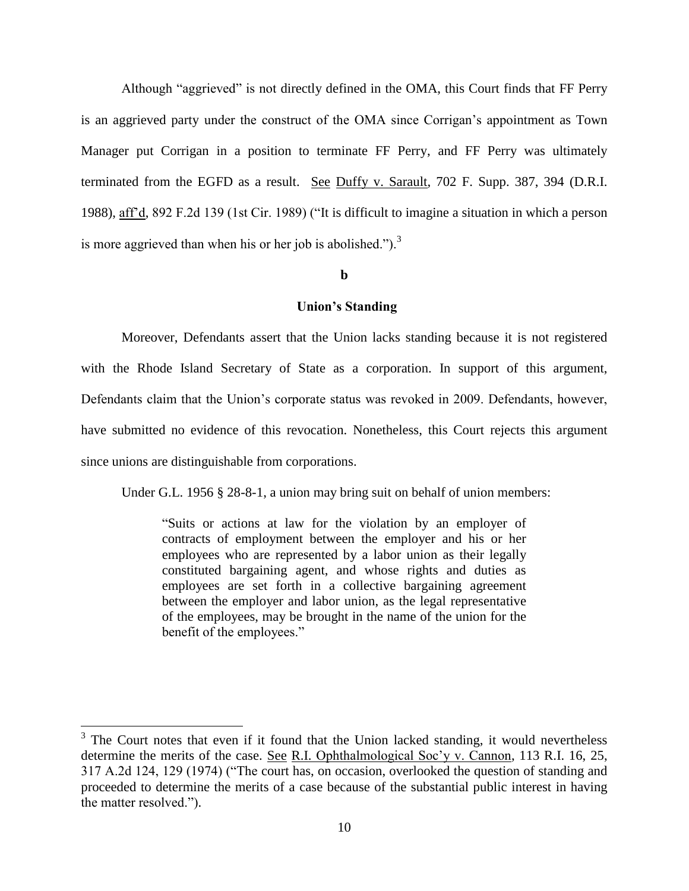Although "aggrieved" is not directly defined in the OMA, this Court finds that FF Perry is an aggrieved party under the construct of the OMA since Corrigan's appointment as Town Manager put Corrigan in a position to terminate FF Perry, and FF Perry was ultimately terminated from the EGFD as a result. See Duffy v. Sarault, 702 F. Supp. 387, 394 (D.R.I. 1988), aff'd, 892 F.2d 139 (1st Cir. 1989) ("It is difficult to imagine a situation in which a person is more aggrieved than when his or her job is abolished.").<sup>3</sup>

## **b**

## **Union's Standing**

Moreover, Defendants assert that the Union lacks standing because it is not registered with the Rhode Island Secretary of State as a corporation. In support of this argument, Defendants claim that the Union's corporate status was revoked in 2009. Defendants, however, have submitted no evidence of this revocation. Nonetheless, this Court rejects this argument since unions are distinguishable from corporations.

Under G.L. 1956 § 28-8-1, a union may bring suit on behalf of union members:

"Suits or actions at law for the violation by an employer of contracts of employment between the employer and his or her employees who are represented by a labor union as their legally constituted bargaining agent, and whose rights and duties as employees are set forth in a collective bargaining agreement between the employer and labor union, as the legal representative of the employees, may be brought in the name of the union for the benefit of the employees."

 $\overline{a}$ 

 $3$  The Court notes that even if it found that the Union lacked standing, it would nevertheless determine the merits of the case. See R.I. Ophthalmological Soc'y v. Cannon, 113 R.I. 16, 25, 317 A.2d 124, 129 (1974) ("The court has, on occasion, overlooked the question of standing and proceeded to determine the merits of a case because of the substantial public interest in having the matter resolved.").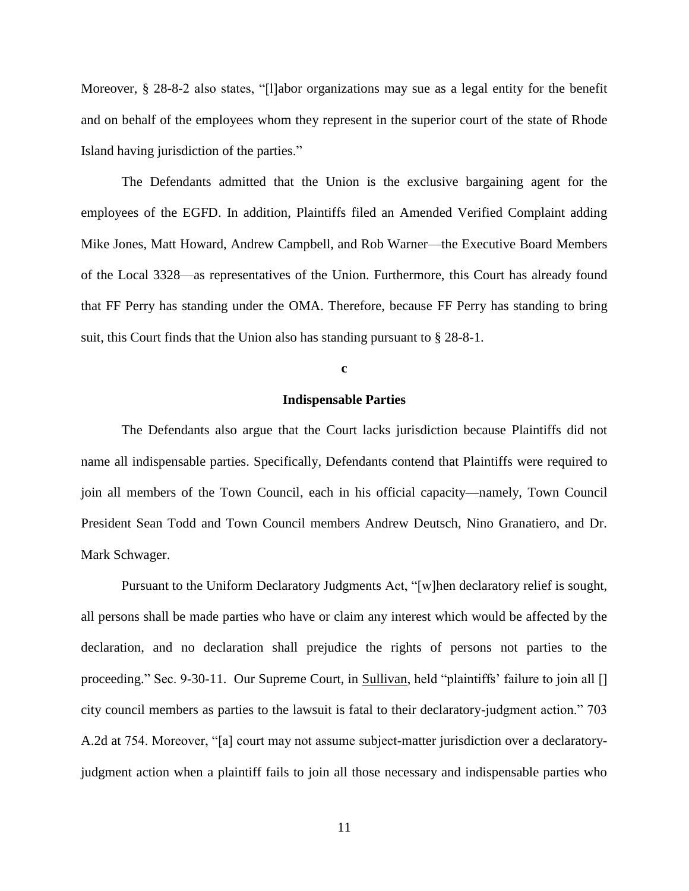Moreover, § 28-8-2 also states, "[l]abor organizations may sue as a legal entity for the benefit and on behalf of the employees whom they represent in the superior court of the state of Rhode Island having jurisdiction of the parties."

The Defendants admitted that the Union is the exclusive bargaining agent for the employees of the EGFD. In addition, Plaintiffs filed an Amended Verified Complaint adding Mike Jones, Matt Howard, Andrew Campbell, and Rob Warner—the Executive Board Members of the Local 3328—as representatives of the Union. Furthermore, this Court has already found that FF Perry has standing under the OMA. Therefore, because FF Perry has standing to bring suit, this Court finds that the Union also has standing pursuant to § 28-8-1.

## **c**

## **Indispensable Parties**

The Defendants also argue that the Court lacks jurisdiction because Plaintiffs did not name all indispensable parties. Specifically, Defendants contend that Plaintiffs were required to join all members of the Town Council, each in his official capacity—namely, Town Council President Sean Todd and Town Council members Andrew Deutsch, Nino Granatiero, and Dr. Mark Schwager.

Pursuant to the Uniform Declaratory Judgments Act, "[w]hen declaratory relief is sought, all persons shall be made parties who have or claim any interest which would be affected by the declaration, and no declaration shall prejudice the rights of persons not parties to the proceeding." Sec. 9-30-11. Our Supreme Court, in Sullivan, held "plaintiffs' failure to join all [] city council members as parties to the lawsuit is fatal to their declaratory-judgment action." 703 A.2d at 754. Moreover, "[a] court may not assume subject-matter jurisdiction over a declaratoryjudgment action when a plaintiff fails to join all those necessary and indispensable parties who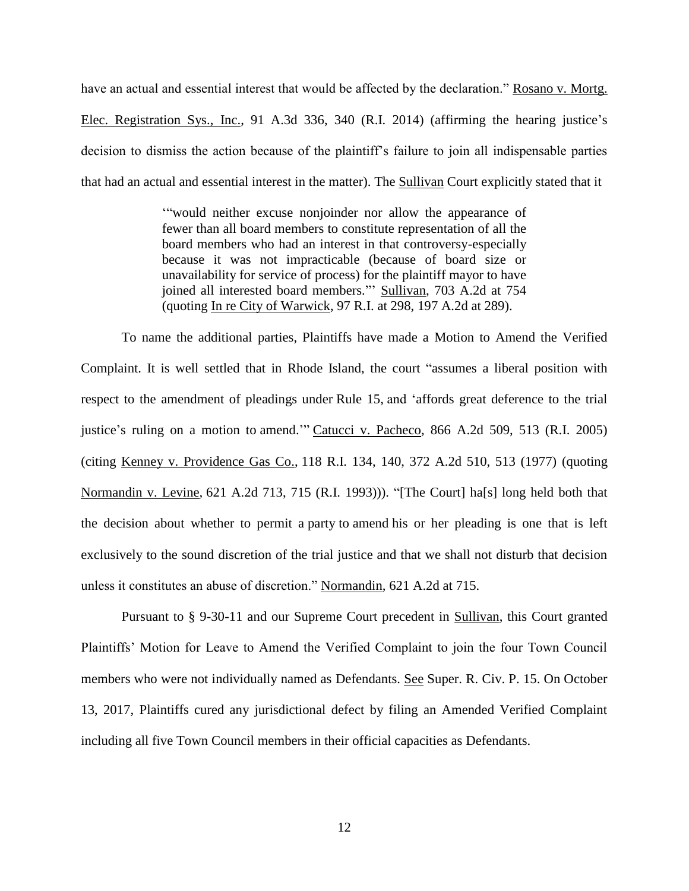have an actual and essential interest that would be affected by the declaration." Rosano v. Mortg. Elec. Registration Sys., Inc., 91 A.3d 336, 340 (R.I. 2014) (affirming the hearing justice's decision to dismiss the action because of the plaintiff's failure to join all indispensable parties that had an actual and essential interest in the matter). The Sullivan Court explicitly stated that it

> '"would neither excuse nonjoinder nor allow the appearance of fewer than all board members to constitute representation of all the board members who had an interest in that controversy-especially because it was not impracticable (because of board size or unavailability for service of process) for the plaintiff mayor to have joined all interested board members."' Sullivan, 703 A.2d at 754 (quoting In re City of Warwick, 97 R.I. at 298, 197 A.2d at 289).

To name the additional parties, Plaintiffs have made a Motion to Amend the Verified Complaint. It is well settled that in Rhode Island, the court "assumes a liberal position with respect to the amendment of pleadings under Rule 15, and 'affords great deference to the trial justice's ruling on a motion to amend.'" Catucci v. Pacheco, 866 A.2d 509, 513 (R.I. 2005) (citing Kenney v. Providence Gas Co., 118 R.I. 134, 140, 372 A.2d 510, 513 (1977) (quoting Normandin v. Levine*,* 621 A.2d 713, 715 (R.I. 1993))). "[The Court] ha[s] long held both that the decision about whether to permit a party to amend his or her pleading is one that is left exclusively to the sound discretion of the trial justice and that we shall not disturb that decision unless it constitutes an abuse of discretion." Normandin*,* 621 A.2d at 715.

Pursuant to § 9-30-11 and our Supreme Court precedent in Sullivan, this Court granted Plaintiffs' Motion for Leave to Amend the Verified Complaint to join the four Town Council members who were not individually named as Defendants. See Super. R. Civ. P. 15. On October 13, 2017, Plaintiffs cured any jurisdictional defect by filing an Amended Verified Complaint including all five Town Council members in their official capacities as Defendants.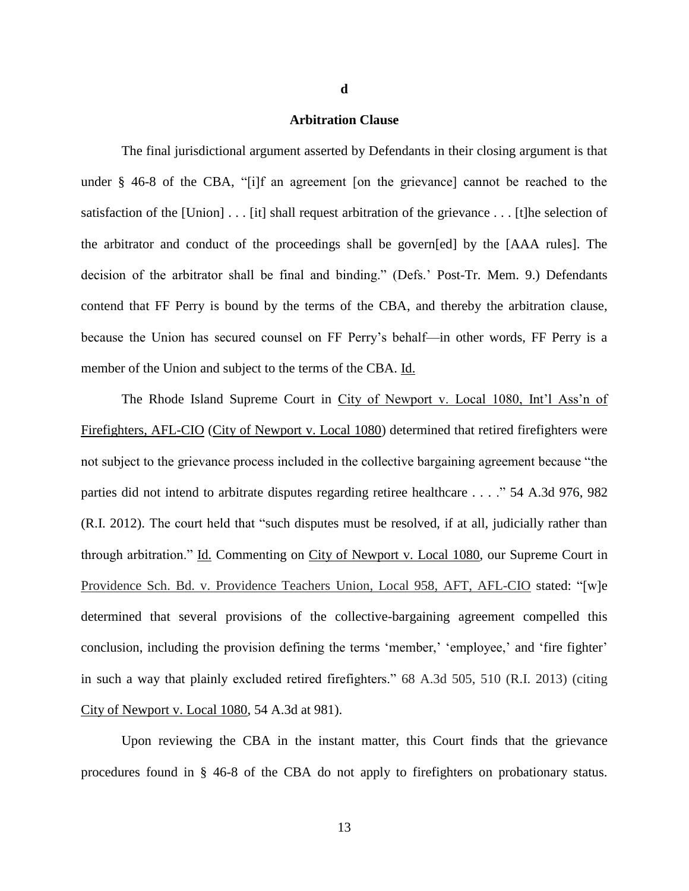## **Arbitration Clause**

**d**

The final jurisdictional argument asserted by Defendants in their closing argument is that under § 46-8 of the CBA, "[i]f an agreement [on the grievance] cannot be reached to the satisfaction of the  $[Union] \dots [it]$  shall request arbitration of the grievance  $\dots$ . [t]he selection of the arbitrator and conduct of the proceedings shall be govern[ed] by the [AAA rules]. The decision of the arbitrator shall be final and binding." (Defs.' Post-Tr. Mem. 9.) Defendants contend that FF Perry is bound by the terms of the CBA, and thereby the arbitration clause, because the Union has secured counsel on FF Perry's behalf—in other words, FF Perry is a member of the Union and subject to the terms of the CBA. Id.

The Rhode Island Supreme Court in City of Newport v. Local 1080, Int'l Ass'n of Firefighters, AFL-CIO (City of Newport v. Local 1080) determined that retired firefighters were not subject to the grievance process included in the collective bargaining agreement because "the parties did not intend to arbitrate disputes regarding retiree healthcare . . . ." 54 A.3d 976, 982 (R.I. 2012). The court held that "such disputes must be resolved, if at all, judicially rather than through arbitration." Id. Commenting on City of Newport v. Local 1080, our Supreme Court in Providence Sch. Bd. v. Providence Teachers Union, Local 958, AFT, AFL-CIO stated: "[w]e determined that several provisions of the collective-bargaining agreement compelled this conclusion, including the provision defining the terms 'member,' 'employee,' and 'fire fighter' in such a way that plainly excluded retired firefighters." 68 A.3d 505, 510 (R.I. 2013) (citing City of Newport v. Local 1080, 54 A.3d at 981).

Upon reviewing the CBA in the instant matter, this Court finds that the grievance procedures found in § 46-8 of the CBA do not apply to firefighters on probationary status.

13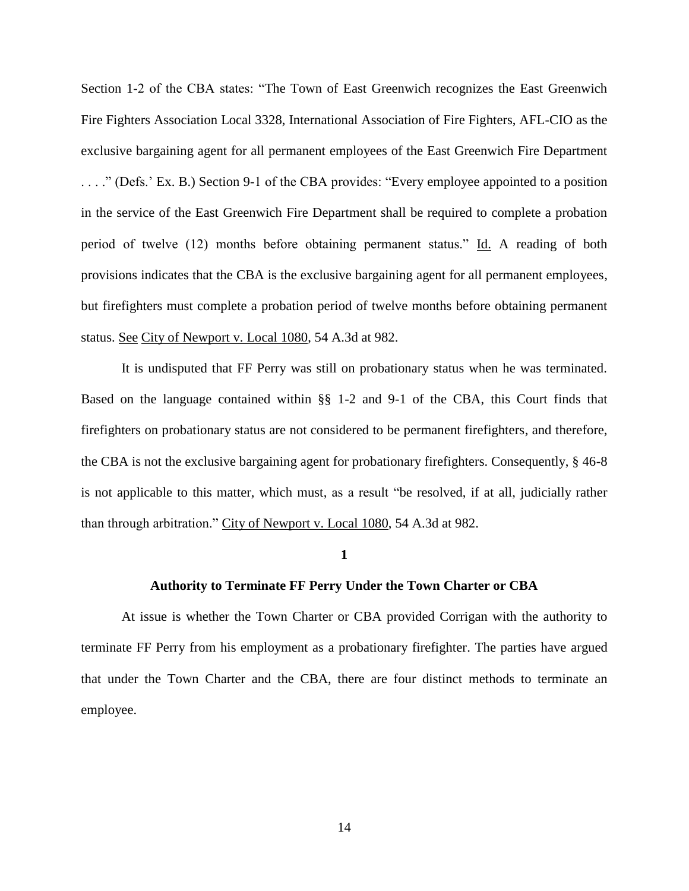Section 1-2 of the CBA states: "The Town of East Greenwich recognizes the East Greenwich Fire Fighters Association Local 3328, International Association of Fire Fighters, AFL-CIO as the exclusive bargaining agent for all permanent employees of the East Greenwich Fire Department . . . ." (Defs.' Ex. B.) Section 9-1 of the CBA provides: "Every employee appointed to a position in the service of the East Greenwich Fire Department shall be required to complete a probation period of twelve (12) months before obtaining permanent status." Id. A reading of both provisions indicates that the CBA is the exclusive bargaining agent for all permanent employees, but firefighters must complete a probation period of twelve months before obtaining permanent status. See City of Newport v. Local 1080, 54 A.3d at 982.

It is undisputed that FF Perry was still on probationary status when he was terminated. Based on the language contained within §§ 1-2 and 9-1 of the CBA, this Court finds that firefighters on probationary status are not considered to be permanent firefighters, and therefore, the CBA is not the exclusive bargaining agent for probationary firefighters. Consequently, § 46-8 is not applicable to this matter, which must, as a result "be resolved, if at all, judicially rather than through arbitration." City of Newport v. Local 1080, 54 A.3d at 982.

## **1**

## **Authority to Terminate FF Perry Under the Town Charter or CBA**

At issue is whether the Town Charter or CBA provided Corrigan with the authority to terminate FF Perry from his employment as a probationary firefighter. The parties have argued that under the Town Charter and the CBA, there are four distinct methods to terminate an employee.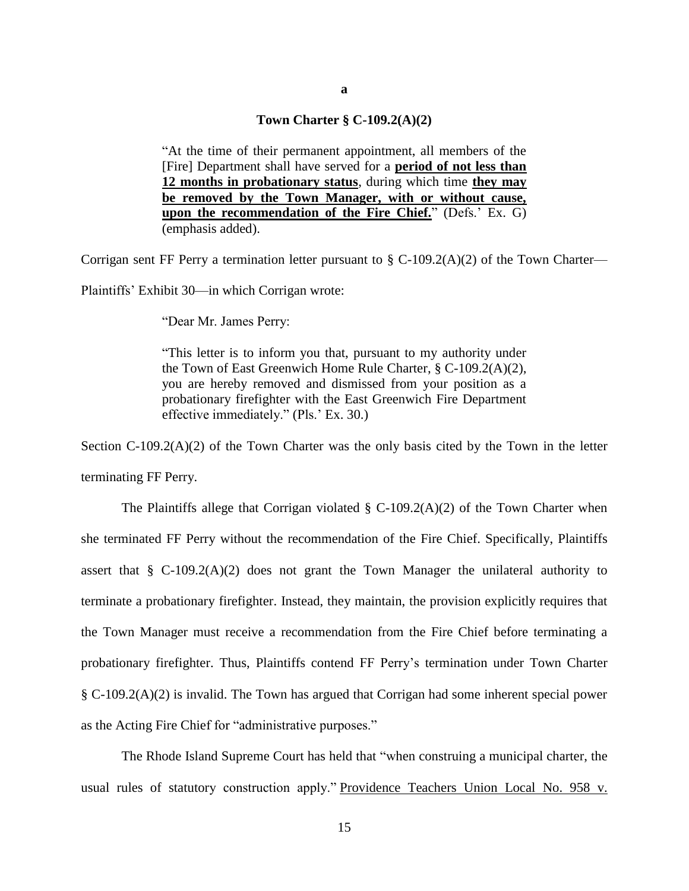## **Town Charter § C-109.2(A)(2)**

"At the time of their permanent appointment, all members of the [Fire] Department shall have served for a **period of not less than 12 months in probationary status**, during which time **they may be removed by the Town Manager, with or without cause, upon the recommendation of the Fire Chief.**" (Defs.' Ex. G) (emphasis added).

Corrigan sent FF Perry a termination letter pursuant to § C-109.2(A)(2) of the Town Charter—

Plaintiffs' Exhibit 30—in which Corrigan wrote:

"Dear Mr. James Perry:

"This letter is to inform you that, pursuant to my authority under the Town of East Greenwich Home Rule Charter, § C-109.2(A)(2), you are hereby removed and dismissed from your position as a probationary firefighter with the East Greenwich Fire Department effective immediately." (Pls.' Ex. 30.)

Section  $C-109.2(A)(2)$  of the Town Charter was the only basis cited by the Town in the letter terminating FF Perry.

The Plaintiffs allege that Corrigan violated  $\S$  C-109.2(A)(2) of the Town Charter when she terminated FF Perry without the recommendation of the Fire Chief. Specifically, Plaintiffs assert that  $\S$  C-109.2(A)(2) does not grant the Town Manager the unilateral authority to terminate a probationary firefighter. Instead, they maintain, the provision explicitly requires that the Town Manager must receive a recommendation from the Fire Chief before terminating a probationary firefighter. Thus, Plaintiffs contend FF Perry's termination under Town Charter § C-109.2(A)(2) is invalid. The Town has argued that Corrigan had some inherent special power as the Acting Fire Chief for "administrative purposes."

The Rhode Island Supreme Court has held that "when construing a municipal charter, the usual rules of statutory construction apply." Providence Teachers Union Local No. 958 v.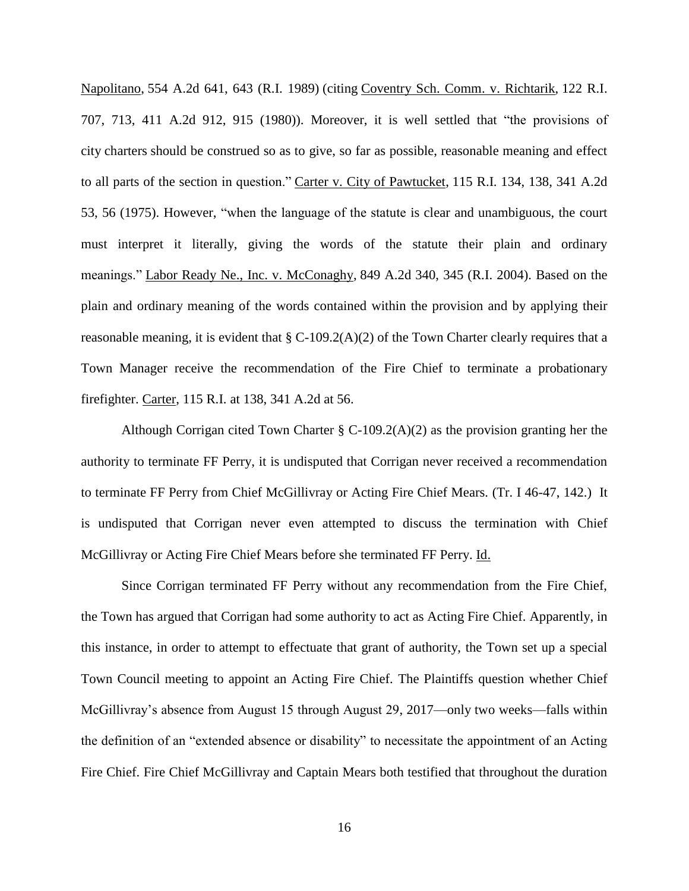Napolitano, 554 A.2d 641, 643 (R.I. 1989) (citing Coventry Sch. Comm. v. Richtarik, 122 R.I. 707, 713, 411 A.2d 912, 915 (1980)). Moreover, it is well settled that "the provisions of city charters should be construed so as to give, so far as possible, reasonable meaning and effect to all parts of the section in question." Carter v. City of Pawtucket, 115 R.I. 134, 138, 341 A.2d 53, 56 (1975). However, "when the language of the statute is clear and unambiguous, the court must interpret it literally, giving the words of the statute their plain and ordinary meanings." Labor Ready Ne., Inc. v. McConaghy, 849 A.2d 340, 345 (R.I. 2004). Based on the plain and ordinary meaning of the words contained within the provision and by applying their reasonable meaning, it is evident that  $\S$  C-109.2(A)(2) of the Town Charter clearly requires that a Town Manager receive the recommendation of the Fire Chief to terminate a probationary firefighter. Carter, 115 R.I. at 138, 341 A.2d at 56.

Although Corrigan cited Town Charter  $\S$  C-109.2(A)(2) as the provision granting her the authority to terminate FF Perry, it is undisputed that Corrigan never received a recommendation to terminate FF Perry from Chief McGillivray or Acting Fire Chief Mears. (Tr. I 46-47, 142.) It is undisputed that Corrigan never even attempted to discuss the termination with Chief McGillivray or Acting Fire Chief Mears before she terminated FF Perry. Id.

Since Corrigan terminated FF Perry without any recommendation from the Fire Chief, the Town has argued that Corrigan had some authority to act as Acting Fire Chief. Apparently, in this instance, in order to attempt to effectuate that grant of authority, the Town set up a special Town Council meeting to appoint an Acting Fire Chief. The Plaintiffs question whether Chief McGillivray's absence from August 15 through August 29, 2017—only two weeks—falls within the definition of an "extended absence or disability" to necessitate the appointment of an Acting Fire Chief. Fire Chief McGillivray and Captain Mears both testified that throughout the duration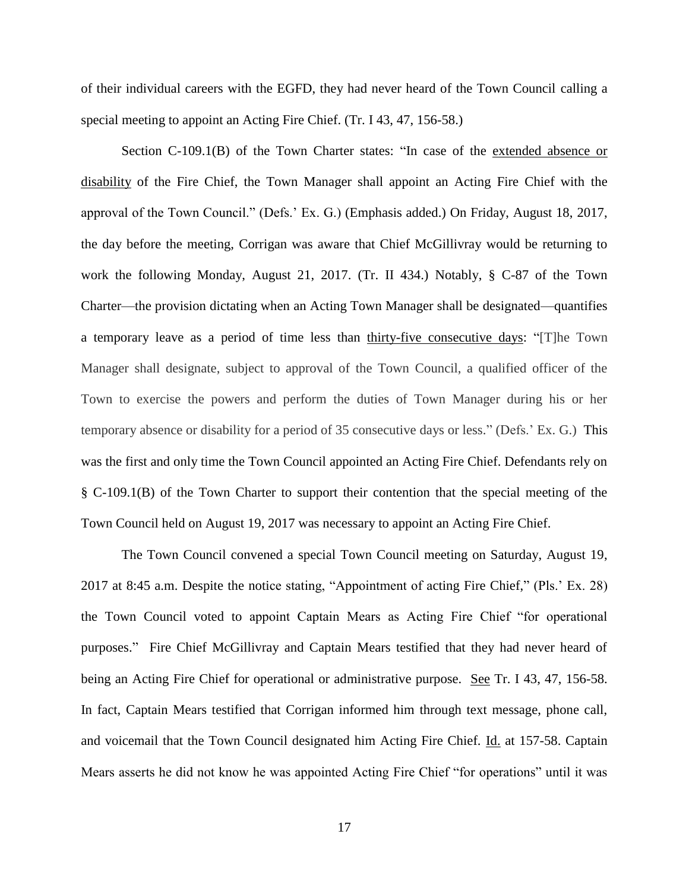of their individual careers with the EGFD, they had never heard of the Town Council calling a special meeting to appoint an Acting Fire Chief. (Tr. I 43, 47, 156-58.)

Section C-109.1(B) of the Town Charter states: "In case of the extended absence or disability of the Fire Chief, the Town Manager shall appoint an Acting Fire Chief with the approval of the Town Council." (Defs.' Ex. G.) (Emphasis added.) On Friday, August 18, 2017, the day before the meeting, Corrigan was aware that Chief McGillivray would be returning to work the following Monday, August 21, 2017. (Tr. II 434.) Notably, § C-87 of the Town Charter—the provision dictating when an Acting Town Manager shall be designated—quantifies a temporary leave as a period of time less than thirty-five consecutive days: "[T]he Town Manager shall designate, subject to approval of the Town Council, a qualified officer of the Town to exercise the powers and perform the duties of Town Manager during his or her temporary absence or disability for a period of 35 consecutive days or less." (Defs.' Ex. G.) This was the first and only time the Town Council appointed an Acting Fire Chief. Defendants rely on § C-109.1(B) of the Town Charter to support their contention that the special meeting of the Town Council held on August 19, 2017 was necessary to appoint an Acting Fire Chief.

The Town Council convened a special Town Council meeting on Saturday, August 19, 2017 at 8:45 a.m. Despite the notice stating, "Appointment of acting Fire Chief," (Pls.' Ex. 28) the Town Council voted to appoint Captain Mears as Acting Fire Chief "for operational purposes." Fire Chief McGillivray and Captain Mears testified that they had never heard of being an Acting Fire Chief for operational or administrative purpose. See Tr. I 43, 47, 156-58. In fact, Captain Mears testified that Corrigan informed him through text message, phone call, and voicemail that the Town Council designated him Acting Fire Chief. Id. at 157-58. Captain Mears asserts he did not know he was appointed Acting Fire Chief "for operations" until it was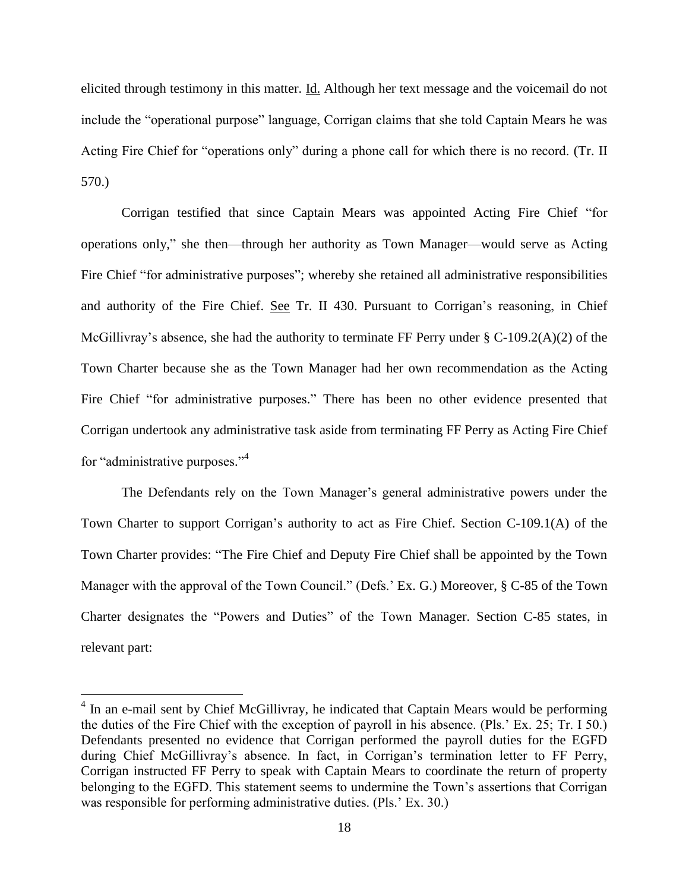elicited through testimony in this matter. Id. Although her text message and the voicemail do not include the "operational purpose" language, Corrigan claims that she told Captain Mears he was Acting Fire Chief for "operations only" during a phone call for which there is no record. (Tr. II 570.)

Corrigan testified that since Captain Mears was appointed Acting Fire Chief "for operations only," she then—through her authority as Town Manager—would serve as Acting Fire Chief "for administrative purposes"; whereby she retained all administrative responsibilities and authority of the Fire Chief. See Tr. II 430. Pursuant to Corrigan's reasoning, in Chief McGillivray's absence, she had the authority to terminate FF Perry under § C-109.2(A)(2) of the Town Charter because she as the Town Manager had her own recommendation as the Acting Fire Chief "for administrative purposes." There has been no other evidence presented that Corrigan undertook any administrative task aside from terminating FF Perry as Acting Fire Chief for "administrative purposes."<sup>4</sup>

The Defendants rely on the Town Manager's general administrative powers under the Town Charter to support Corrigan's authority to act as Fire Chief. Section C-109.1(A) of the Town Charter provides: "The Fire Chief and Deputy Fire Chief shall be appointed by the Town Manager with the approval of the Town Council." (Defs.' Ex. G.) Moreover, § C-85 of the Town Charter designates the "Powers and Duties" of the Town Manager. Section C-85 states, in relevant part:

 $\overline{a}$ 

<sup>&</sup>lt;sup>4</sup> In an e-mail sent by Chief McGillivray, he indicated that Captain Mears would be performing the duties of the Fire Chief with the exception of payroll in his absence. (Pls.' Ex. 25; Tr. I 50.) Defendants presented no evidence that Corrigan performed the payroll duties for the EGFD during Chief McGillivray's absence. In fact, in Corrigan's termination letter to FF Perry, Corrigan instructed FF Perry to speak with Captain Mears to coordinate the return of property belonging to the EGFD. This statement seems to undermine the Town's assertions that Corrigan was responsible for performing administrative duties. (Pls.' Ex. 30.)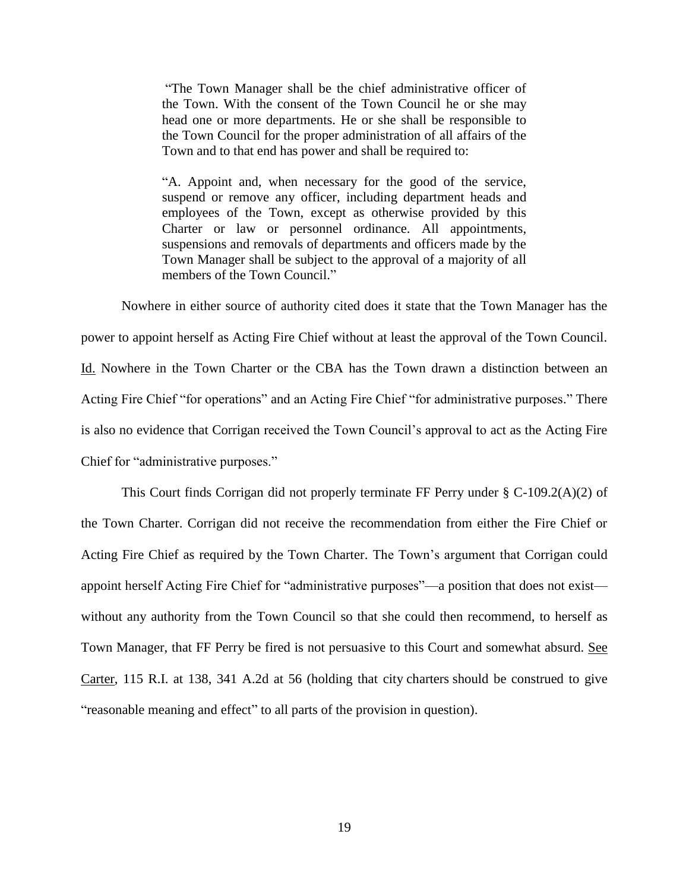"The Town Manager shall be the chief administrative officer of the Town. With the consent of the Town Council he or she may head one or more departments. He or she shall be responsible to the Town Council for the proper administration of all affairs of the Town and to that end has power and shall be required to:

"A. Appoint and, when necessary for the good of the service, suspend or remove any officer, including department heads and employees of the Town, except as otherwise provided by this Charter or law or personnel ordinance. All appointments, suspensions and removals of departments and officers made by the Town Manager shall be subject to the approval of a majority of all members of the Town Council."

Nowhere in either source of authority cited does it state that the Town Manager has the power to appoint herself as Acting Fire Chief without at least the approval of the Town Council. Id. Nowhere in the Town Charter or the CBA has the Town drawn a distinction between an Acting Fire Chief "for operations" and an Acting Fire Chief "for administrative purposes." There is also no evidence that Corrigan received the Town Council's approval to act as the Acting Fire Chief for "administrative purposes."

This Court finds Corrigan did not properly terminate FF Perry under § C-109.2(A)(2) of the Town Charter. Corrigan did not receive the recommendation from either the Fire Chief or Acting Fire Chief as required by the Town Charter. The Town's argument that Corrigan could appoint herself Acting Fire Chief for "administrative purposes"—a position that does not exist without any authority from the Town Council so that she could then recommend, to herself as Town Manager, that FF Perry be fired is not persuasive to this Court and somewhat absurd. See Carter, 115 R.I. at 138, 341 A.2d at 56 (holding that city charters should be construed to give "reasonable meaning and effect" to all parts of the provision in question).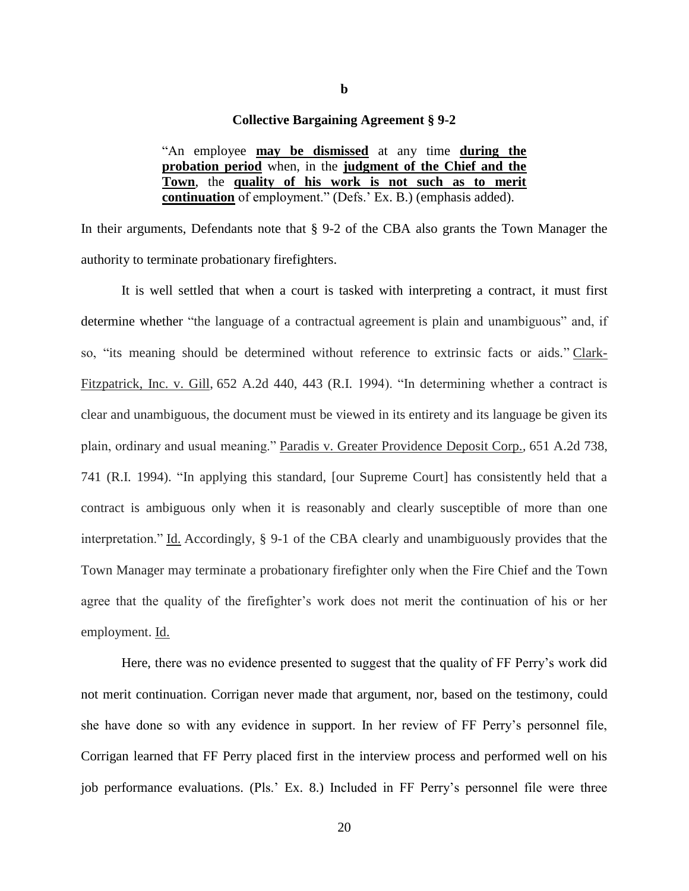## **Collective Bargaining Agreement § 9-2**

"An employee **may be dismissed** at any time **during the probation period** when, in the **judgment of the Chief and the Town**, the **quality of his work is not such as to merit continuation** of employment." (Defs.' Ex. B.) (emphasis added).

In their arguments, Defendants note that § 9-2 of the CBA also grants the Town Manager the authority to terminate probationary firefighters.

It is well settled that when a court is tasked with interpreting a contract, it must first determine whether "the language of a contractual agreement is plain and unambiguous" and, if so, "its meaning should be determined without reference to extrinsic facts or aids." Clark-Fitzpatrick, Inc. v. Gill, 652 A.2d 440, 443 (R.I. 1994). "In determining whether a contract is clear and unambiguous, the document must be viewed in its entirety and its language be given its plain, ordinary and usual meaning." Paradis v. Greater Providence Deposit Corp.*,* 651 A.2d 738, 741 (R.I. 1994). "In applying this standard, [our Supreme Court] has consistently held that a contract is ambiguous only when it is reasonably and clearly susceptible of more than one interpretation." Id. Accordingly, § 9-1 of the CBA clearly and unambiguously provides that the Town Manager may terminate a probationary firefighter only when the Fire Chief and the Town agree that the quality of the firefighter's work does not merit the continuation of his or her employment. Id.

Here, there was no evidence presented to suggest that the quality of FF Perry's work did not merit continuation. Corrigan never made that argument, nor, based on the testimony, could she have done so with any evidence in support. In her review of FF Perry's personnel file, Corrigan learned that FF Perry placed first in the interview process and performed well on his job performance evaluations. (Pls.' Ex. 8.) Included in FF Perry's personnel file were three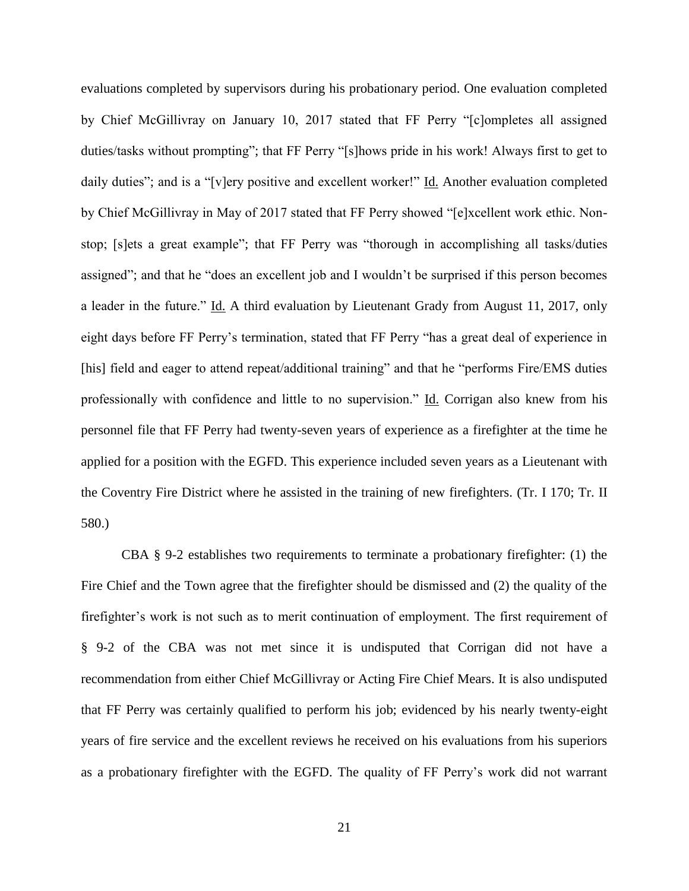evaluations completed by supervisors during his probationary period. One evaluation completed by Chief McGillivray on January 10, 2017 stated that FF Perry "[c]ompletes all assigned duties/tasks without prompting"; that FF Perry "[s]hows pride in his work! Always first to get to daily duties"; and is a "[v]ery positive and excellent worker!" Id. Another evaluation completed by Chief McGillivray in May of 2017 stated that FF Perry showed "[e]xcellent work ethic. Nonstop; [s]ets a great example"; that FF Perry was "thorough in accomplishing all tasks/duties assigned"; and that he "does an excellent job and I wouldn't be surprised if this person becomes a leader in the future." Id. A third evaluation by Lieutenant Grady from August 11, 2017, only eight days before FF Perry's termination, stated that FF Perry "has a great deal of experience in [his] field and eager to attend repeat/additional training" and that he "performs Fire/EMS duties professionally with confidence and little to no supervision." Id. Corrigan also knew from his personnel file that FF Perry had twenty-seven years of experience as a firefighter at the time he applied for a position with the EGFD. This experience included seven years as a Lieutenant with the Coventry Fire District where he assisted in the training of new firefighters. (Tr. I 170; Tr. II 580.)

CBA § 9-2 establishes two requirements to terminate a probationary firefighter: (1) the Fire Chief and the Town agree that the firefighter should be dismissed and (2) the quality of the firefighter's work is not such as to merit continuation of employment. The first requirement of § 9-2 of the CBA was not met since it is undisputed that Corrigan did not have a recommendation from either Chief McGillivray or Acting Fire Chief Mears. It is also undisputed that FF Perry was certainly qualified to perform his job; evidenced by his nearly twenty-eight years of fire service and the excellent reviews he received on his evaluations from his superiors as a probationary firefighter with the EGFD. The quality of FF Perry's work did not warrant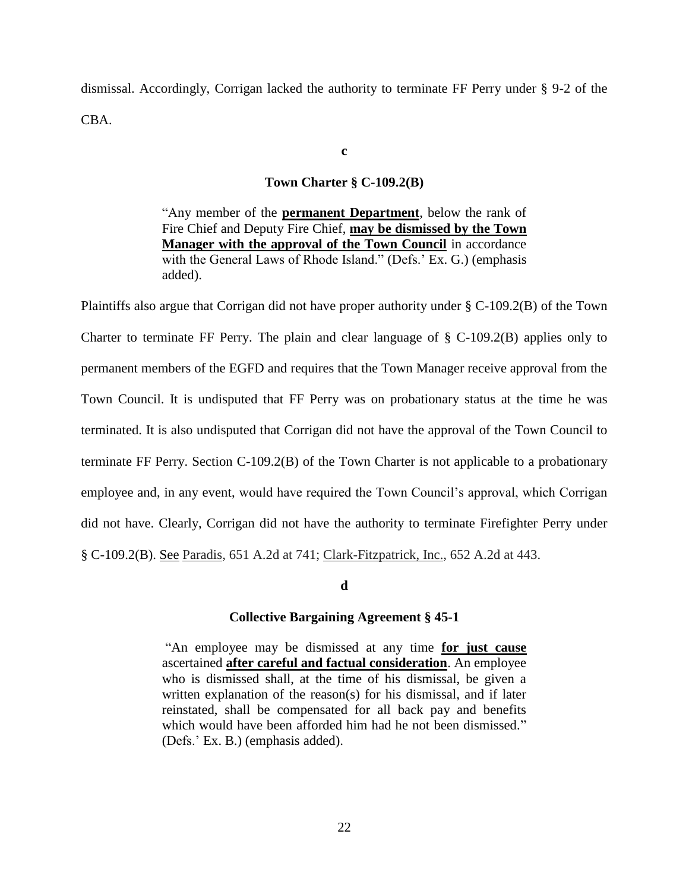dismissal. Accordingly, Corrigan lacked the authority to terminate FF Perry under § 9-2 of the CBA.

**c**

## **Town Charter § C-109.2(B)**

"Any member of the **permanent Department**, below the rank of Fire Chief and Deputy Fire Chief, **may be dismissed by the Town Manager with the approval of the Town Council** in accordance with the General Laws of Rhode Island." (Defs.' Ex. G.) (emphasis added).

Plaintiffs also argue that Corrigan did not have proper authority under § C-109.2(B) of the Town Charter to terminate FF Perry. The plain and clear language of § C-109.2(B) applies only to permanent members of the EGFD and requires that the Town Manager receive approval from the Town Council. It is undisputed that FF Perry was on probationary status at the time he was terminated. It is also undisputed that Corrigan did not have the approval of the Town Council to terminate FF Perry. Section C-109.2(B) of the Town Charter is not applicable to a probationary employee and, in any event, would have required the Town Council's approval, which Corrigan did not have. Clearly, Corrigan did not have the authority to terminate Firefighter Perry under § C-109.2(B). See Paradis*,* 651 A.2d at 741; Clark-Fitzpatrick, Inc.*,* 652 A.2d at 443.

#### **d**

#### **Collective Bargaining Agreement § 45-1**

"An employee may be dismissed at any time **for just cause** ascertained **after careful and factual consideration**. An employee who is dismissed shall, at the time of his dismissal, be given a written explanation of the reason(s) for his dismissal, and if later reinstated, shall be compensated for all back pay and benefits which would have been afforded him had he not been dismissed." (Defs.' Ex. B.) (emphasis added).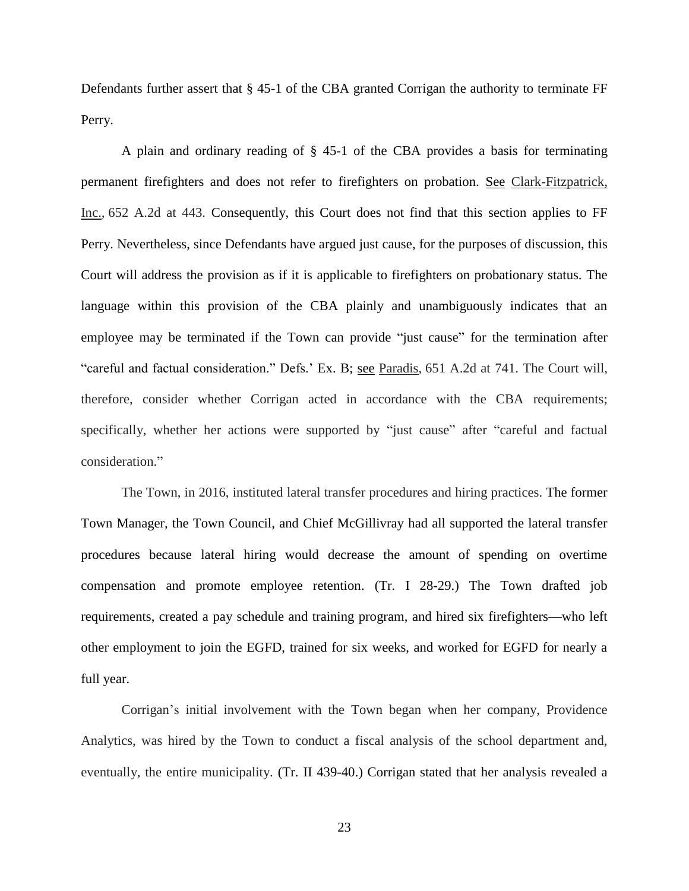Defendants further assert that § 45-1 of the CBA granted Corrigan the authority to terminate FF Perry.

A plain and ordinary reading of § 45-1 of the CBA provides a basis for terminating permanent firefighters and does not refer to firefighters on probation. See Clark-Fitzpatrick, Inc.*,* 652 A.2d at 443. Consequently, this Court does not find that this section applies to FF Perry. Nevertheless, since Defendants have argued just cause, for the purposes of discussion, this Court will address the provision as if it is applicable to firefighters on probationary status. The language within this provision of the CBA plainly and unambiguously indicates that an employee may be terminated if the Town can provide "just cause" for the termination after "careful and factual consideration." Defs.' Ex. B; see Paradis*,* 651 A.2d at 741. The Court will, therefore, consider whether Corrigan acted in accordance with the CBA requirements; specifically, whether her actions were supported by "just cause" after "careful and factual consideration."

The Town, in 2016, instituted lateral transfer procedures and hiring practices. The former Town Manager, the Town Council, and Chief McGillivray had all supported the lateral transfer procedures because lateral hiring would decrease the amount of spending on overtime compensation and promote employee retention. (Tr. I 28-29.) The Town drafted job requirements, created a pay schedule and training program, and hired six firefighters—who left other employment to join the EGFD, trained for six weeks, and worked for EGFD for nearly a full year.

Corrigan's initial involvement with the Town began when her company, Providence Analytics, was hired by the Town to conduct a fiscal analysis of the school department and, eventually, the entire municipality. (Tr. II 439-40.) Corrigan stated that her analysis revealed a

23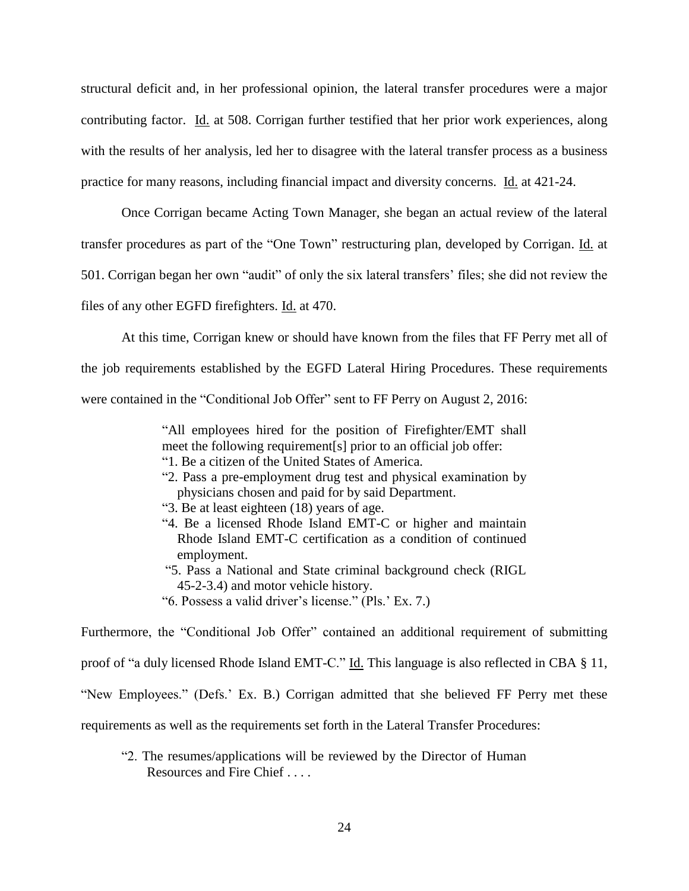structural deficit and, in her professional opinion, the lateral transfer procedures were a major contributing factor. Id. at 508. Corrigan further testified that her prior work experiences, along with the results of her analysis, led her to disagree with the lateral transfer process as a business practice for many reasons, including financial impact and diversity concerns. Id. at 421-24.

Once Corrigan became Acting Town Manager, she began an actual review of the lateral transfer procedures as part of the "One Town" restructuring plan, developed by Corrigan. Id. at 501. Corrigan began her own "audit" of only the six lateral transfers' files; she did not review the files of any other EGFD firefighters. Id. at 470.

At this time, Corrigan knew or should have known from the files that FF Perry met all of the job requirements established by the EGFD Lateral Hiring Procedures. These requirements were contained in the "Conditional Job Offer" sent to FF Perry on August 2, 2016:

> "All employees hired for the position of Firefighter/EMT shall meet the following requirement[s] prior to an official job offer: "1. Be a citizen of the United States of America.

- 
- "2. Pass a pre-employment drug test and physical examination by physicians chosen and paid for by said Department.
- "3. Be at least eighteen (18) years of age.
- "4. Be a licensed Rhode Island EMT-C or higher and maintain Rhode Island EMT-C certification as a condition of continued employment.
- "5. Pass a National and State criminal background check (RIGL 45-2-3.4) and motor vehicle history.
- "6. Possess a valid driver's license." (Pls.' Ex. 7.)

Furthermore, the "Conditional Job Offer" contained an additional requirement of submitting proof of "a duly licensed Rhode Island EMT-C." Id. This language is also reflected in CBA § 11, "New Employees." (Defs.' Ex. B.) Corrigan admitted that she believed FF Perry met these requirements as well as the requirements set forth in the Lateral Transfer Procedures:

"2. The resumes/applications will be reviewed by the Director of Human Resources and Fire Chief . . . .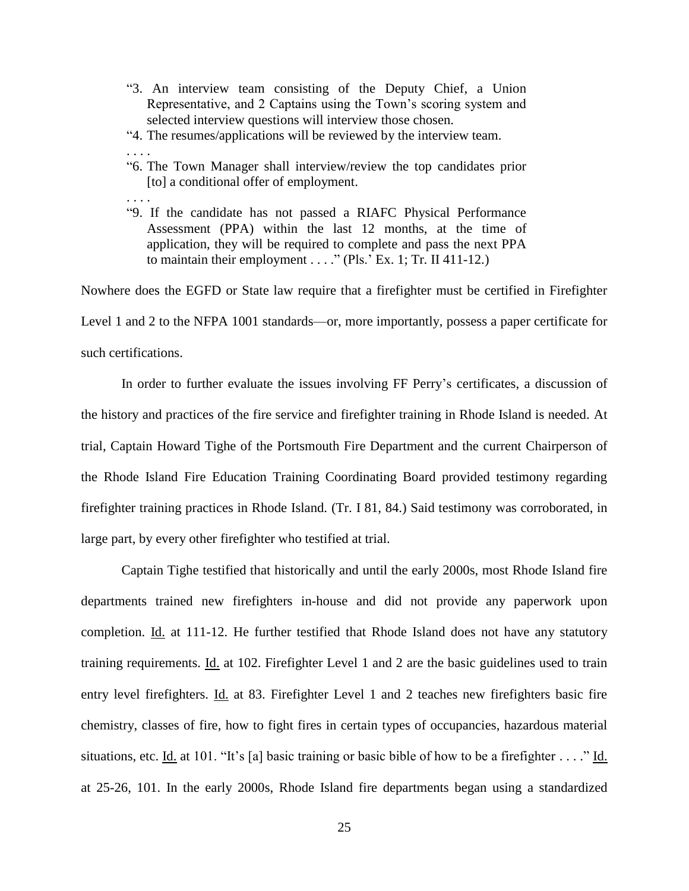- "3. An interview team consisting of the Deputy Chief, a Union Representative, and 2 Captains using the Town's scoring system and selected interview questions will interview those chosen.
- "4. The resumes/applications will be reviewed by the interview team.
- . . . . "6. The Town Manager shall interview/review the top candidates prior [to] a conditional offer of employment.
- . . . .
- "9. If the candidate has not passed a RIAFC Physical Performance Assessment (PPA) within the last 12 months, at the time of application, they will be required to complete and pass the next PPA to maintain their employment . . . ." (Pls.' Ex. 1; Tr. II 411-12.)

Nowhere does the EGFD or State law require that a firefighter must be certified in Firefighter Level 1 and 2 to the NFPA 1001 standards—or, more importantly, possess a paper certificate for such certifications.

In order to further evaluate the issues involving FF Perry's certificates, a discussion of the history and practices of the fire service and firefighter training in Rhode Island is needed. At trial, Captain Howard Tighe of the Portsmouth Fire Department and the current Chairperson of the Rhode Island Fire Education Training Coordinating Board provided testimony regarding firefighter training practices in Rhode Island. (Tr. I 81, 84.) Said testimony was corroborated, in large part, by every other firefighter who testified at trial.

Captain Tighe testified that historically and until the early 2000s, most Rhode Island fire departments trained new firefighters in-house and did not provide any paperwork upon completion. Id. at 111-12. He further testified that Rhode Island does not have any statutory training requirements. Id. at 102. Firefighter Level 1 and 2 are the basic guidelines used to train entry level firefighters. Id. at 83. Firefighter Level 1 and 2 teaches new firefighters basic fire chemistry, classes of fire, how to fight fires in certain types of occupancies, hazardous material situations, etc. Id. at 101. "It's [a] basic training or basic bible of how to be a firefighter . . . ." Id. at 25-26, 101. In the early 2000s, Rhode Island fire departments began using a standardized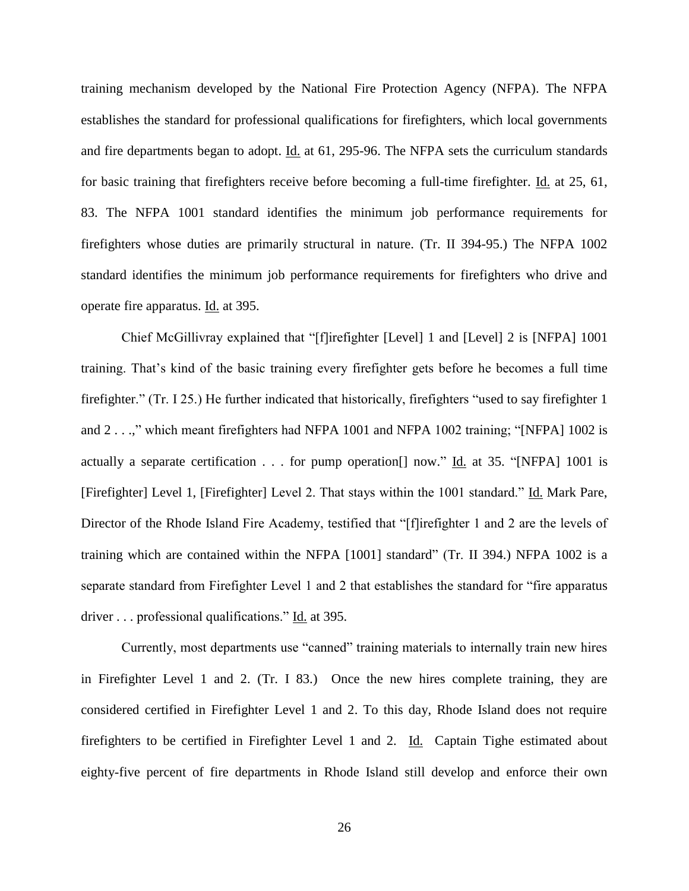training mechanism developed by the National Fire Protection Agency (NFPA). The NFPA establishes the standard for professional qualifications for firefighters, which local governments and fire departments began to adopt. Id. at 61, 295-96. The NFPA sets the curriculum standards for basic training that firefighters receive before becoming a full-time firefighter. Id. at 25, 61, 83. The NFPA 1001 standard identifies the minimum job performance requirements for firefighters whose duties are primarily structural in nature. (Tr. II 394-95.) The NFPA 1002 standard identifies the minimum job performance requirements for firefighters who drive and operate fire apparatus. Id. at 395.

Chief McGillivray explained that "[f]irefighter [Level] 1 and [Level] 2 is [NFPA] 1001 training. That's kind of the basic training every firefighter gets before he becomes a full time firefighter." (Tr. I 25.) He further indicated that historically, firefighters "used to say firefighter 1 and 2 . . .," which meant firefighters had NFPA 1001 and NFPA 1002 training; "[NFPA] 1002 is actually a separate certification . . . for pump operation<sup>[]</sup> now." <u>Id.</u> at 35. "[NFPA] 1001 is [Firefighter] Level 1, [Firefighter] Level 2. That stays within the 1001 standard." Id. Mark Pare, Director of the Rhode Island Fire Academy, testified that "[f]irefighter 1 and 2 are the levels of training which are contained within the NFPA [1001] standard" (Tr. II 394.) NFPA 1002 is a separate standard from Firefighter Level 1 and 2 that establishes the standard for "fire apparatus driver . . . professional qualifications." Id. at 395.

Currently, most departments use "canned" training materials to internally train new hires in Firefighter Level 1 and 2. (Tr. I 83.) Once the new hires complete training, they are considered certified in Firefighter Level 1 and 2. To this day, Rhode Island does not require firefighters to be certified in Firefighter Level 1 and 2. Id. Captain Tighe estimated about eighty-five percent of fire departments in Rhode Island still develop and enforce their own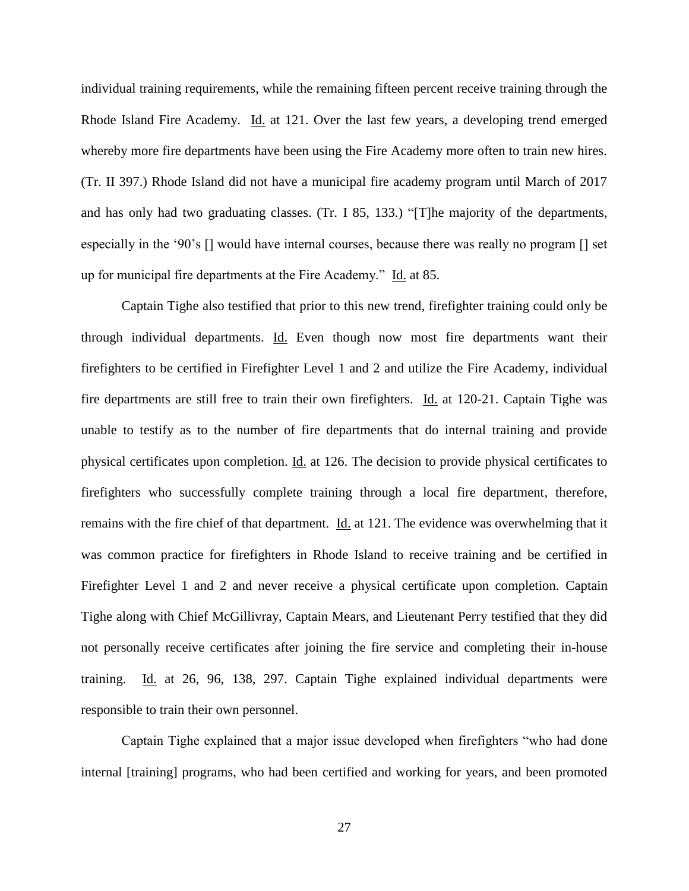individual training requirements, while the remaining fifteen percent receive training through the Rhode Island Fire Academy. Id. at 121. Over the last few years, a developing trend emerged whereby more fire departments have been using the Fire Academy more often to train new hires. (Tr. II 397.) Rhode Island did not have a municipal fire academy program until March of 2017 and has only had two graduating classes. (Tr. I 85, 133.) "[T]he majority of the departments, especially in the '90's [] would have internal courses, because there was really no program [] set up for municipal fire departments at the Fire Academy." Id. at 85.

Captain Tighe also testified that prior to this new trend, firefighter training could only be through individual departments. Id. Even though now most fire departments want their firefighters to be certified in Firefighter Level 1 and 2 and utilize the Fire Academy, individual fire departments are still free to train their own firefighters. Id. at 120-21. Captain Tighe was unable to testify as to the number of fire departments that do internal training and provide physical certificates upon completion. Id. at 126. The decision to provide physical certificates to firefighters who successfully complete training through a local fire department, therefore, remains with the fire chief of that department. Id. at 121. The evidence was overwhelming that it was common practice for firefighters in Rhode Island to receive training and be certified in Firefighter Level 1 and 2 and never receive a physical certificate upon completion. Captain Tighe along with Chief McGillivray, Captain Mears, and Lieutenant Perry testified that they did not personally receive certificates after joining the fire service and completing their in-house training. Id. at 26, 96, 138, 297. Captain Tighe explained individual departments were responsible to train their own personnel.

Captain Tighe explained that a major issue developed when firefighters "who had done internal [training] programs, who had been certified and working for years, and been promoted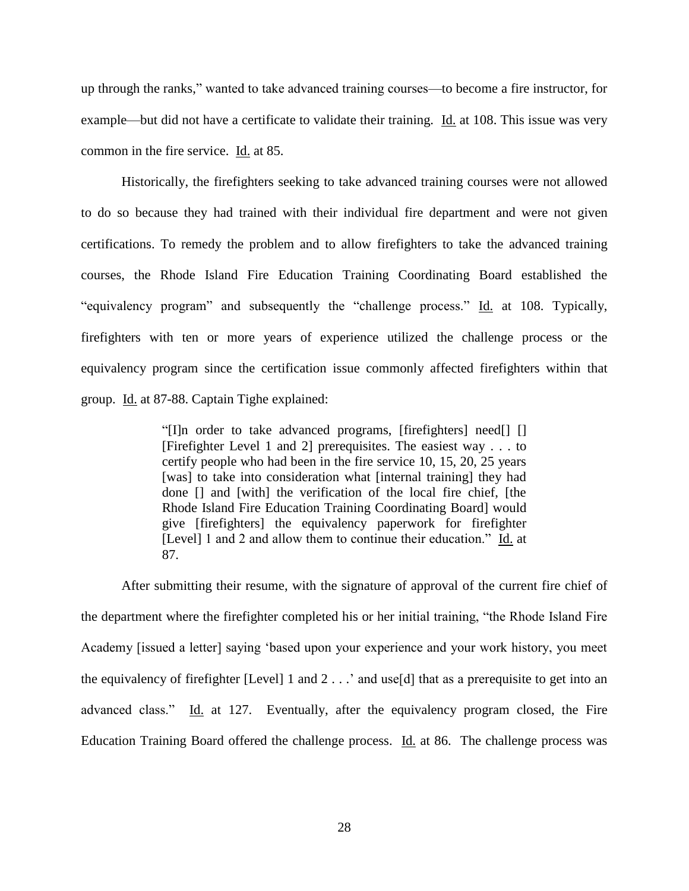up through the ranks," wanted to take advanced training courses—to become a fire instructor, for example—but did not have a certificate to validate their training. Id. at 108. This issue was very common in the fire service. Id. at 85.

Historically, the firefighters seeking to take advanced training courses were not allowed to do so because they had trained with their individual fire department and were not given certifications. To remedy the problem and to allow firefighters to take the advanced training courses, the Rhode Island Fire Education Training Coordinating Board established the "equivalency program" and subsequently the "challenge process." Id. at 108. Typically, firefighters with ten or more years of experience utilized the challenge process or the equivalency program since the certification issue commonly affected firefighters within that group. Id. at 87-88. Captain Tighe explained:

> "[I]n order to take advanced programs, [firefighters] need[] [] [Firefighter Level 1 and 2] prerequisites. The easiest way . . . to certify people who had been in the fire service 10, 15, 20, 25 years [was] to take into consideration what [internal training] they had done [] and [with] the verification of the local fire chief, [the Rhode Island Fire Education Training Coordinating Board] would give [firefighters] the equivalency paperwork for firefighter [Level] 1 and 2 and allow them to continue their education." Id. at 87.

After submitting their resume, with the signature of approval of the current fire chief of the department where the firefighter completed his or her initial training, "the Rhode Island Fire Academy [issued a letter] saying 'based upon your experience and your work history, you meet the equivalency of firefighter [Level] 1 and 2 . . .' and use[d] that as a prerequisite to get into an advanced class." Id. at 127. Eventually, after the equivalency program closed, the Fire Education Training Board offered the challenge process. Id. at 86. The challenge process was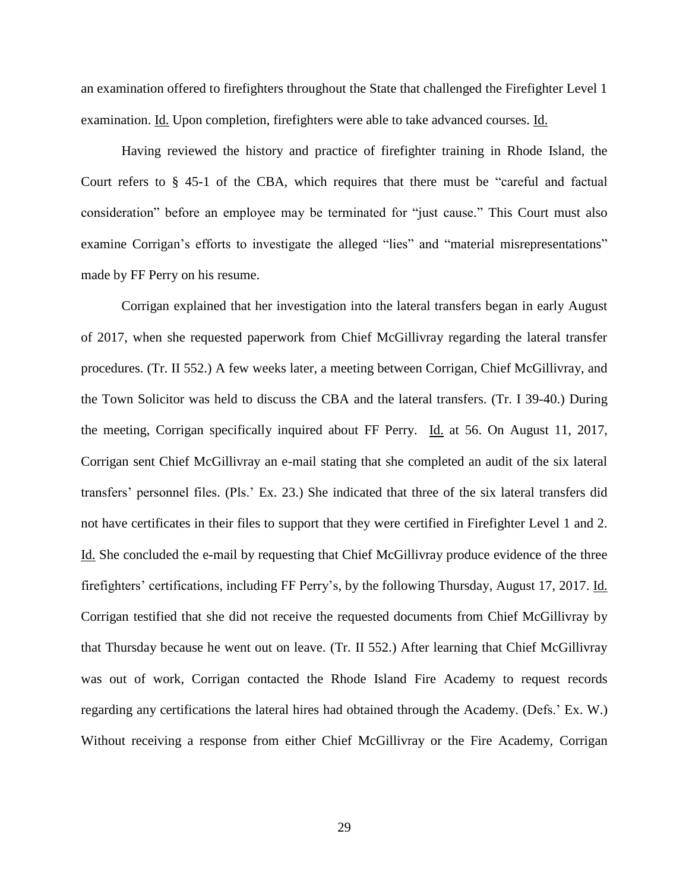an examination offered to firefighters throughout the State that challenged the Firefighter Level 1 examination. Id. Upon completion, firefighters were able to take advanced courses. Id.

Having reviewed the history and practice of firefighter training in Rhode Island, the Court refers to § 45-1 of the CBA, which requires that there must be "careful and factual consideration" before an employee may be terminated for "just cause." This Court must also examine Corrigan's efforts to investigate the alleged "lies" and "material misrepresentations" made by FF Perry on his resume.

Corrigan explained that her investigation into the lateral transfers began in early August of 2017, when she requested paperwork from Chief McGillivray regarding the lateral transfer procedures. (Tr. II 552.) A few weeks later, a meeting between Corrigan, Chief McGillivray, and the Town Solicitor was held to discuss the CBA and the lateral transfers. (Tr. I 39-40.) During the meeting, Corrigan specifically inquired about FF Perry. Id. at 56. On August 11, 2017, Corrigan sent Chief McGillivray an e-mail stating that she completed an audit of the six lateral transfers' personnel files. (Pls.' Ex. 23.) She indicated that three of the six lateral transfers did not have certificates in their files to support that they were certified in Firefighter Level 1 and 2. Id. She concluded the e-mail by requesting that Chief McGillivray produce evidence of the three firefighters' certifications, including FF Perry's, by the following Thursday, August 17, 2017. Id. Corrigan testified that she did not receive the requested documents from Chief McGillivray by that Thursday because he went out on leave. (Tr. II 552.) After learning that Chief McGillivray was out of work, Corrigan contacted the Rhode Island Fire Academy to request records regarding any certifications the lateral hires had obtained through the Academy. (Defs.' Ex. W.) Without receiving a response from either Chief McGillivray or the Fire Academy, Corrigan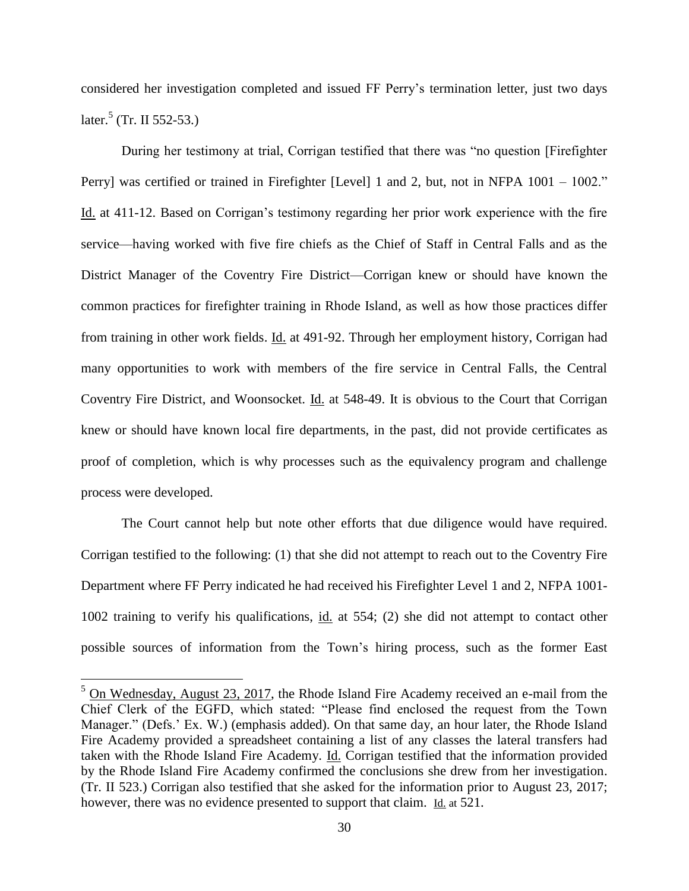considered her investigation completed and issued FF Perry's termination letter, just two days later.<sup>5</sup> (Tr. II 552-53.)

During her testimony at trial, Corrigan testified that there was "no question [Firefighter Perry] was certified or trained in Firefighter [Level] 1 and 2, but, not in NFPA 1001 – 1002." Id. at 411-12. Based on Corrigan's testimony regarding her prior work experience with the fire service—having worked with five fire chiefs as the Chief of Staff in Central Falls and as the District Manager of the Coventry Fire District—Corrigan knew or should have known the common practices for firefighter training in Rhode Island, as well as how those practices differ from training in other work fields. Id. at 491-92. Through her employment history, Corrigan had many opportunities to work with members of the fire service in Central Falls, the Central Coventry Fire District, and Woonsocket. Id. at 548-49. It is obvious to the Court that Corrigan knew or should have known local fire departments, in the past, did not provide certificates as proof of completion, which is why processes such as the equivalency program and challenge process were developed.

The Court cannot help but note other efforts that due diligence would have required. Corrigan testified to the following: (1) that she did not attempt to reach out to the Coventry Fire Department where FF Perry indicated he had received his Firefighter Level 1 and 2, NFPA 1001- 1002 training to verify his qualifications, id. at 554; (2) she did not attempt to contact other possible sources of information from the Town's hiring process, such as the former East

 $\overline{a}$ 

 $5$  On Wednesday, August 23, 2017, the Rhode Island Fire Academy received an e-mail from the Chief Clerk of the EGFD, which stated: "Please find enclosed the request from the Town Manager." (Defs.' Ex. W.) (emphasis added). On that same day, an hour later, the Rhode Island Fire Academy provided a spreadsheet containing a list of any classes the lateral transfers had taken with the Rhode Island Fire Academy. Id. Corrigan testified that the information provided by the Rhode Island Fire Academy confirmed the conclusions she drew from her investigation. (Tr. II 523.) Corrigan also testified that she asked for the information prior to August 23, 2017; however, there was no evidence presented to support that claim. Id. at 521.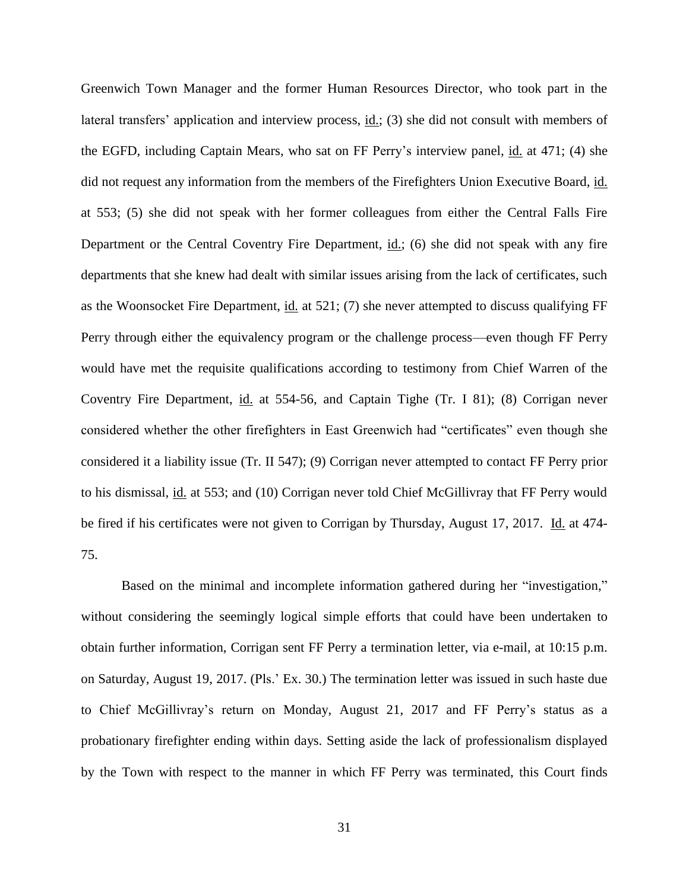Greenwich Town Manager and the former Human Resources Director, who took part in the lateral transfers' application and interview process, id.; (3) she did not consult with members of the EGFD, including Captain Mears, who sat on FF Perry's interview panel, id. at 471; (4) she did not request any information from the members of the Firefighters Union Executive Board, id. at 553; (5) she did not speak with her former colleagues from either the Central Falls Fire Department or the Central Coventry Fire Department, id.; (6) she did not speak with any fire departments that she knew had dealt with similar issues arising from the lack of certificates, such as the Woonsocket Fire Department, id. at 521; (7) she never attempted to discuss qualifying FF Perry through either the equivalency program or the challenge process—even though FF Perry would have met the requisite qualifications according to testimony from Chief Warren of the Coventry Fire Department, id. at 554-56, and Captain Tighe (Tr. I 81); (8) Corrigan never considered whether the other firefighters in East Greenwich had "certificates" even though she considered it a liability issue (Tr. II 547); (9) Corrigan never attempted to contact FF Perry prior to his dismissal, id. at 553; and (10) Corrigan never told Chief McGillivray that FF Perry would be fired if his certificates were not given to Corrigan by Thursday, August 17, 2017. Id. at 474-75.

Based on the minimal and incomplete information gathered during her "investigation," without considering the seemingly logical simple efforts that could have been undertaken to obtain further information, Corrigan sent FF Perry a termination letter, via e-mail, at 10:15 p.m. on Saturday, August 19, 2017. (Pls.' Ex. 30.) The termination letter was issued in such haste due to Chief McGillivray's return on Monday, August 21, 2017 and FF Perry's status as a probationary firefighter ending within days. Setting aside the lack of professionalism displayed by the Town with respect to the manner in which FF Perry was terminated, this Court finds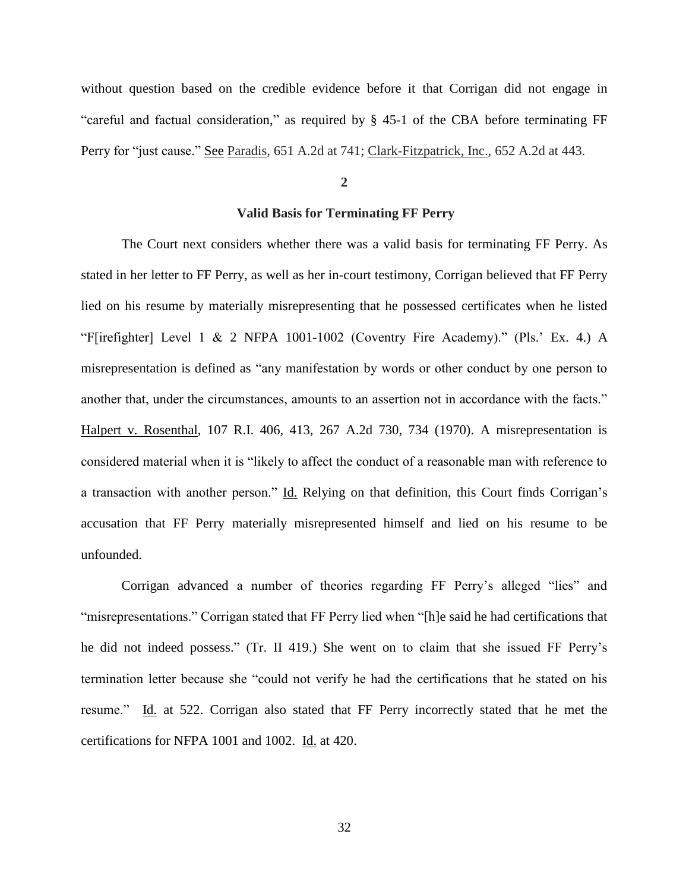without question based on the credible evidence before it that Corrigan did not engage in "careful and factual consideration," as required by § 45-1 of the CBA before terminating FF Perry for "just cause." See Paradis*,* 651 A.2d at 741; Clark-Fitzpatrick, Inc.*,* 652 A.2d at 443.

**2**

## **Valid Basis for Terminating FF Perry**

The Court next considers whether there was a valid basis for terminating FF Perry. As stated in her letter to FF Perry, as well as her in-court testimony, Corrigan believed that FF Perry lied on his resume by materially misrepresenting that he possessed certificates when he listed "F[irefighter] Level 1 & 2 NFPA 1001-1002 (Coventry Fire Academy)." (Pls.' Ex. 4.) A misrepresentation is defined as "any manifestation by words or other conduct by one person to another that, under the circumstances, amounts to an assertion not in accordance with the facts." Halpert v. Rosenthal, 107 R.I. 406, 413, 267 A.2d 730, 734 (1970). A misrepresentation is considered material when it is "likely to affect the conduct of a reasonable man with reference to a transaction with another person." Id. Relying on that definition, this Court finds Corrigan's accusation that FF Perry materially misrepresented himself and lied on his resume to be unfounded.

Corrigan advanced a number of theories regarding FF Perry's alleged "lies" and "misrepresentations." Corrigan stated that FF Perry lied when "[h]e said he had certifications that he did not indeed possess." (Tr. II 419.) She went on to claim that she issued FF Perry's termination letter because she "could not verify he had the certifications that he stated on his resume." Id. at 522. Corrigan also stated that FF Perry incorrectly stated that he met the certifications for NFPA 1001 and 1002. Id. at 420.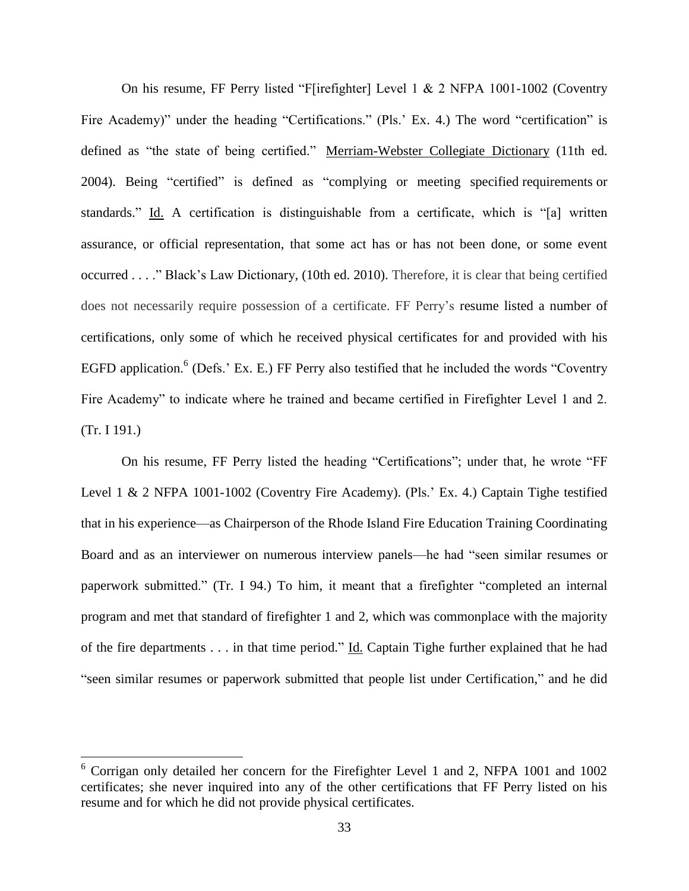On his resume, FF Perry listed "F[irefighter] Level 1 & 2 NFPA 1001-1002 (Coventry Fire Academy)" under the heading "Certifications." (Pls.' Ex. 4.) The word "certification" is defined as "the state of being certified." Merriam-Webster Collegiate Dictionary (11th ed. 2004). Being "certified" is defined as "complying or meeting specified [requirements](http://thelawdictionary.org/requirements/) or standards." Id. A certification is distinguishable from a certificate, which is "[a] written assurance, or official representation, that some act has or has not been done, or some event occurred . . . ." Black's Law Dictionary, (10th ed. 2010). Therefore, it is clear that being certified does not necessarily require possession of a certificate. FF Perry's resume listed a number of certifications, only some of which he received physical certificates for and provided with his EGFD application.<sup>6</sup> (Defs.' Ex. E.) FF Perry also testified that he included the words "Coventry Fire Academy" to indicate where he trained and became certified in Firefighter Level 1 and 2. (Tr. I 191.)

On his resume, FF Perry listed the heading "Certifications"; under that, he wrote "FF Level 1 & 2 NFPA 1001-1002 (Coventry Fire Academy). (Pls.' Ex. 4.) Captain Tighe testified that in his experience—as Chairperson of the Rhode Island Fire Education Training Coordinating Board and as an interviewer on numerous interview panels—he had "seen similar resumes or paperwork submitted." (Tr. I 94.) To him, it meant that a firefighter "completed an internal program and met that standard of firefighter 1 and 2, which was commonplace with the majority of the fire departments . . . in that time period." Id. Captain Tighe further explained that he had "seen similar resumes or paperwork submitted that people list under Certification," and he did

 $\overline{a}$ 

 $6$  Corrigan only detailed her concern for the Firefighter Level 1 and 2, NFPA 1001 and 1002 certificates; she never inquired into any of the other certifications that FF Perry listed on his resume and for which he did not provide physical certificates.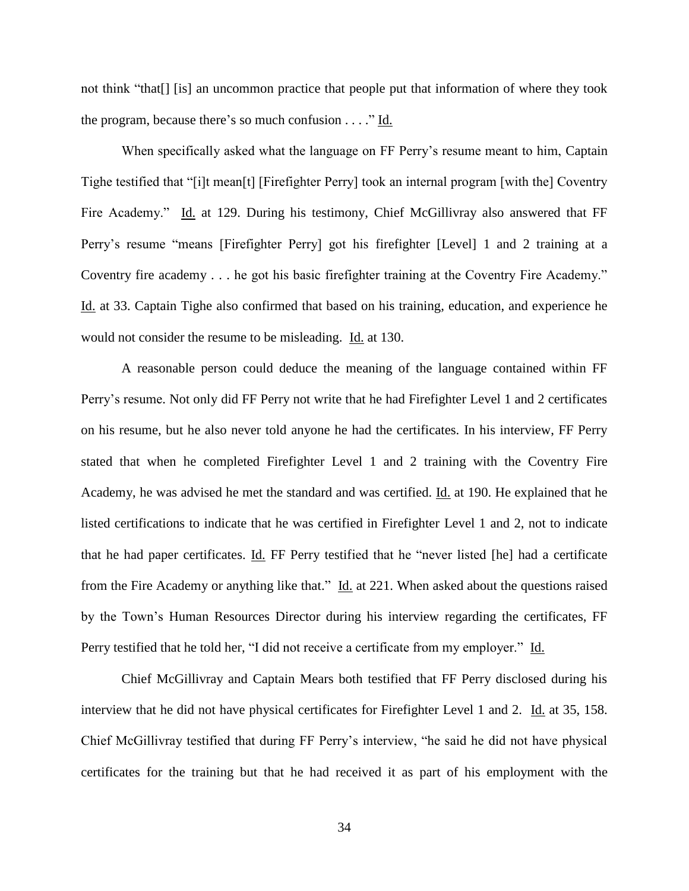not think "that[] [is] an uncommon practice that people put that information of where they took the program, because there's so much confusion . . . ." Id.

When specifically asked what the language on FF Perry's resume meant to him, Captain Tighe testified that "[i]t mean[t] [Firefighter Perry] took an internal program [with the] Coventry Fire Academy." Id. at 129. During his testimony, Chief McGillivray also answered that FF Perry's resume "means [Firefighter Perry] got his firefighter [Level] 1 and 2 training at a Coventry fire academy . . . he got his basic firefighter training at the Coventry Fire Academy." Id. at 33. Captain Tighe also confirmed that based on his training, education, and experience he would not consider the resume to be misleading. Id. at 130.

A reasonable person could deduce the meaning of the language contained within FF Perry's resume. Not only did FF Perry not write that he had Firefighter Level 1 and 2 certificates on his resume, but he also never told anyone he had the certificates. In his interview, FF Perry stated that when he completed Firefighter Level 1 and 2 training with the Coventry Fire Academy, he was advised he met the standard and was certified. Id. at 190. He explained that he listed certifications to indicate that he was certified in Firefighter Level 1 and 2, not to indicate that he had paper certificates. Id. FF Perry testified that he "never listed [he] had a certificate from the Fire Academy or anything like that." Id. at 221. When asked about the questions raised by the Town's Human Resources Director during his interview regarding the certificates, FF Perry testified that he told her, "I did not receive a certificate from my employer." Id.

Chief McGillivray and Captain Mears both testified that FF Perry disclosed during his interview that he did not have physical certificates for Firefighter Level 1 and 2. Id. at 35, 158. Chief McGillivray testified that during FF Perry's interview, "he said he did not have physical certificates for the training but that he had received it as part of his employment with the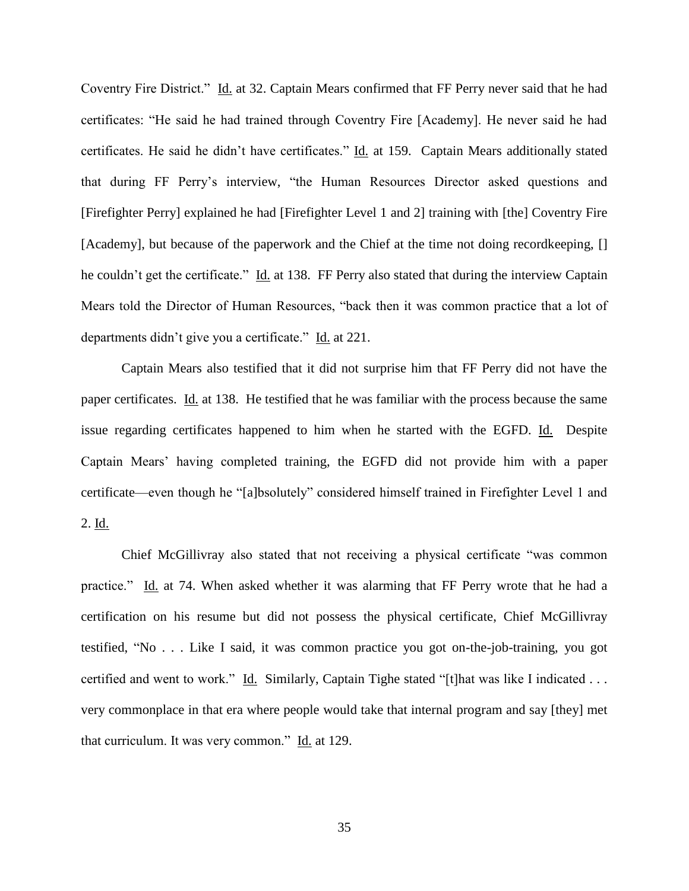Coventry Fire District." Id. at 32. Captain Mears confirmed that FF Perry never said that he had certificates: "He said he had trained through Coventry Fire [Academy]. He never said he had certificates. He said he didn't have certificates." Id. at 159. Captain Mears additionally stated that during FF Perry's interview, "the Human Resources Director asked questions and [Firefighter Perry] explained he had [Firefighter Level 1 and 2] training with [the] Coventry Fire [Academy], but because of the paperwork and the Chief at the time not doing recordkeeping, [] he couldn't get the certificate." Id. at 138. FF Perry also stated that during the interview Captain Mears told the Director of Human Resources, "back then it was common practice that a lot of departments didn't give you a certificate." Id. at 221.

Captain Mears also testified that it did not surprise him that FF Perry did not have the paper certificates. Id. at 138. He testified that he was familiar with the process because the same issue regarding certificates happened to him when he started with the EGFD. Id. Despite Captain Mears' having completed training, the EGFD did not provide him with a paper certificate—even though he "[a]bsolutely" considered himself trained in Firefighter Level 1 and 2. Id.

Chief McGillivray also stated that not receiving a physical certificate "was common practice." Id. at 74. When asked whether it was alarming that FF Perry wrote that he had a certification on his resume but did not possess the physical certificate, Chief McGillivray testified, "No . . . Like I said, it was common practice you got on-the-job-training, you got certified and went to work." Id. Similarly, Captain Tighe stated "[t]hat was like I indicated ... very commonplace in that era where people would take that internal program and say [they] met that curriculum. It was very common." Id. at 129.

35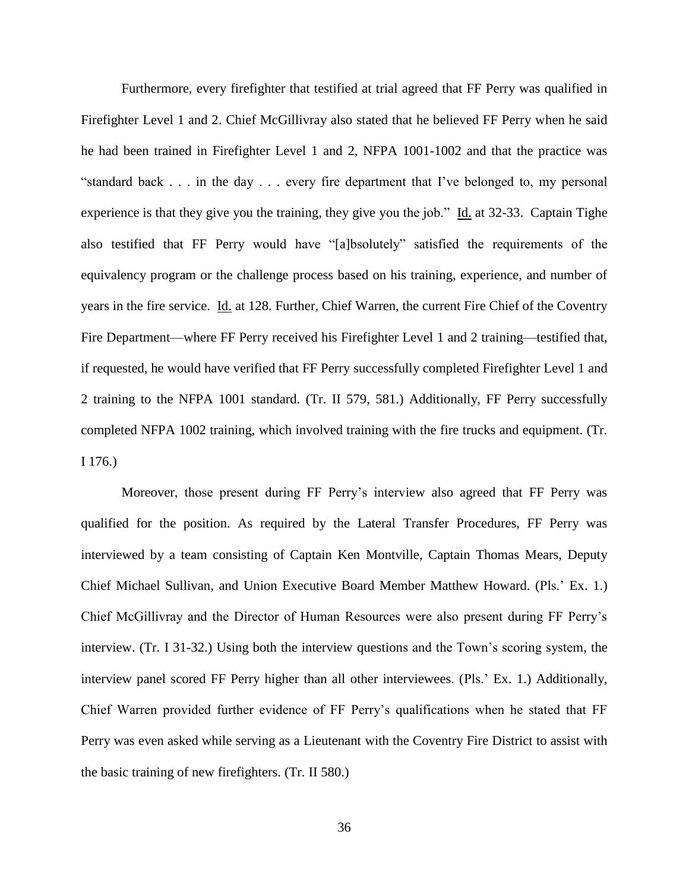Furthermore, every firefighter that testified at trial agreed that FF Perry was qualified in Firefighter Level 1 and 2. Chief McGillivray also stated that he believed FF Perry when he said he had been trained in Firefighter Level 1 and 2, NFPA 1001-1002 and that the practice was "standard back . . . in the day . . . every fire department that I've belonged to, my personal experience is that they give you the training, they give you the job." Id. at 32-33. Captain Tighe also testified that FF Perry would have "[a]bsolutely" satisfied the requirements of the equivalency program or the challenge process based on his training, experience, and number of years in the fire service. Id. at 128. Further, Chief Warren, the current Fire Chief of the Coventry Fire Department—where FF Perry received his Firefighter Level 1 and 2 training—testified that, if requested, he would have verified that FF Perry successfully completed Firefighter Level 1 and 2 training to the NFPA 1001 standard. (Tr. II 579, 581.) Additionally, FF Perry successfully completed NFPA 1002 training, which involved training with the fire trucks and equipment. (Tr. I 176.)

Moreover, those present during FF Perry's interview also agreed that FF Perry was qualified for the position. As required by the Lateral Transfer Procedures, FF Perry was interviewed by a team consisting of Captain Ken Montville, Captain Thomas Mears, Deputy Chief Michael Sullivan, and Union Executive Board Member Matthew Howard. (Pls.' Ex. 1.) Chief McGillivray and the Director of Human Resources were also present during FF Perry's interview. (Tr. I 31-32.) Using both the interview questions and the Town's scoring system, the interview panel scored FF Perry higher than all other interviewees. (Pls.' Ex. 1.) Additionally, Chief Warren provided further evidence of FF Perry's qualifications when he stated that FF Perry was even asked while serving as a Lieutenant with the Coventry Fire District to assist with the basic training of new firefighters. (Tr. II 580.)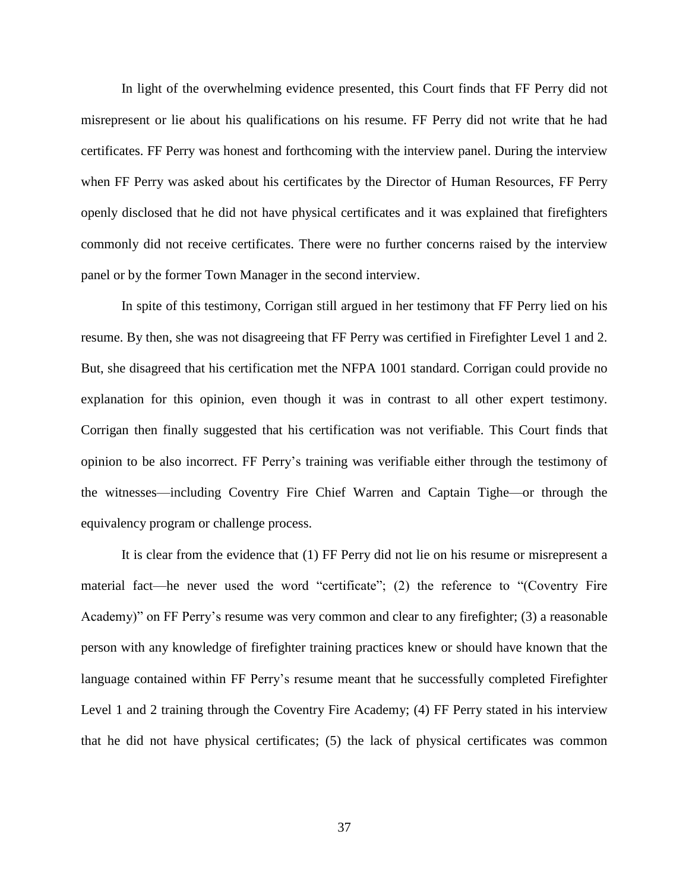In light of the overwhelming evidence presented, this Court finds that FF Perry did not misrepresent or lie about his qualifications on his resume. FF Perry did not write that he had certificates. FF Perry was honest and forthcoming with the interview panel. During the interview when FF Perry was asked about his certificates by the Director of Human Resources, FF Perry openly disclosed that he did not have physical certificates and it was explained that firefighters commonly did not receive certificates. There were no further concerns raised by the interview panel or by the former Town Manager in the second interview.

In spite of this testimony, Corrigan still argued in her testimony that FF Perry lied on his resume. By then, she was not disagreeing that FF Perry was certified in Firefighter Level 1 and 2. But, she disagreed that his certification met the NFPA 1001 standard. Corrigan could provide no explanation for this opinion, even though it was in contrast to all other expert testimony. Corrigan then finally suggested that his certification was not verifiable. This Court finds that opinion to be also incorrect. FF Perry's training was verifiable either through the testimony of the witnesses—including Coventry Fire Chief Warren and Captain Tighe—or through the equivalency program or challenge process.

It is clear from the evidence that (1) FF Perry did not lie on his resume or misrepresent a material fact—he never used the word "certificate"; (2) the reference to "(Coventry Fire Academy)" on FF Perry's resume was very common and clear to any firefighter; (3) a reasonable person with any knowledge of firefighter training practices knew or should have known that the language contained within FF Perry's resume meant that he successfully completed Firefighter Level 1 and 2 training through the Coventry Fire Academy; (4) FF Perry stated in his interview that he did not have physical certificates; (5) the lack of physical certificates was common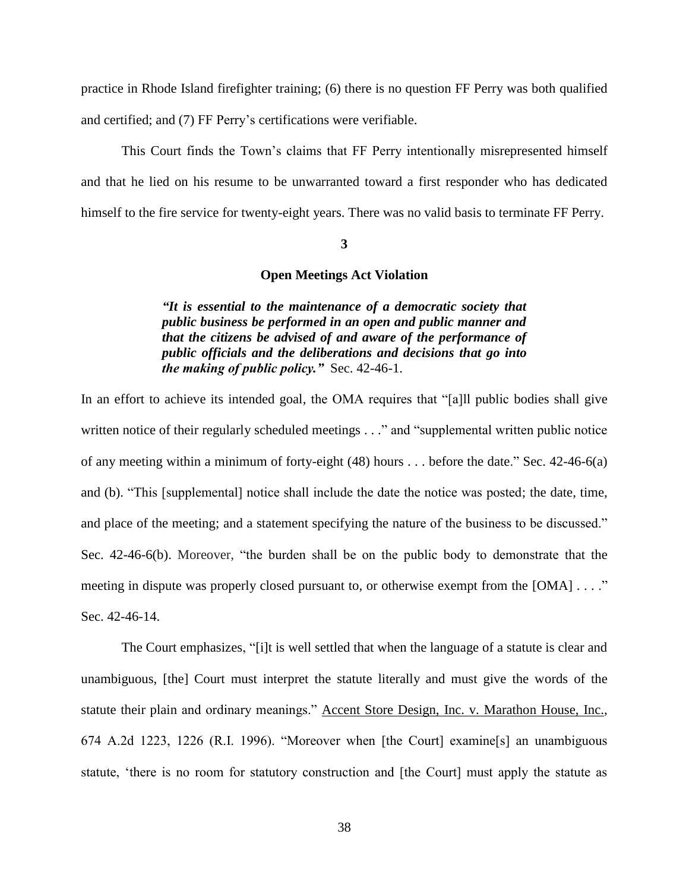practice in Rhode Island firefighter training; (6) there is no question FF Perry was both qualified and certified; and (7) FF Perry's certifications were verifiable.

This Court finds the Town's claims that FF Perry intentionally misrepresented himself and that he lied on his resume to be unwarranted toward a first responder who has dedicated himself to the fire service for twenty-eight years. There was no valid basis to terminate FF Perry.

### **3**

# **Open Meetings Act Violation**

*"It is essential to the maintenance of a democratic society that public business be performed in an open and public manner and that the citizens be advised of and aware of the performance of public officials and the deliberations and decisions that go into the making of public policy."* Sec. 42-46-1.

In an effort to achieve its intended goal, the OMA requires that "[a]ll public bodies shall give written notice of their regularly scheduled meetings . . ." and "supplemental written public notice of any meeting within a minimum of forty-eight (48) hours . . . before the date." Sec. 42-46-6(a) and (b). "This [supplemental] notice shall include the date the notice was posted; the date, time, and place of the meeting; and a statement specifying the nature of the business to be discussed." Sec. 42-46-6(b). Moreover, "the burden shall be on the public body to demonstrate that the meeting in dispute was properly closed pursuant to, or otherwise exempt from the [OMA] . . . ." Sec. 42-46-14.

The Court emphasizes, "[i]t is well settled that when the language of a statute is clear and unambiguous, [the] Court must interpret the statute literally and must give the words of the statute their plain and ordinary meanings." Accent Store Design, Inc. v. Marathon House, Inc., 674 A.2d 1223, 1226 (R.I. 1996). "Moreover when [the Court] examine[s] an unambiguous statute, 'there is no room for statutory construction and [the Court] must apply the statute as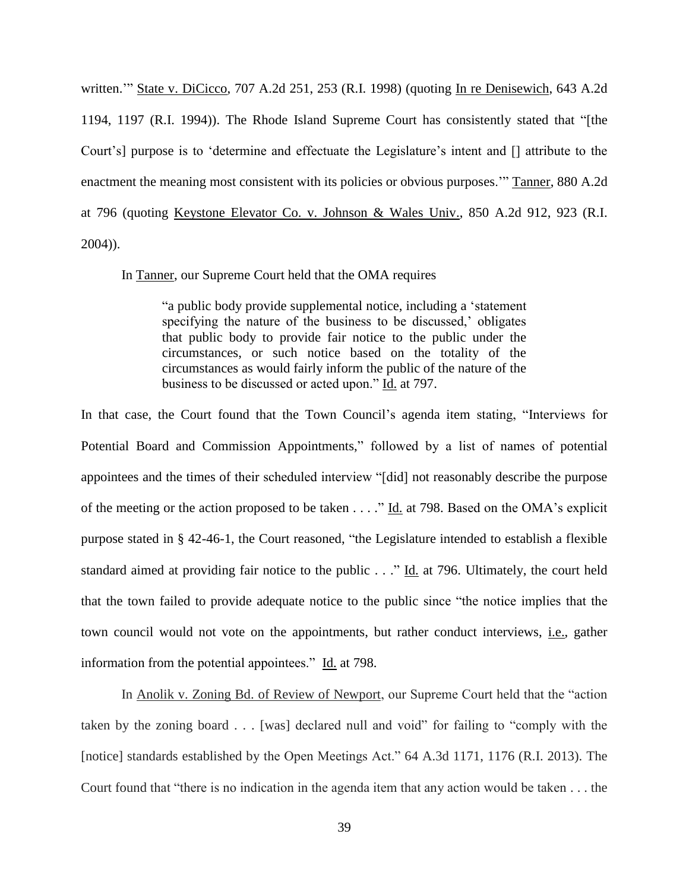written.'" State v. DiCicco, 707 A.2d 251, 253 (R.I. 1998) (quoting In re Denisewich, 643 A.2d 1194, 1197 (R.I. 1994)). The Rhode Island Supreme Court has consistently stated that "[the Court's] purpose is to 'determine and effectuate the Legislature's intent and [] attribute to the enactment the meaning most consistent with its policies or obvious purposes.'" Tanner, 880 A.2d at 796 (quoting Keystone Elevator Co. v. Johnson & Wales Univ., 850 A.2d 912, 923 (R.I. 2004)).

In Tanner, our Supreme Court held that the OMA requires

"a public body provide supplemental notice, including a 'statement specifying the nature of the business to be discussed,' obligates that public body to provide fair notice to the public under the circumstances, or such notice based on the totality of the circumstances as would fairly inform the public of the nature of the business to be discussed or acted upon." Id. at 797.

In that case, the Court found that the Town Council's agenda item stating, "Interviews for Potential Board and Commission Appointments," followed by a list of names of potential appointees and the times of their scheduled interview "[did] not reasonably describe the purpose of the meeting or the action proposed to be taken . . . ." Id. at 798. Based on the OMA's explicit purpose stated in § 42-46-1, the Court reasoned, "the Legislature intended to establish a flexible standard aimed at providing fair notice to the public . . ." Id. at 796. Ultimately, the court held that the town failed to provide adequate notice to the public since "the notice implies that the town council would not vote on the appointments, but rather conduct interviews, i.e., gather information from the potential appointees." Id. at 798.

In Anolik v. Zoning Bd. of Review of Newport, our Supreme Court held that the "action taken by the zoning board . . . [was] declared null and void" for failing to "comply with the [notice] standards established by the Open Meetings Act." 64 A.3d 1171, 1176 (R.I. 2013). The Court found that "there is no indication in the agenda item that any action would be taken . . . the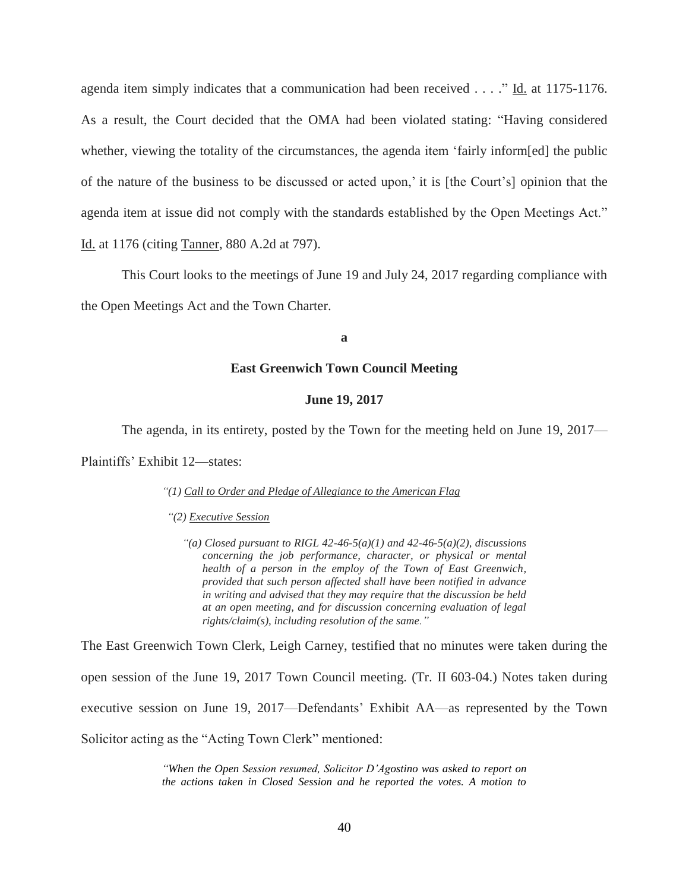agenda item simply indicates that a communication had been received . . . ." Id. at 1175-1176. As a result, the Court decided that the OMA had been violated stating: "Having considered whether, viewing the totality of the circumstances, the agenda item 'fairly inform[ed] the public of the nature of the business to be discussed or acted upon,' it is [the Court's] opinion that the agenda item at issue did not comply with the standards established by the Open Meetings Act." Id. at 1176 (citing Tanner, 880 A.2d at 797).

This Court looks to the meetings of June 19 and July 24, 2017 regarding compliance with the Open Meetings Act and the Town Charter.

**a**

# **East Greenwich Town Council Meeting**

## **June 19, 2017**

The agenda, in its entirety, posted by the Town for the meeting held on June 19, 2017—

Plaintiffs' Exhibit 12—states:

#### *"(1) Call to Order and Pledge of Allegiance to the American Flag*

*"(2) Executive Session*

*"(a) Closed pursuant to RIGL 42-46-5(a)(1) and 42-46-5(a)(2), discussions concerning the job performance, character, or physical or mental health of a person in the employ of the Town of East Greenwich, provided that such person affected shall have been notified in advance in writing and advised that they may require that the discussion be held at an open meeting, and for discussion concerning evaluation of legal rights/claim(s), including resolution of the same."*

The East Greenwich Town Clerk, Leigh Carney, testified that no minutes were taken during the open session of the June 19, 2017 Town Council meeting. (Tr. II 603-04.) Notes taken during executive session on June 19, 2017—Defendants' Exhibit AA—as represented by the Town Solicitor acting as the "Acting Town Clerk" mentioned:

> *"When the Open Session resumed, Solicitor D'Agostino was asked to report on the actions taken in Closed Session and he reported the votes. A motion to*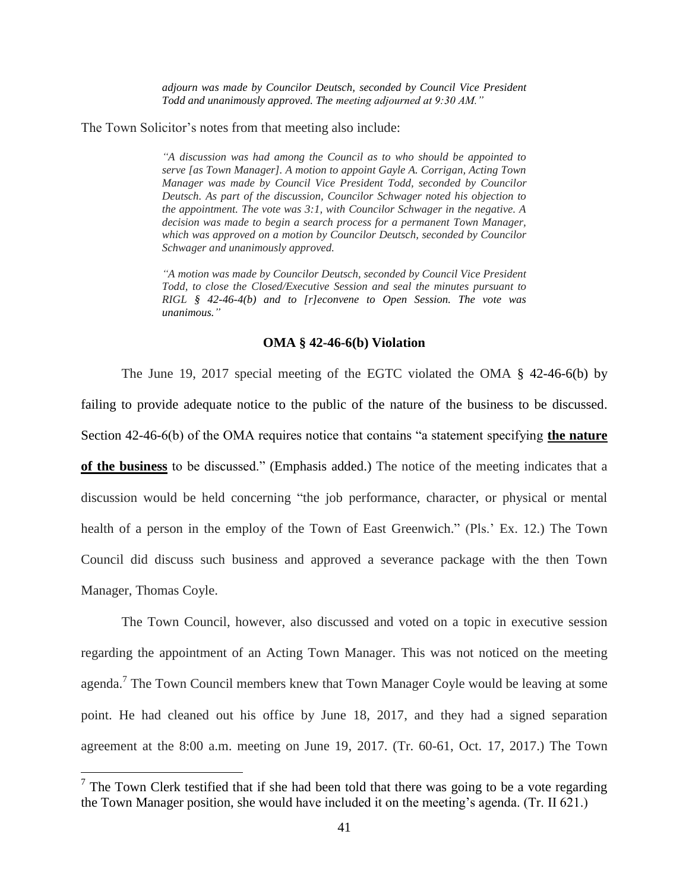*adjourn was made by Councilor Deutsch, seconded by Council Vice President Todd and unanimously approved. The meeting adjourned at 9:30 AM."*

The Town Solicitor's notes from that meeting also include:

*"A discussion was had among the Council as to who should be appointed to serve [as Town Manager]. A motion to appoint Gayle A. Corrigan, Acting Town Manager was made by Council Vice President Todd, seconded by Councilor Deutsch. As part of the discussion, Councilor Schwager noted his objection to the appointment. The vote was 3:1, with Councilor Schwager in the negative. A decision was made to begin a search process for a permanent Town Manager, which was approved on a motion by Councilor Deutsch, seconded by Councilor Schwager and unanimously approved.* 

*"A motion was made by Councilor Deutsch, seconded by Council Vice President Todd, to close the Closed/Executive Session and seal the minutes pursuant to RIGL § 42-46-4(b) and to [r]econvene to Open Session. The vote was unanimous."*

#### **OMA § 42-46-6(b) Violation**

The June 19, 2017 special meeting of the EGTC violated the OMA § 42-46-6(b) by failing to provide adequate notice to the public of the nature of the business to be discussed. Section 42-46-6(b) of the OMA requires notice that contains "a statement specifying **the nature of the business** to be discussed." (Emphasis added.) The notice of the meeting indicates that a discussion would be held concerning "the job performance, character, or physical or mental health of a person in the employ of the Town of East Greenwich." (Pls.' Ex. 12.) The Town Council did discuss such business and approved a severance package with the then Town Manager, Thomas Coyle.

The Town Council, however, also discussed and voted on a topic in executive session regarding the appointment of an Acting Town Manager. This was not noticed on the meeting agenda.<sup>7</sup> The Town Council members knew that Town Manager Coyle would be leaving at some point. He had cleaned out his office by June 18, 2017, and they had a signed separation agreement at the 8:00 a.m. meeting on June 19, 2017. (Tr. 60-61, Oct. 17, 2017.) The Town

 $\overline{a}$ 

 $<sup>7</sup>$  The Town Clerk testified that if she had been told that there was going to be a vote regarding</sup> the Town Manager position, she would have included it on the meeting's agenda. (Tr. II 621.)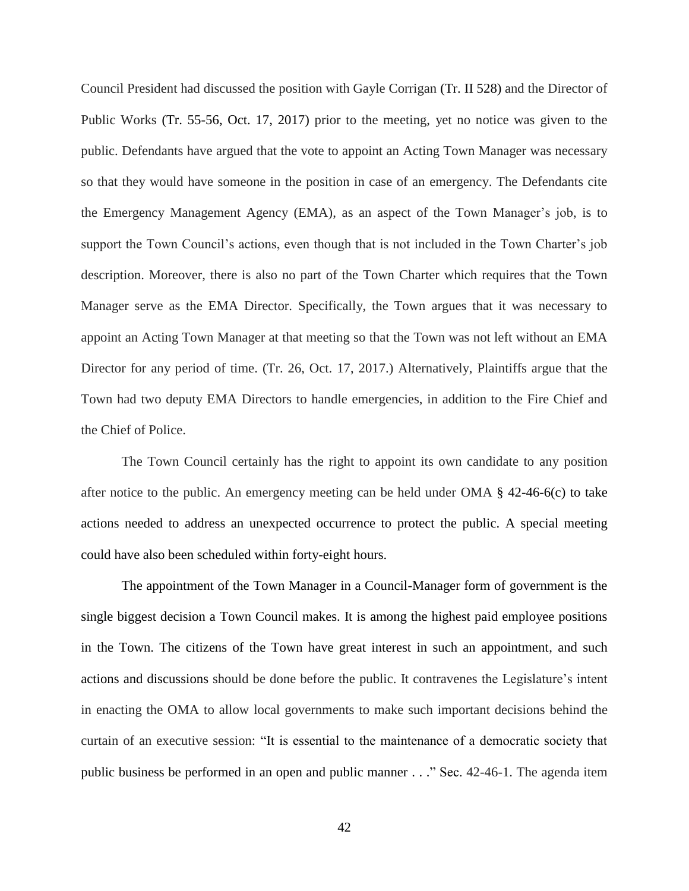Council President had discussed the position with Gayle Corrigan (Tr. II 528) and the Director of Public Works (Tr. 55-56, Oct. 17, 2017) prior to the meeting, yet no notice was given to the public. Defendants have argued that the vote to appoint an Acting Town Manager was necessary so that they would have someone in the position in case of an emergency. The Defendants cite the Emergency Management Agency (EMA), as an aspect of the Town Manager's job, is to support the Town Council's actions, even though that is not included in the Town Charter's job description. Moreover, there is also no part of the Town Charter which requires that the Town Manager serve as the EMA Director. Specifically, the Town argues that it was necessary to appoint an Acting Town Manager at that meeting so that the Town was not left without an EMA Director for any period of time. (Tr. 26, Oct. 17, 2017.) Alternatively, Plaintiffs argue that the Town had two deputy EMA Directors to handle emergencies, in addition to the Fire Chief and the Chief of Police.

The Town Council certainly has the right to appoint its own candidate to any position after notice to the public. An emergency meeting can be held under OMA  $\S$  42-46-6(c) to take actions needed to address an unexpected occurrence to protect the public. A special meeting could have also been scheduled within forty-eight hours.

The appointment of the Town Manager in a Council-Manager form of government is the single biggest decision a Town Council makes. It is among the highest paid employee positions in the Town. The citizens of the Town have great interest in such an appointment, and such actions and discussions should be done before the public. It contravenes the Legislature's intent in enacting the OMA to allow local governments to make such important decisions behind the curtain of an executive session: "It is essential to the maintenance of a democratic society that public business be performed in an open and public manner . . ." Sec. 42-46-1. The agenda item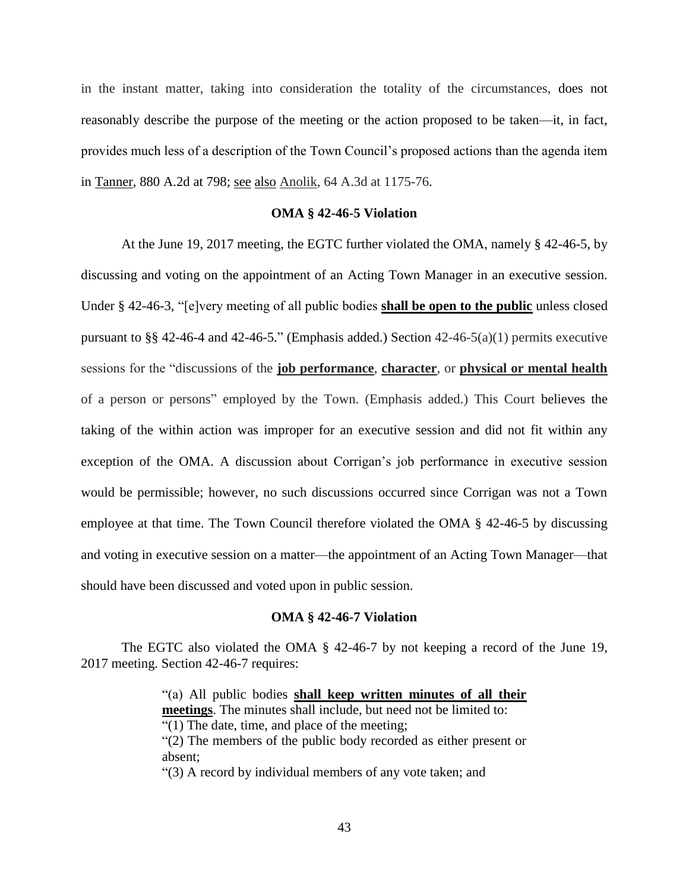in the instant matter, taking into consideration the totality of the circumstances, does not reasonably describe the purpose of the meeting or the action proposed to be taken—it, in fact, provides much less of a description of the Town Council's proposed actions than the agenda item in Tanner, 880 A.2d at 798; see also Anolik, 64 A.3d at 1175-76.

## **OMA § 42-46-5 Violation**

At the June 19, 2017 meeting, the EGTC further violated the OMA, namely § 42-46-5, by discussing and voting on the appointment of an Acting Town Manager in an executive session. Under § 42-46-3, "[e]very meeting of all public bodies **shall be open to the public** unless closed pursuant to §§ 42-46-4 and 42-46-5." (Emphasis added.) Section  $42-46-5(a)(1)$  permits executive sessions for the "discussions of the **job performance**, **character**, or **physical or mental health** of a person or persons" employed by the Town. (Emphasis added.) This Court believes the taking of the within action was improper for an executive session and did not fit within any exception of the OMA. A discussion about Corrigan's job performance in executive session would be permissible; however, no such discussions occurred since Corrigan was not a Town employee at that time. The Town Council therefore violated the OMA § 42-46-5 by discussing and voting in executive session on a matter—the appointment of an Acting Town Manager—that should have been discussed and voted upon in public session.

## **OMA § 42-46-7 Violation**

The EGTC also violated the OMA § 42-46-7 by not keeping a record of the June 19, 2017 meeting. Section 42-46-7 requires:

> "(a) All public bodies **shall keep written minutes of all their meetings**. The minutes shall include, but need not be limited to: "(1) The date, time, and place of the meeting; "(2) The members of the public body recorded as either present or absent; "(3) A record by individual members of any vote taken; and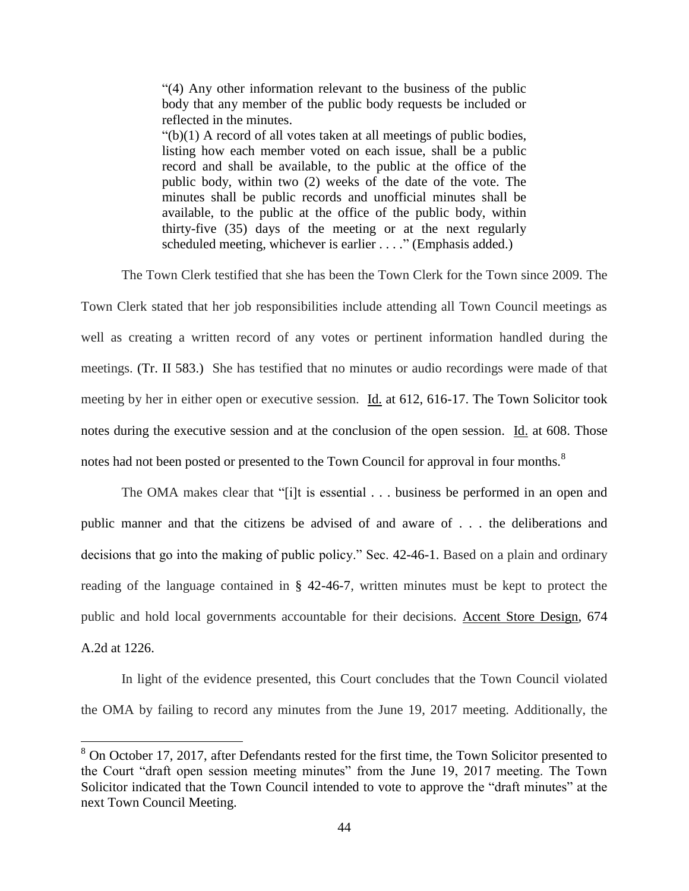"(4) Any other information relevant to the business of the public body that any member of the public body requests be included or reflected in the minutes.

 $"(b)(1)$  A record of all votes taken at all meetings of public bodies, listing how each member voted on each issue, shall be a public record and shall be available, to the public at the office of the public body, within two (2) weeks of the date of the vote. The minutes shall be public records and unofficial minutes shall be available, to the public at the office of the public body, within thirty-five (35) days of the meeting or at the next regularly scheduled meeting, whichever is earlier . . . ." (Emphasis added.)

The Town Clerk testified that she has been the Town Clerk for the Town since 2009. The

Town Clerk stated that her job responsibilities include attending all Town Council meetings as well as creating a written record of any votes or pertinent information handled during the meetings. (Tr. II 583.) She has testified that no minutes or audio recordings were made of that meeting by her in either open or executive session. Id. at 612, 616-17. The Town Solicitor took notes during the executive session and at the conclusion of the open session. Id. at 608. Those notes had not been posted or presented to the Town Council for approval in four months.<sup>8</sup>

The OMA makes clear that "[i]t is essential . . . business be performed in an open and public manner and that the citizens be advised of and aware of . . . the deliberations and decisions that go into the making of public policy." Sec. 42-46-1. Based on a plain and ordinary reading of the language contained in § 42-46-7, written minutes must be kept to protect the public and hold local governments accountable for their decisions. Accent Store Design, 674 A.2d at 1226.

In light of the evidence presented, this Court concludes that the Town Council violated the OMA by failing to record any minutes from the June 19, 2017 meeting. Additionally, the

 $\overline{a}$ 

 $8$  On October 17, 2017, after Defendants rested for the first time, the Town Solicitor presented to the Court "draft open session meeting minutes" from the June 19, 2017 meeting. The Town Solicitor indicated that the Town Council intended to vote to approve the "draft minutes" at the next Town Council Meeting.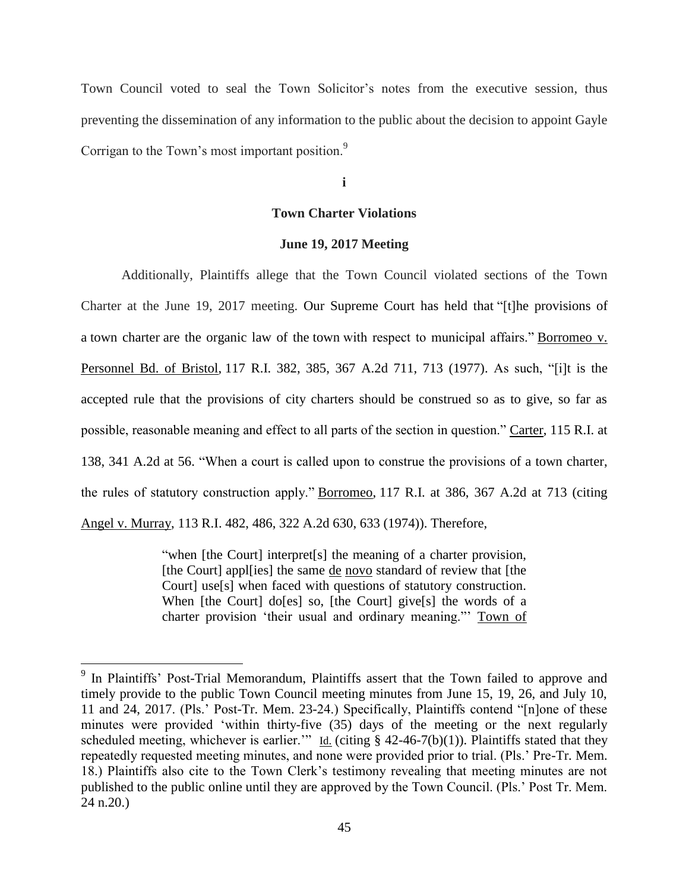Town Council voted to seal the Town Solicitor's notes from the executive session, thus preventing the dissemination of any information to the public about the decision to appoint Gayle Corrigan to the Town's most important position.<sup>9</sup>

**i**

# **Town Charter Violations**

# **June 19, 2017 Meeting**

Additionally, Plaintiffs allege that the Town Council violated sections of the Town Charter at the June 19, 2017 meeting. Our Supreme Court has held that "[t]he provisions of a town charter are the organic law of the town with respect to municipal affairs." Borromeo v. Personnel Bd. of Bristol, 117 R.I. 382, 385, 367 A.2d 711, 713 (1977). As such, "[i]t is the accepted rule that the provisions of city charters should be construed so as to give, so far as possible, reasonable meaning and effect to all parts of the section in question." Carter, 115 R.I. at 138, 341 A.2d at 56. "When a court is called upon to construe the provisions of a town charter, the rules of statutory construction apply." Borromeo, 117 R.I. at 386, 367 A.2d at 713 (citing Angel v. Murray, 113 R.I. 482, 486, 322 A.2d 630, 633 (1974)). Therefore,

> "when [the Court] interpret[s] the meaning of a charter provision, [the Court] appl[ies] the same de novo standard of review that [the Court] use[s] when faced with questions of statutory construction. When [the Court] do[es] so, [the Court] give[s] the words of a charter provision 'their usual and ordinary meaning."' Town of

<sup>&</sup>lt;sup>9</sup> In Plaintiffs' Post-Trial Memorandum, Plaintiffs assert that the Town failed to approve and timely provide to the public Town Council meeting minutes from June 15, 19, 26, and July 10, 11 and 24, 2017. (Pls.' Post-Tr. Mem. 23-24.) Specifically, Plaintiffs contend "[n]one of these minutes were provided 'within thirty-five (35) days of the meeting or the next regularly scheduled meeting, whichever is earlier." Id. (citing § 42-46-7(b)(1)). Plaintiffs stated that they repeatedly requested meeting minutes, and none were provided prior to trial. (Pls.' Pre-Tr. Mem. 18.) Plaintiffs also cite to the Town Clerk's testimony revealing that meeting minutes are not published to the public online until they are approved by the Town Council. (Pls.' Post Tr. Mem. 24 n.20.)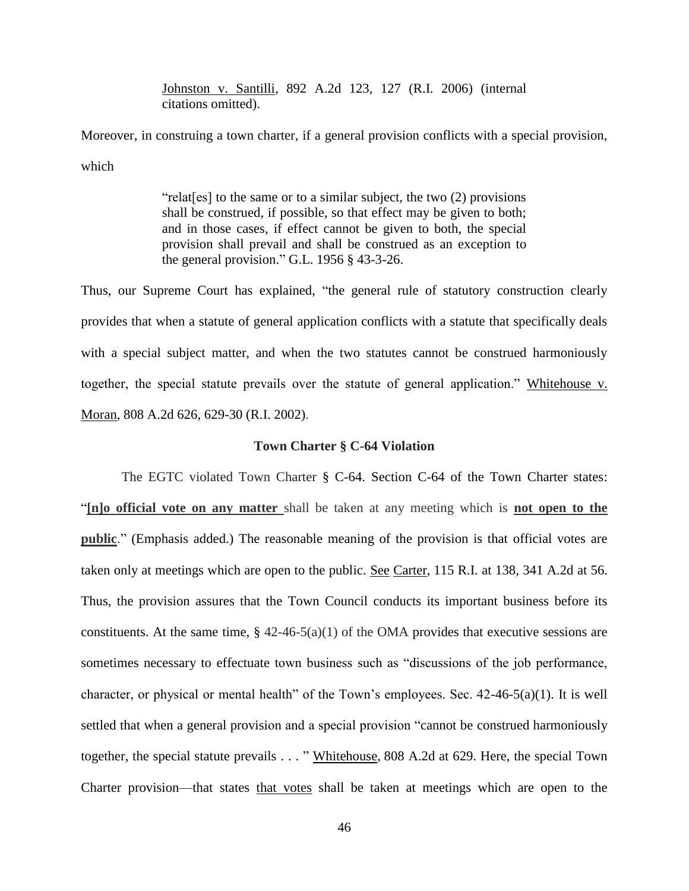Johnston v. Santilli, 892 A.2d 123, 127 (R.I. 2006) (internal citations omitted).

Moreover, in construing a town charter, if a general provision conflicts with a special provision, which

> "relat[es] to the same or to a similar subject, the two (2) provisions shall be construed, if possible, so that effect may be given to both; and in those cases, if effect cannot be given to both, the special provision shall prevail and shall be construed as an exception to the general provision." G.L. 1956 § 43-3-26.

Thus, our Supreme Court has explained, "the general rule of statutory construction clearly provides that when a statute of general application conflicts with a statute that specifically deals with a special subject matter, and when the two statutes cannot be construed harmoniously together, the special statute prevails over the statute of general application." Whitehouse v. Moran*,* 808 A.2d 626, 629-30 (R.I. 2002).

## **Town Charter § C-64 Violation**

The EGTC violated Town Charter § C-64. Section C-64 of the Town Charter states: "**[n]o official vote on any matter** shall be taken at any meeting which is **not open to the public**." (Emphasis added.) The reasonable meaning of the provision is that official votes are taken only at meetings which are open to the public. See Carter, 115 R.I. at 138, 341 A.2d at 56. Thus, the provision assures that the Town Council conducts its important business before its constituents. At the same time,  $\S$  42-46-5(a)(1) of the OMA provides that executive sessions are sometimes necessary to effectuate town business such as "discussions of the job performance, character, or physical or mental health" of the Town's employees. Sec. 42-46-5(a)(1). It is well settled that when a general provision and a special provision "cannot be construed harmoniously together, the special statute prevails . . . " Whitehouse*,* 808 A.2d at 629. Here, the special Town Charter provision—that states that votes shall be taken at meetings which are open to the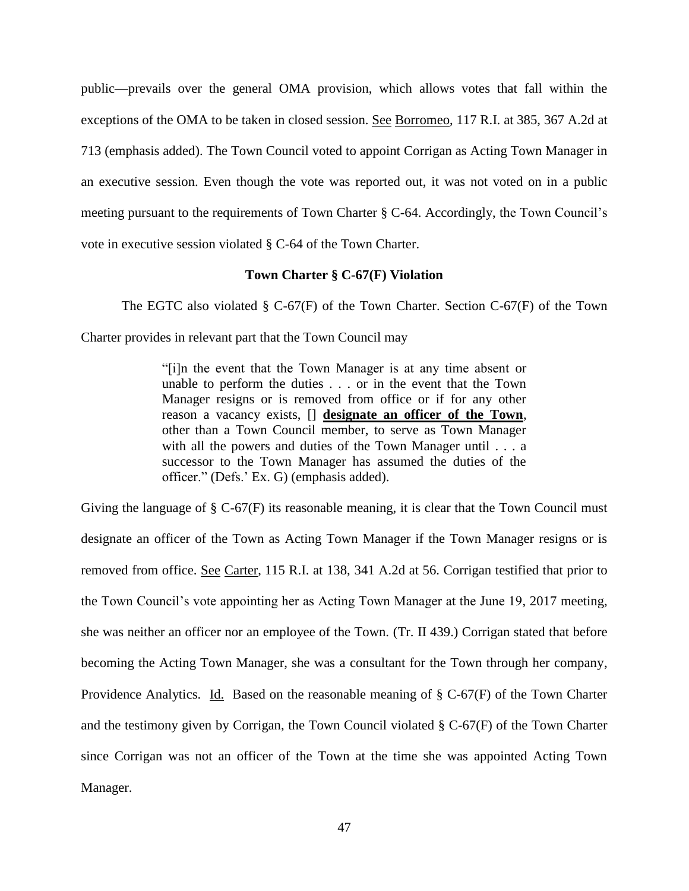public—prevails over the general OMA provision, which allows votes that fall within the exceptions of the OMA to be taken in closed session. See Borromeo, 117 R.I. at 385, 367 A.2d at 713 (emphasis added). The Town Council voted to appoint Corrigan as Acting Town Manager in an executive session. Even though the vote was reported out, it was not voted on in a public meeting pursuant to the requirements of Town Charter § C-64. Accordingly, the Town Council's vote in executive session violated § C-64 of the Town Charter.

# **Town Charter § C-67(F) Violation**

The EGTC also violated  $\S$  C-67(F) of the Town Charter. Section C-67(F) of the Town Charter provides in relevant part that the Town Council may

> "[i]n the event that the Town Manager is at any time absent or unable to perform the duties . . . or in the event that the Town Manager resigns or is removed from office or if for any other reason a vacancy exists, [] **designate an officer of the Town**, other than a Town Council member, to serve as Town Manager with all the powers and duties of the Town Manager until . . . a successor to the Town Manager has assumed the duties of the officer." (Defs.' Ex. G) (emphasis added).

Giving the language of  $\S$  C-67(F) its reasonable meaning, it is clear that the Town Council must designate an officer of the Town as Acting Town Manager if the Town Manager resigns or is removed from office. See Carter, 115 R.I. at 138, 341 A.2d at 56. Corrigan testified that prior to the Town Council's vote appointing her as Acting Town Manager at the June 19, 2017 meeting, she was neither an officer nor an employee of the Town. (Tr. II 439.) Corrigan stated that before becoming the Acting Town Manager, she was a consultant for the Town through her company, Providence Analytics. Id. Based on the reasonable meaning of § C-67(F) of the Town Charter and the testimony given by Corrigan, the Town Council violated  $\S$  C-67(F) of the Town Charter since Corrigan was not an officer of the Town at the time she was appointed Acting Town Manager.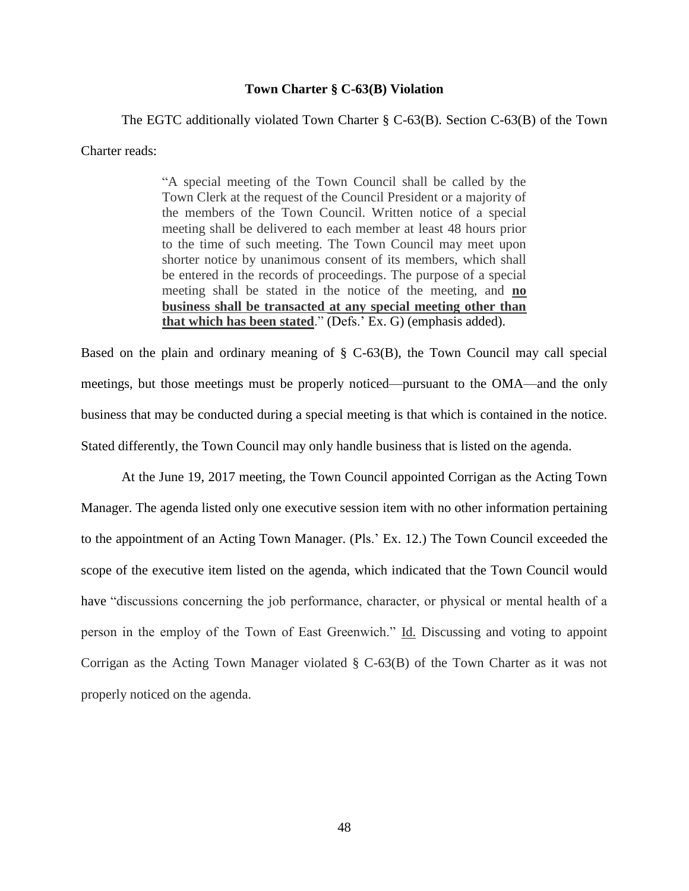# **Town Charter § C-63(B) Violation**

The EGTC additionally violated Town Charter § C-63(B). Section C-63(B) of the Town Charter reads:

> "A special meeting of the Town Council shall be called by the Town Clerk at the request of the Council President or a majority of the members of the Town Council. Written notice of a special meeting shall be delivered to each member at least 48 hours prior to the time of such meeting. The Town Council may meet upon shorter notice by unanimous consent of its members, which shall be entered in the records of proceedings. The purpose of a special meeting shall be stated in the notice of the meeting, and **no business shall be transacted at any special meeting other than that which has been stated**." (Defs.' Ex. G) (emphasis added).

Based on the plain and ordinary meaning of § C-63(B), the Town Council may call special meetings, but those meetings must be properly noticed—pursuant to the OMA—and the only business that may be conducted during a special meeting is that which is contained in the notice. Stated differently, the Town Council may only handle business that is listed on the agenda.

At the June 19, 2017 meeting, the Town Council appointed Corrigan as the Acting Town Manager. The agenda listed only one executive session item with no other information pertaining to the appointment of an Acting Town Manager. (Pls.' Ex. 12.) The Town Council exceeded the scope of the executive item listed on the agenda, which indicated that the Town Council would have "discussions concerning the job performance, character, or physical or mental health of a person in the employ of the Town of East Greenwich." Id. Discussing and voting to appoint Corrigan as the Acting Town Manager violated § C-63(B) of the Town Charter as it was not properly noticed on the agenda.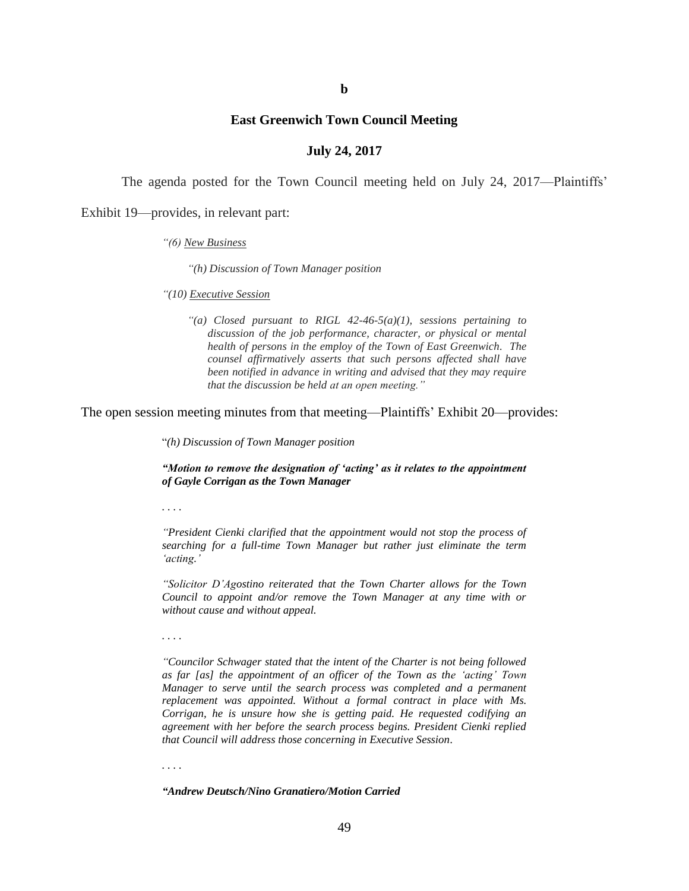## **East Greenwich Town Council Meeting**

## **July 24, 2017**

The agenda posted for the Town Council meeting held on July 24, 2017—Plaintiffs'

Exhibit 19—provides, in relevant part:

#### *"(6) New Business*

*"(h) Discussion of Town Manager position*

*"(10) Executive Session*

*"(a) Closed pursuant to RIGL 42-46-5(a)(1), sessions pertaining to discussion of the job performance, character, or physical or mental health of persons in the employ of the Town of East Greenwich. The counsel affirmatively asserts that such persons affected shall have been notified in advance in writing and advised that they may require that the discussion be held at an open meeting."*

The open session meeting minutes from that meeting—Plaintiffs' Exhibit 20—provides:

"*(h) Discussion of Town Manager position*

*"Motion to remove the designation of 'acting' as it relates to the appointment of Gayle Corrigan as the Town Manager*

*. . . .*

*"President Cienki clarified that the appointment would not stop the process of searching for a full-time Town Manager but rather just eliminate the term 'acting.'*

*"Solicitor D'Agostino reiterated that the Town Charter allows for the Town Council to appoint and/or remove the Town Manager at any time with or without cause and without appeal.* 

*. . . .*

*"Councilor Schwager stated that the intent of the Charter is not being followed as far [as] the appointment of an officer of the Town as the 'acting' Town Manager to serve until the search process was completed and a permanent replacement was appointed. Without a formal contract in place with Ms. Corrigan, he is unsure how she is getting paid. He requested codifying an agreement with her before the search process begins. President Cienki replied that Council will address those concerning in Executive Session.*

*. . . .*

*"Andrew Deutsch/Nino Granatiero/Motion Carried*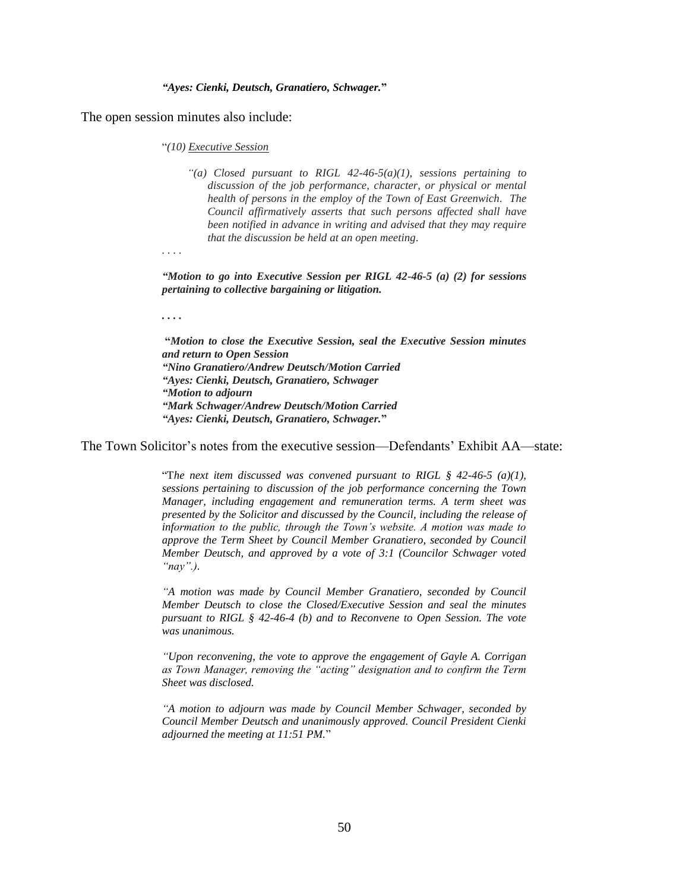#### *"Ayes: Cienki, Deutsch, Granatiero, Schwager.***"**

The open session minutes also include:

"*(10) Executive Session*

*"(a) Closed pursuant to RIGL 42-46-5(a)(1), sessions pertaining to discussion of the job performance, character, or physical or mental health of persons in the employ of the Town of East Greenwich. The Council affirmatively asserts that such persons affected shall have been notified in advance in writing and advised that they may require that the discussion be held at an open meeting.* 

*. . . .*

*"Motion to go into Executive Session per RIGL 42-46-5 (a) (2) for sessions pertaining to collective bargaining or litigation.*

*. . . .*

**"***Motion to close the Executive Session, seal the Executive Session minutes and return to Open Session "Nino Granatiero/Andrew Deutsch/Motion Carried "Ayes: Cienki, Deutsch, Granatiero, Schwager "Motion to adjourn "Mark Schwager/Andrew Deutsch/Motion Carried "Ayes: Cienki, Deutsch, Granatiero, Schwager.***"**

The Town Solicitor's notes from the executive session—Defendants' Exhibit AA—state:

"The next item discussed was convened pursuant to RIGL  $\S$  42-46-5 (a)(1), *sessions pertaining to discussion of the job performance concerning the Town Manager, including engagement and remuneration terms. A term sheet was presented by the Solicitor and discussed by the Council, including the release of information to the public, through the Town's website. A motion was made to approve the Term Sheet by Council Member Granatiero, seconded by Council Member Deutsch, and approved by a vote of 3:1 (Councilor Schwager voted "nay".).*

*"A motion was made by Council Member Granatiero, seconded by Council Member Deutsch to close the Closed/Executive Session and seal the minutes pursuant to RIGL § 42-46-4 (b) and to Reconvene to Open Session. The vote was unanimous.* 

*"Upon reconvening, the vote to approve the engagement of Gayle A. Corrigan as Town Manager, removing the "acting" designation and to confirm the Term Sheet was disclosed.*

*"A motion to adjourn was made by Council Member Schwager, seconded by Council Member Deutsch and unanimously approved. Council President Cienki adjourned the meeting at 11:51 PM.*"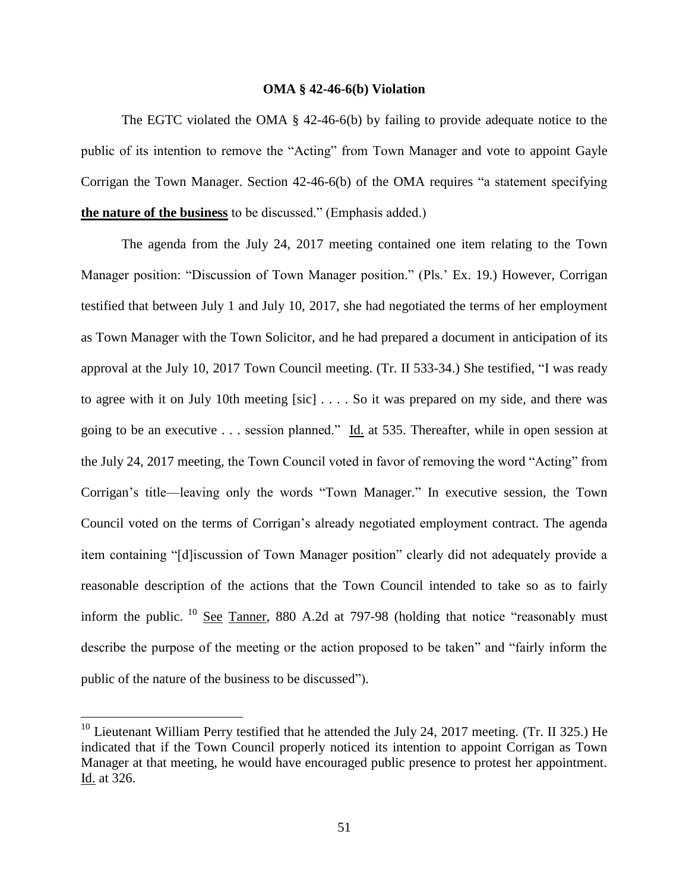### **OMA § 42-46-6(b) Violation**

The EGTC violated the OMA § 42-46-6(b) by failing to provide adequate notice to the public of its intention to remove the "Acting" from Town Manager and vote to appoint Gayle Corrigan the Town Manager. Section 42-46-6(b) of the OMA requires "a statement specifying **the nature of the business** to be discussed." (Emphasis added.)

The agenda from the July 24, 2017 meeting contained one item relating to the Town Manager position: "Discussion of Town Manager position." (Pls.' Ex. 19.) However, Corrigan testified that between July 1 and July 10, 2017, she had negotiated the terms of her employment as Town Manager with the Town Solicitor, and he had prepared a document in anticipation of its approval at the July 10, 2017 Town Council meeting. (Tr. II 533-34.) She testified, "I was ready to agree with it on July 10th meeting [sic] . . . . So it was prepared on my side, and there was going to be an executive . . . session planned." Id. at 535. Thereafter, while in open session at the July 24, 2017 meeting, the Town Council voted in favor of removing the word "Acting" from Corrigan's title—leaving only the words "Town Manager." In executive session, the Town Council voted on the terms of Corrigan's already negotiated employment contract. The agenda item containing "[d]iscussion of Town Manager position" clearly did not adequately provide a reasonable description of the actions that the Town Council intended to take so as to fairly inform the public.  $^{10}$  See Tanner, 880 A.2d at 797-98 (holding that notice "reasonably must describe the purpose of the meeting or the action proposed to be taken" and "fairly inform the public of the nature of the business to be discussed").

 $\overline{a}$ 

 $10$  Lieutenant William Perry testified that he attended the July 24, 2017 meeting. (Tr. II 325.) He indicated that if the Town Council properly noticed its intention to appoint Corrigan as Town Manager at that meeting, he would have encouraged public presence to protest her appointment. Id. at 326.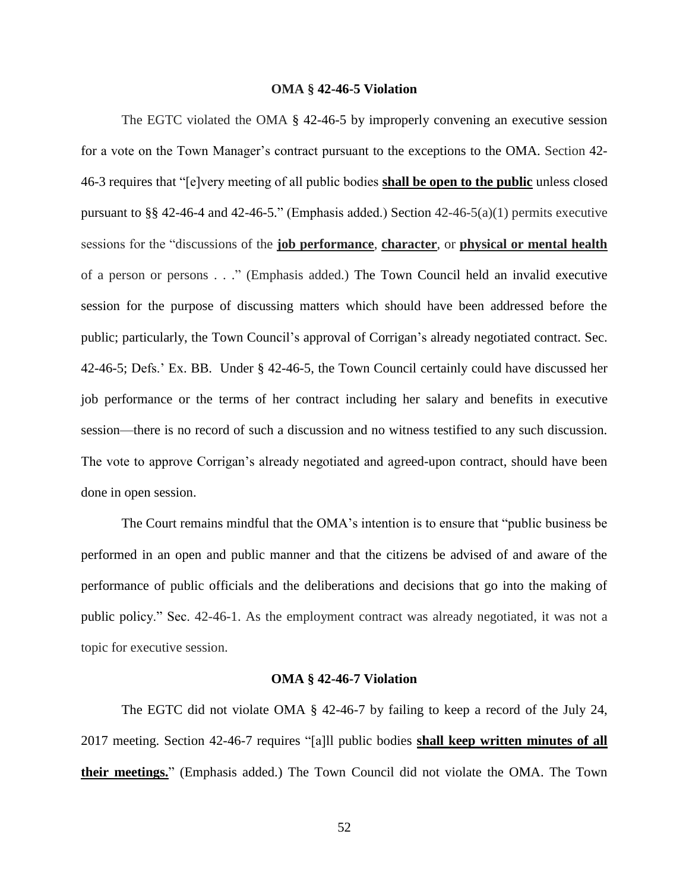# **OMA § 42-46-5 Violation**

The EGTC violated the OMA § 42-46-5 by improperly convening an executive session for a vote on the Town Manager's contract pursuant to the exceptions to the OMA. Section 42- 46-3 requires that "[e]very meeting of all public bodies **shall be open to the public** unless closed pursuant to §§ 42-46-4 and 42-46-5." (Emphasis added.) Section  $42-46-5(a)(1)$  permits executive sessions for the "discussions of the **job performance**, **character**, or **physical or mental health** of a person or persons . . ." (Emphasis added.) The Town Council held an invalid executive session for the purpose of discussing matters which should have been addressed before the public; particularly, the Town Council's approval of Corrigan's already negotiated contract. Sec. 42-46-5; Defs.' Ex. BB. Under § 42-46-5, the Town Council certainly could have discussed her job performance or the terms of her contract including her salary and benefits in executive session—there is no record of such a discussion and no witness testified to any such discussion. The vote to approve Corrigan's already negotiated and agreed-upon contract, should have been done in open session.

The Court remains mindful that the OMA's intention is to ensure that "public business be performed in an open and public manner and that the citizens be advised of and aware of the performance of public officials and the deliberations and decisions that go into the making of public policy." Sec. 42-46-1. As the employment contract was already negotiated, it was not a topic for executive session.

#### **OMA § 42-46-7 Violation**

The EGTC did not violate OMA § 42-46-7 by failing to keep a record of the July 24, 2017 meeting. Section 42-46-7 requires "[a]ll public bodies **shall keep written minutes of all their meetings.**" (Emphasis added.) The Town Council did not violate the OMA. The Town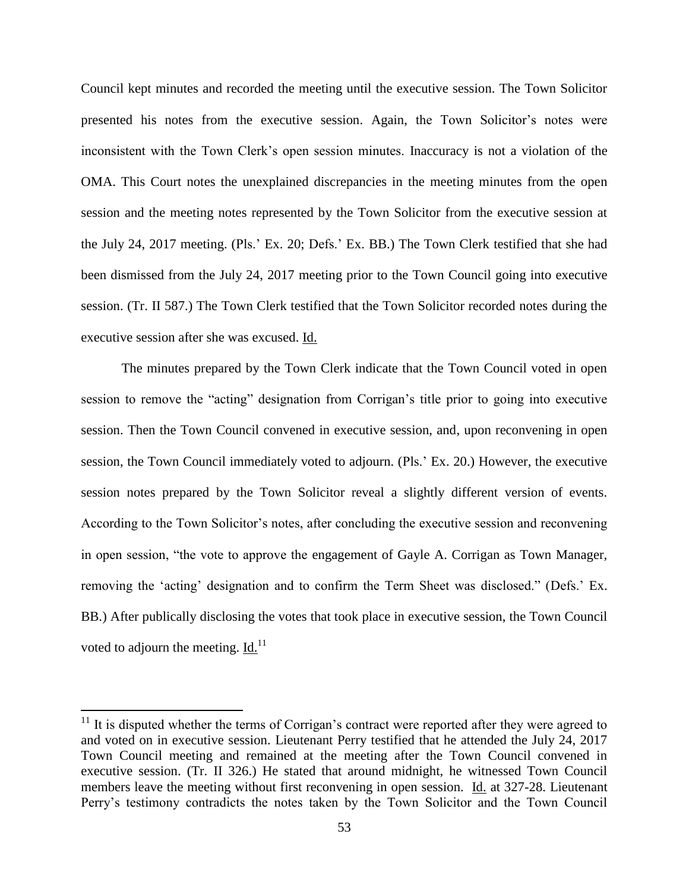Council kept minutes and recorded the meeting until the executive session. The Town Solicitor presented his notes from the executive session. Again, the Town Solicitor's notes were inconsistent with the Town Clerk's open session minutes. Inaccuracy is not a violation of the OMA. This Court notes the unexplained discrepancies in the meeting minutes from the open session and the meeting notes represented by the Town Solicitor from the executive session at the July 24, 2017 meeting. (Pls.' Ex. 20; Defs.' Ex. BB.) The Town Clerk testified that she had been dismissed from the July 24, 2017 meeting prior to the Town Council going into executive session. (Tr. II 587.) The Town Clerk testified that the Town Solicitor recorded notes during the executive session after she was excused. Id.

The minutes prepared by the Town Clerk indicate that the Town Council voted in open session to remove the "acting" designation from Corrigan's title prior to going into executive session. Then the Town Council convened in executive session, and, upon reconvening in open session, the Town Council immediately voted to adjourn. (Pls.' Ex. 20.) However, the executive session notes prepared by the Town Solicitor reveal a slightly different version of events. According to the Town Solicitor's notes, after concluding the executive session and reconvening in open session, "the vote to approve the engagement of Gayle A. Corrigan as Town Manager, removing the 'acting' designation and to confirm the Term Sheet was disclosed." (Defs.' Ex. BB.) After publically disclosing the votes that took place in executive session, the Town Council voted to adjourn the meeting.  $\underline{\text{Id.}}^{11}$ 

 $\overline{a}$ 

 $11$  It is disputed whether the terms of Corrigan's contract were reported after they were agreed to and voted on in executive session. Lieutenant Perry testified that he attended the July 24, 2017 Town Council meeting and remained at the meeting after the Town Council convened in executive session. (Tr. II 326.) He stated that around midnight, he witnessed Town Council members leave the meeting without first reconvening in open session. Id. at 327-28. Lieutenant Perry's testimony contradicts the notes taken by the Town Solicitor and the Town Council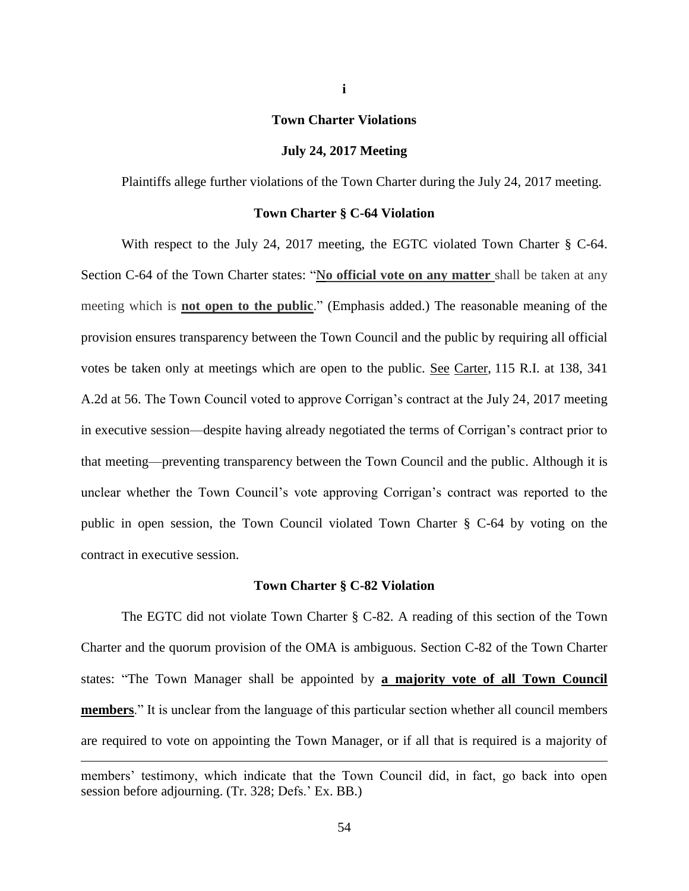#### **Town Charter Violations**

#### **July 24, 2017 Meeting**

Plaintiffs allege further violations of the Town Charter during the July 24, 2017 meeting.

## **Town Charter § C-64 Violation**

With respect to the July 24, 2017 meeting, the EGTC violated Town Charter § C-64. Section C-64 of the Town Charter states: "N**o official vote on any matter** shall be taken at any meeting which is **not open to the public**." (Emphasis added.) The reasonable meaning of the provision ensures transparency between the Town Council and the public by requiring all official votes be taken only at meetings which are open to the public. See Carter, 115 R.I. at 138, 341 A.2d at 56. The Town Council voted to approve Corrigan's contract at the July 24, 2017 meeting in executive session—despite having already negotiated the terms of Corrigan's contract prior to that meeting—preventing transparency between the Town Council and the public. Although it is unclear whether the Town Council's vote approving Corrigan's contract was reported to the public in open session, the Town Council violated Town Charter § C-64 by voting on the contract in executive session.

#### **Town Charter § C-82 Violation**

The EGTC did not violate Town Charter § C-82. A reading of this section of the Town Charter and the quorum provision of the OMA is ambiguous. Section C-82 of the Town Charter states: "The Town Manager shall be appointed by **a majority vote of all Town Council members**." It is unclear from the language of this particular section whether all council members are required to vote on appointing the Town Manager, or if all that is required is a majority of  $\overline{a}$ members' testimony, which indicate that the Town Council did, in fact, go back into open session before adjourning. (Tr. 328; Defs.' Ex. BB.)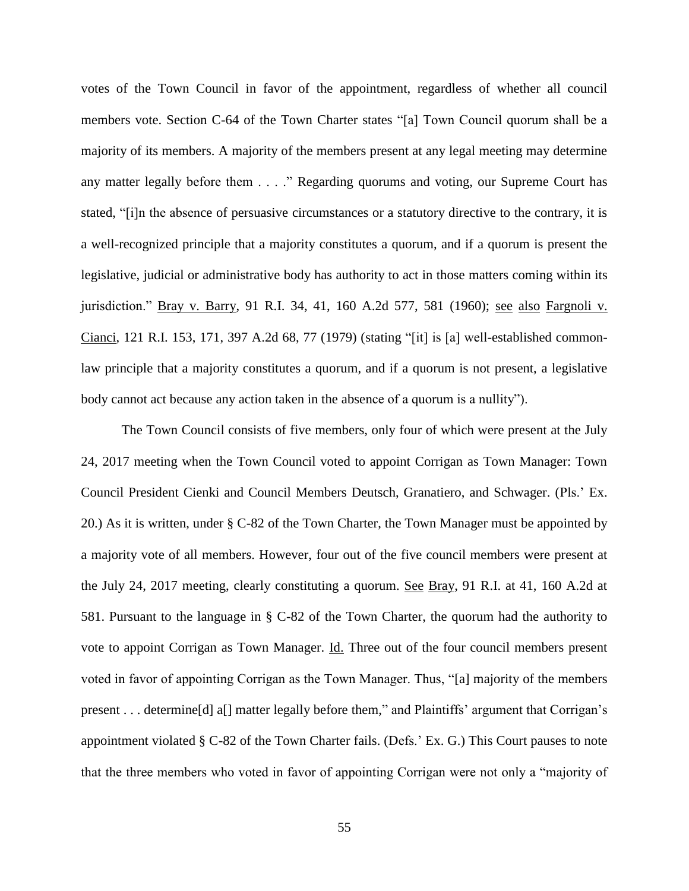votes of the Town Council in favor of the appointment, regardless of whether all council members vote. Section C-64 of the Town Charter states "[a] Town Council quorum shall be a majority of its members. A majority of the members present at any legal meeting may determine any matter legally before them . . . ." Regarding quorums and voting, our Supreme Court has stated, "[i]n the absence of persuasive circumstances or a statutory directive to the contrary, it is a well-recognized principle that a majority constitutes a quorum, and if a quorum is present the legislative, judicial or administrative body has authority to act in those matters coming within its jurisdiction." Bray v. Barry, 91 R.I. 34, 41, 160 A.2d 577, 581 (1960); see also Fargnoli v. Cianci, 121 R.I. 153, 171, 397 A.2d 68, 77 (1979) (stating "[it] is [a] well-established commonlaw principle that a majority constitutes a quorum, and if a quorum is not present, a legislative body cannot act because any action taken in the absence of a quorum is a nullity").

The Town Council consists of five members, only four of which were present at the July 24, 2017 meeting when the Town Council voted to appoint Corrigan as Town Manager: Town Council President Cienki and Council Members Deutsch, Granatiero, and Schwager. (Pls.' Ex. 20.) As it is written, under § C-82 of the Town Charter, the Town Manager must be appointed by a majority vote of all members. However, four out of the five council members were present at the July 24, 2017 meeting, clearly constituting a quorum. See Bray, 91 R.I. at 41, 160 A.2d at 581. Pursuant to the language in § C-82 of the Town Charter, the quorum had the authority to vote to appoint Corrigan as Town Manager. Id. Three out of the four council members present voted in favor of appointing Corrigan as the Town Manager. Thus, "[a] majority of the members present . . . determine[d] a[] matter legally before them," and Plaintiffs' argument that Corrigan's appointment violated § C-82 of the Town Charter fails. (Defs.' Ex. G.) This Court pauses to note that the three members who voted in favor of appointing Corrigan were not only a "majority of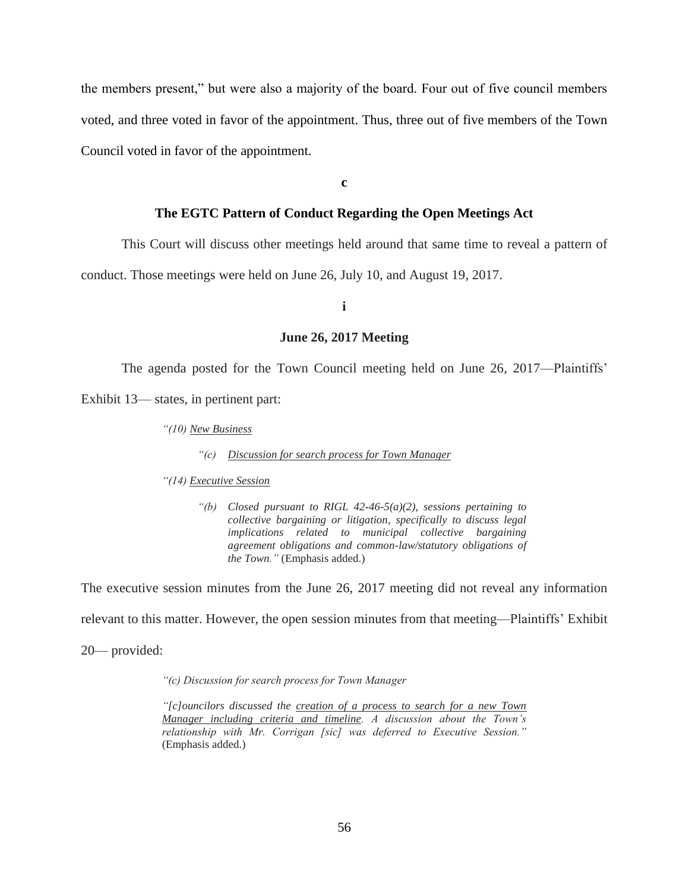the members present," but were also a majority of the board. Four out of five council members voted, and three voted in favor of the appointment. Thus, three out of five members of the Town Council voted in favor of the appointment.

**c**

# **The EGTC Pattern of Conduct Regarding the Open Meetings Act**

This Court will discuss other meetings held around that same time to reveal a pattern of

conduct. Those meetings were held on June 26, July 10, and August 19, 2017.

# **i**

### **June 26, 2017 Meeting**

The agenda posted for the Town Council meeting held on June 26, 2017—Plaintiffs'

Exhibit 13— states, in pertinent part:

*"(10) New Business*

*"(c) Discussion for search process for Town Manager*

*"(14) Executive Session*

*"(b) Closed pursuant to RIGL 42-46-5(a)(2), sessions pertaining to collective bargaining or litigation, specifically to discuss legal implications related to municipal collective bargaining agreement obligations and common-law/statutory obligations of the Town."* (Emphasis added.)

The executive session minutes from the June 26, 2017 meeting did not reveal any information

relevant to this matter. However, the open session minutes from that meeting—Plaintiffs' Exhibit

20— provided:

*"(c) Discussion for search process for Town Manager* 

*"[c]ouncilors discussed the creation of a process to search for a new Town Manager including criteria and timeline. A discussion about the Town's relationship with Mr. Corrigan [sic] was deferred to Executive Session."*  (Emphasis added.)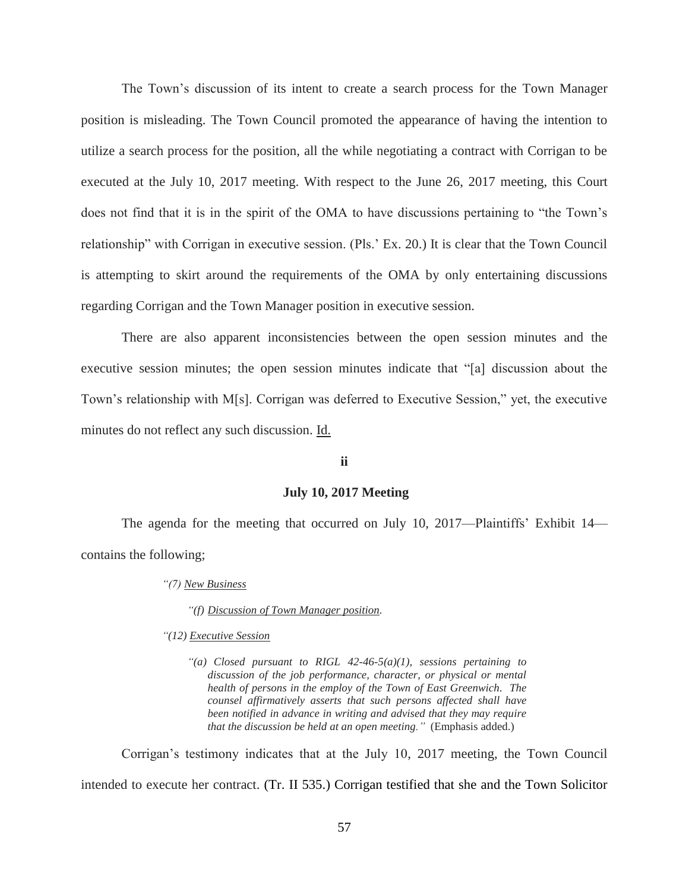The Town's discussion of its intent to create a search process for the Town Manager position is misleading. The Town Council promoted the appearance of having the intention to utilize a search process for the position, all the while negotiating a contract with Corrigan to be executed at the July 10, 2017 meeting. With respect to the June 26, 2017 meeting, this Court does not find that it is in the spirit of the OMA to have discussions pertaining to "the Town's relationship" with Corrigan in executive session. (Pls.' Ex. 20.) It is clear that the Town Council is attempting to skirt around the requirements of the OMA by only entertaining discussions regarding Corrigan and the Town Manager position in executive session.

There are also apparent inconsistencies between the open session minutes and the executive session minutes; the open session minutes indicate that "[a] discussion about the Town's relationship with M[s]. Corrigan was deferred to Executive Session," yet, the executive minutes do not reflect any such discussion. Id.

# **ii**

# **July 10, 2017 Meeting**

The agenda for the meeting that occurred on July 10, 2017—Plaintiffs' Exhibit 14 contains the following;

#### *"(7) New Business*

*"(f) Discussion of Town Manager position.* 

#### *"(12) Executive Session*

*"(a) Closed pursuant to RIGL 42-46-5(a)(1), sessions pertaining to discussion of the job performance, character, or physical or mental health of persons in the employ of the Town of East Greenwich. The counsel affirmatively asserts that such persons affected shall have been notified in advance in writing and advised that they may require that the discussion be held at an open meeting."* (Emphasis added.)

Corrigan's testimony indicates that at the July 10, 2017 meeting, the Town Council intended to execute her contract. (Tr. II 535.) Corrigan testified that she and the Town Solicitor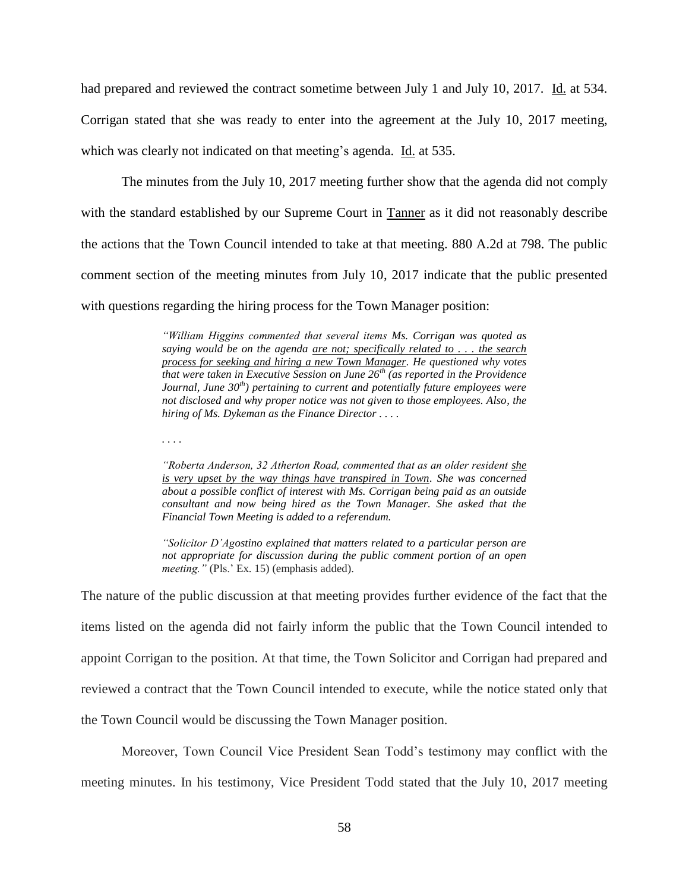had prepared and reviewed the contract sometime between July 1 and July 10, 2017. Id. at 534. Corrigan stated that she was ready to enter into the agreement at the July 10, 2017 meeting, which was clearly not indicated on that meeting's agenda. Id. at 535.

The minutes from the July 10, 2017 meeting further show that the agenda did not comply with the standard established by our Supreme Court in Tanner as it did not reasonably describe the actions that the Town Council intended to take at that meeting. 880 A.2d at 798. The public comment section of the meeting minutes from July 10, 2017 indicate that the public presented with questions regarding the hiring process for the Town Manager position:

> *"William Higgins commented that several items Ms. Corrigan was quoted as saying would be on the agenda are not; specifically related to . . . the search process for seeking and hiring a new Town Manager. He questioned why votes that were taken in Executive Session on June 26th (as reported in the Providence Journal, June 30th) pertaining to current and potentially future employees were not disclosed and why proper notice was not given to those employees. Also, the hiring of Ms. Dykeman as the Finance Director . . . .*

*. . . .* 

*"Roberta Anderson, 32 Atherton Road, commented that as an older resident she is very upset by the way things have transpired in Town. She was concerned about a possible conflict of interest with Ms. Corrigan being paid as an outside consultant and now being hired as the Town Manager. She asked that the Financial Town Meeting is added to a referendum.*

*"Solicitor D'Agostino explained that matters related to a particular person are not appropriate for discussion during the public comment portion of an open meeting."* (Pls.' Ex. 15) (emphasis added).

The nature of the public discussion at that meeting provides further evidence of the fact that the items listed on the agenda did not fairly inform the public that the Town Council intended to appoint Corrigan to the position. At that time, the Town Solicitor and Corrigan had prepared and reviewed a contract that the Town Council intended to execute, while the notice stated only that the Town Council would be discussing the Town Manager position.

Moreover, Town Council Vice President Sean Todd's testimony may conflict with the meeting minutes. In his testimony, Vice President Todd stated that the July 10, 2017 meeting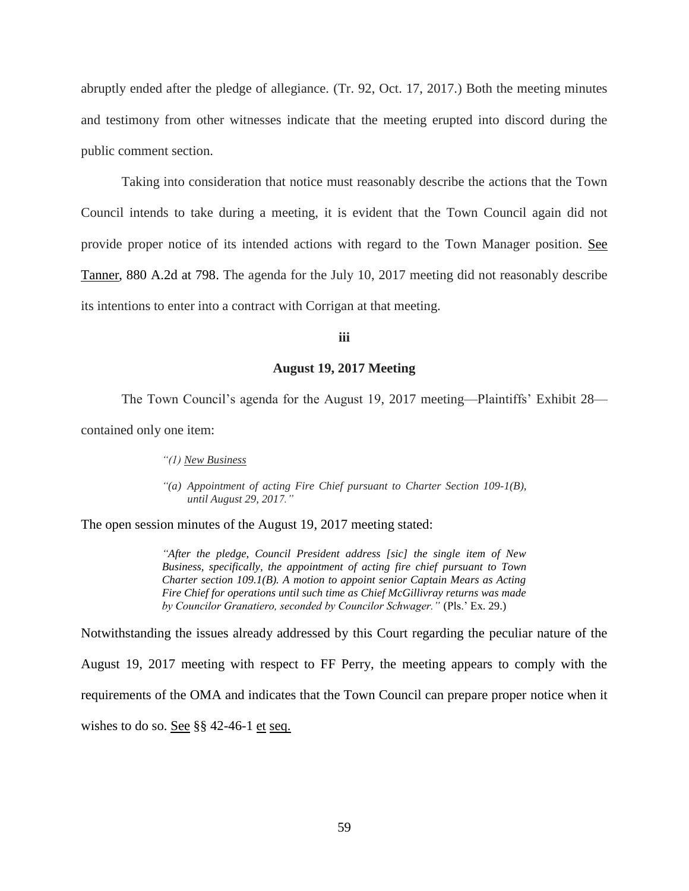abruptly ended after the pledge of allegiance. (Tr. 92, Oct. 17, 2017.) Both the meeting minutes and testimony from other witnesses indicate that the meeting erupted into discord during the public comment section.

Taking into consideration that notice must reasonably describe the actions that the Town Council intends to take during a meeting, it is evident that the Town Council again did not provide proper notice of its intended actions with regard to the Town Manager position. See Tanner, 880 A.2d at 798. The agenda for the July 10, 2017 meeting did not reasonably describe its intentions to enter into a contract with Corrigan at that meeting.

### **iii**

#### **August 19, 2017 Meeting**

The Town Council's agenda for the August 19, 2017 meeting—Plaintiffs' Exhibit 28 contained only one item:

*"(1) New Business*

*"(a) Appointment of acting Fire Chief pursuant to Charter Section 109-1(B), until August 29, 2017."*

The open session minutes of the August 19, 2017 meeting stated:

*"After the pledge, Council President address [sic] the single item of New Business, specifically, the appointment of acting fire chief pursuant to Town Charter section 109.1(B). A motion to appoint senior Captain Mears as Acting Fire Chief for operations until such time as Chief McGillivray returns was made by Councilor Granatiero, seconded by Councilor Schwager."* (Pls.' Ex. 29.)

Notwithstanding the issues already addressed by this Court regarding the peculiar nature of the

August 19, 2017 meeting with respect to FF Perry, the meeting appears to comply with the requirements of the OMA and indicates that the Town Council can prepare proper notice when it wishes to do so. See §§ 42-46-1 et seq.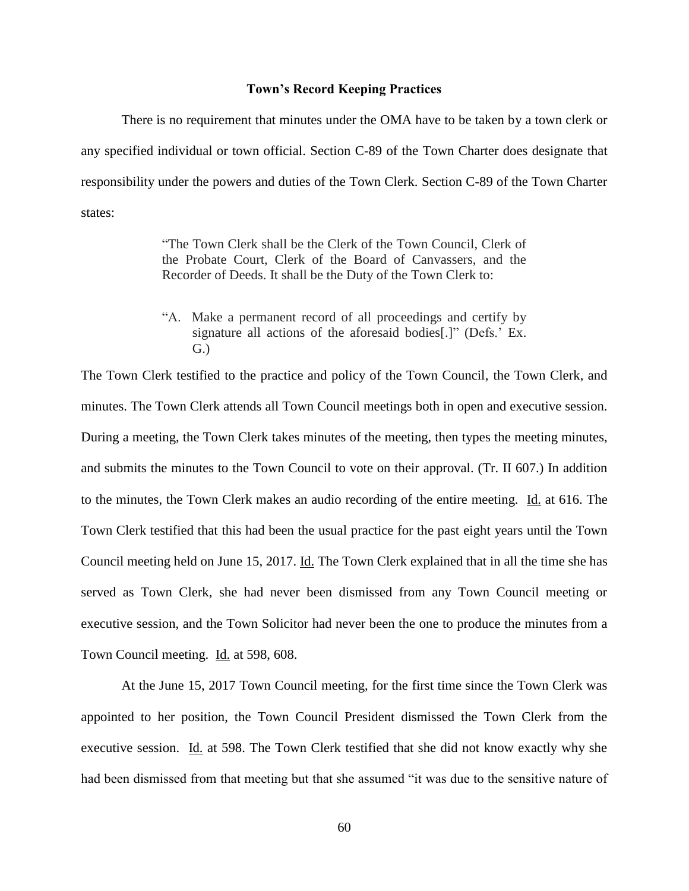# **Town's Record Keeping Practices**

There is no requirement that minutes under the OMA have to be taken by a town clerk or any specified individual or town official. Section C-89 of the Town Charter does designate that responsibility under the powers and duties of the Town Clerk. Section C-89 of the Town Charter states:

> "The Town Clerk shall be the Clerk of the Town Council, Clerk of the Probate Court, Clerk of the Board of Canvassers, and the Recorder of Deeds. It shall be the Duty of the Town Clerk to:

> "A. Make a permanent record of all proceedings and certify by signature all actions of the aforesaid bodies[.]" (Defs.' Ex. G.)

The Town Clerk testified to the practice and policy of the Town Council, the Town Clerk, and minutes. The Town Clerk attends all Town Council meetings both in open and executive session. During a meeting, the Town Clerk takes minutes of the meeting, then types the meeting minutes, and submits the minutes to the Town Council to vote on their approval. (Tr. II 607.) In addition to the minutes, the Town Clerk makes an audio recording of the entire meeting. Id. at 616. The Town Clerk testified that this had been the usual practice for the past eight years until the Town Council meeting held on June 15, 2017. Id. The Town Clerk explained that in all the time she has served as Town Clerk, she had never been dismissed from any Town Council meeting or executive session, and the Town Solicitor had never been the one to produce the minutes from a Town Council meeting. Id. at 598, 608.

At the June 15, 2017 Town Council meeting, for the first time since the Town Clerk was appointed to her position, the Town Council President dismissed the Town Clerk from the executive session. Id. at 598. The Town Clerk testified that she did not know exactly why she had been dismissed from that meeting but that she assumed "it was due to the sensitive nature of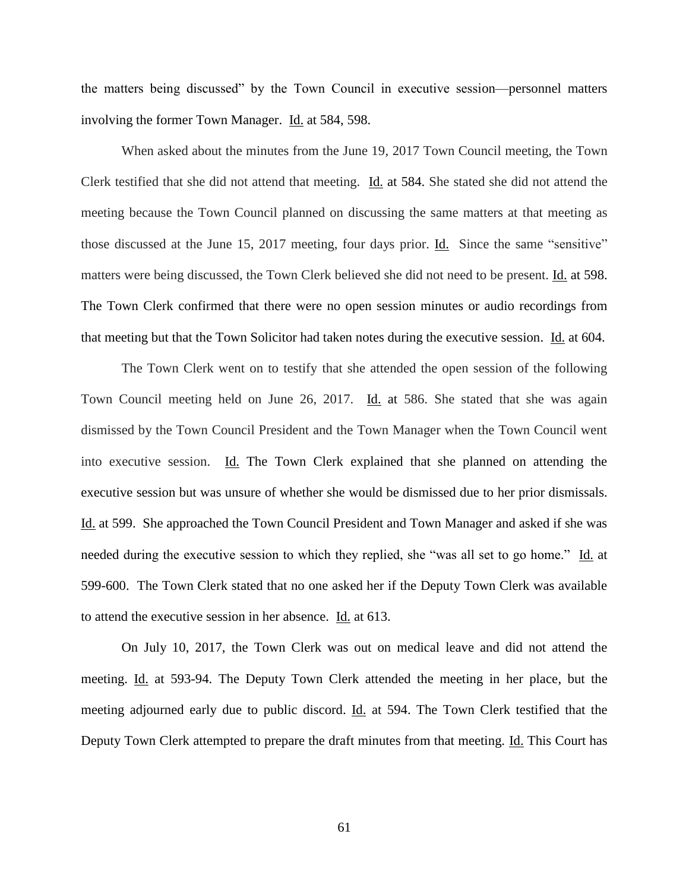the matters being discussed" by the Town Council in executive session—personnel matters involving the former Town Manager. Id. at 584, 598.

When asked about the minutes from the June 19, 2017 Town Council meeting, the Town Clerk testified that she did not attend that meeting. Id. at 584. She stated she did not attend the meeting because the Town Council planned on discussing the same matters at that meeting as those discussed at the June 15, 2017 meeting, four days prior. Id. Since the same "sensitive" matters were being discussed, the Town Clerk believed she did not need to be present. Id. at 598. The Town Clerk confirmed that there were no open session minutes or audio recordings from that meeting but that the Town Solicitor had taken notes during the executive session. Id. at 604.

The Town Clerk went on to testify that she attended the open session of the following Town Council meeting held on June 26, 2017. Id. at 586. She stated that she was again dismissed by the Town Council President and the Town Manager when the Town Council went into executive session. Id. The Town Clerk explained that she planned on attending the executive session but was unsure of whether she would be dismissed due to her prior dismissals. Id. at 599. She approached the Town Council President and Town Manager and asked if she was needed during the executive session to which they replied, she "was all set to go home." Id. at 599-600. The Town Clerk stated that no one asked her if the Deputy Town Clerk was available to attend the executive session in her absence. Id. at 613.

On July 10, 2017, the Town Clerk was out on medical leave and did not attend the meeting. Id. at 593-94. The Deputy Town Clerk attended the meeting in her place, but the meeting adjourned early due to public discord. **Id.** at 594. The Town Clerk testified that the Deputy Town Clerk attempted to prepare the draft minutes from that meeting. Id. This Court has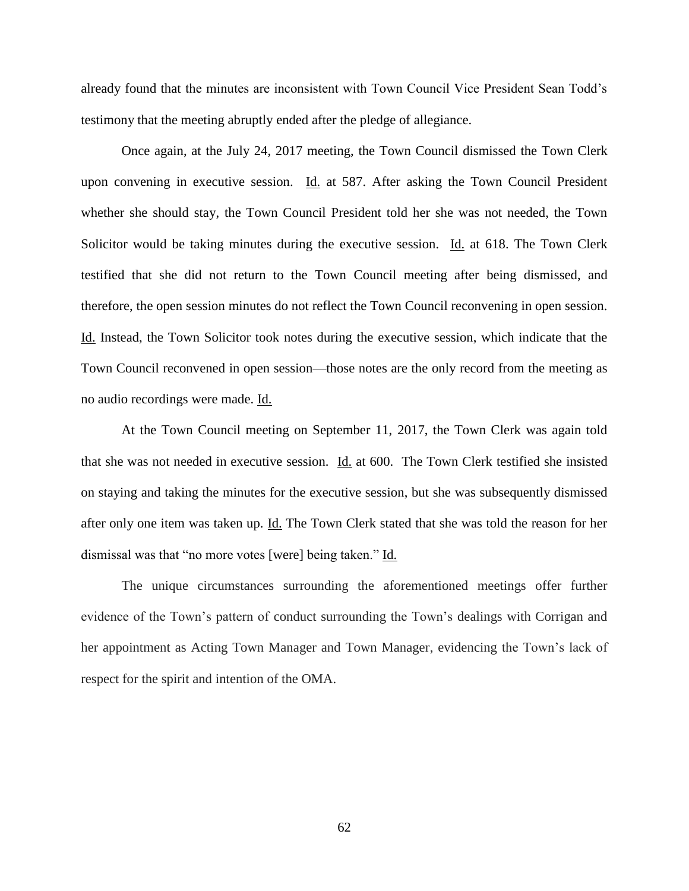already found that the minutes are inconsistent with Town Council Vice President Sean Todd's testimony that the meeting abruptly ended after the pledge of allegiance.

Once again, at the July 24, 2017 meeting, the Town Council dismissed the Town Clerk upon convening in executive session. Id. at 587. After asking the Town Council President whether she should stay, the Town Council President told her she was not needed, the Town Solicitor would be taking minutes during the executive session. Id. at 618. The Town Clerk testified that she did not return to the Town Council meeting after being dismissed, and therefore, the open session minutes do not reflect the Town Council reconvening in open session. Id. Instead, the Town Solicitor took notes during the executive session, which indicate that the Town Council reconvened in open session—those notes are the only record from the meeting as no audio recordings were made. Id.

At the Town Council meeting on September 11, 2017, the Town Clerk was again told that she was not needed in executive session. Id. at 600. The Town Clerk testified she insisted on staying and taking the minutes for the executive session, but she was subsequently dismissed after only one item was taken up. Id. The Town Clerk stated that she was told the reason for her dismissal was that "no more votes [were] being taken." Id.

The unique circumstances surrounding the aforementioned meetings offer further evidence of the Town's pattern of conduct surrounding the Town's dealings with Corrigan and her appointment as Acting Town Manager and Town Manager, evidencing the Town's lack of respect for the spirit and intention of the OMA.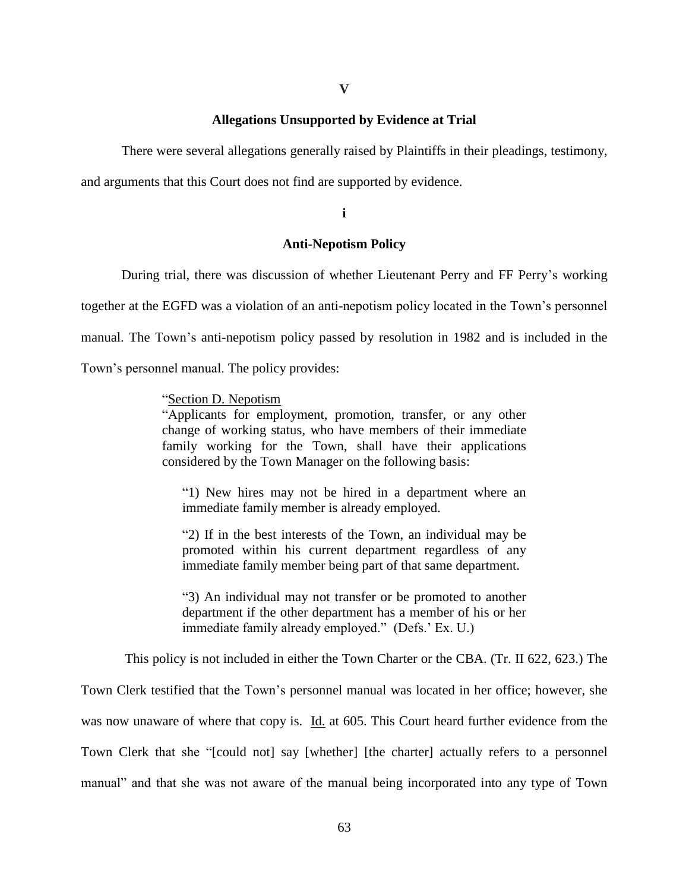# **Allegations Unsupported by Evidence at Trial**

There were several allegations generally raised by Plaintiffs in their pleadings, testimony,

and arguments that this Court does not find are supported by evidence.

**i**

# **Anti-Nepotism Policy**

During trial, there was discussion of whether Lieutenant Perry and FF Perry's working

together at the EGFD was a violation of an anti-nepotism policy located in the Town's personnel

manual. The Town's anti-nepotism policy passed by resolution in 1982 and is included in the

Town's personnel manual. The policy provides:

# "Section D. Nepotism

"Applicants for employment, promotion, transfer, or any other change of working status, who have members of their immediate family working for the Town, shall have their applications considered by the Town Manager on the following basis:

"1) New hires may not be hired in a department where an immediate family member is already employed.

"2) If in the best interests of the Town, an individual may be promoted within his current department regardless of any immediate family member being part of that same department.

"3) An individual may not transfer or be promoted to another department if the other department has a member of his or her immediate family already employed." (Defs.' Ex. U.)

This policy is not included in either the Town Charter or the CBA. (Tr. II 622, 623.) The

Town Clerk testified that the Town's personnel manual was located in her office; however, she was now unaware of where that copy is. Id. at 605. This Court heard further evidence from the Town Clerk that she "[could not] say [whether] [the charter] actually refers to a personnel manual" and that she was not aware of the manual being incorporated into any type of Town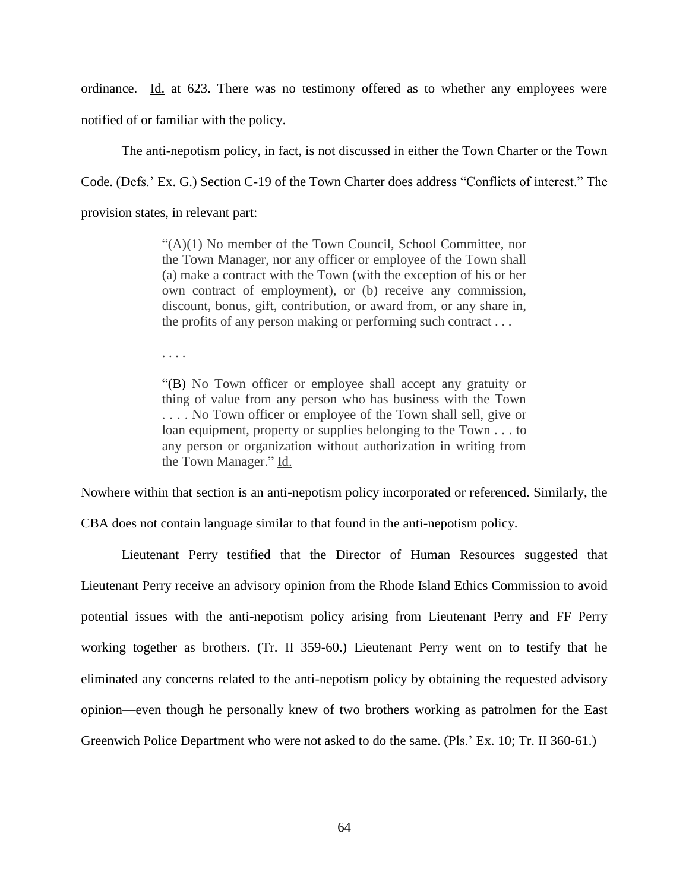ordinance. Id. at 623. There was no testimony offered as to whether any employees were notified of or familiar with the policy.

The anti-nepotism policy, in fact, is not discussed in either the Town Charter or the Town Code. (Defs.' Ex. G.) Section C-19 of the Town Charter does address "Conflicts of interest." The provision states, in relevant part:

> "(A)(1) No member of the Town Council, School Committee, nor the Town Manager, nor any officer or employee of the Town shall (a) make a contract with the Town (with the exception of his or her own contract of employment), or (b) receive any commission, discount, bonus, gift, contribution, or award from, or any share in, the profits of any person making or performing such contract . . .

. . . .

"(B) No Town officer or employee shall accept any gratuity or thing of value from any person who has business with the Town . . . . No Town officer or employee of the Town shall sell, give or loan equipment, property or supplies belonging to the Town . . . to any person or organization without authorization in writing from the Town Manager." Id.

Nowhere within that section is an anti-nepotism policy incorporated or referenced. Similarly, the CBA does not contain language similar to that found in the anti-nepotism policy.

Lieutenant Perry testified that the Director of Human Resources suggested that Lieutenant Perry receive an advisory opinion from the Rhode Island Ethics Commission to avoid potential issues with the anti-nepotism policy arising from Lieutenant Perry and FF Perry working together as brothers. (Tr. II 359-60.) Lieutenant Perry went on to testify that he eliminated any concerns related to the anti-nepotism policy by obtaining the requested advisory opinion—even though he personally knew of two brothers working as patrolmen for the East Greenwich Police Department who were not asked to do the same. (Pls.' Ex. 10; Tr. II 360-61.)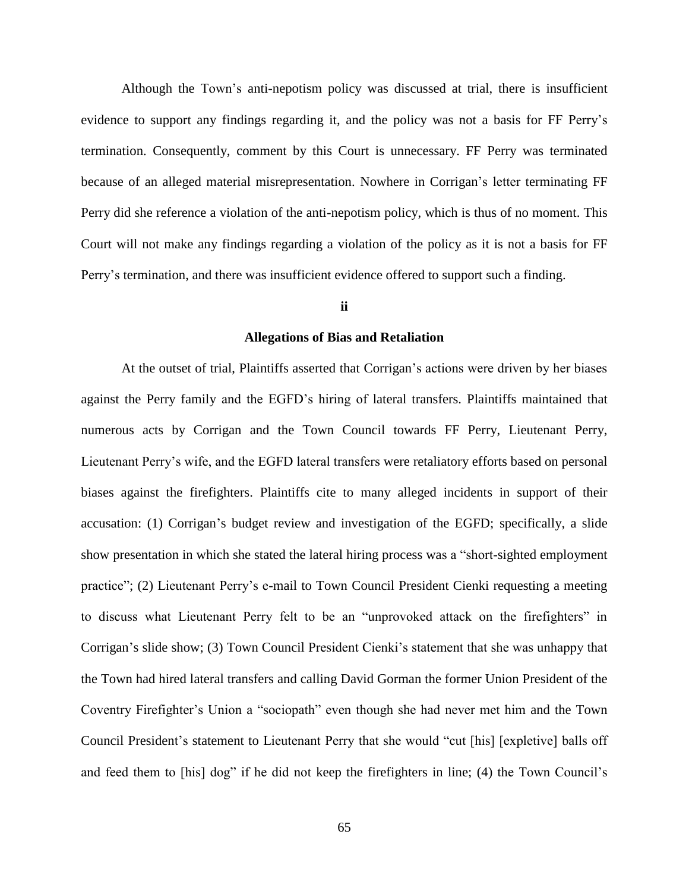Although the Town's anti-nepotism policy was discussed at trial, there is insufficient evidence to support any findings regarding it, and the policy was not a basis for FF Perry's termination. Consequently, comment by this Court is unnecessary. FF Perry was terminated because of an alleged material misrepresentation. Nowhere in Corrigan's letter terminating FF Perry did she reference a violation of the anti-nepotism policy, which is thus of no moment. This Court will not make any findings regarding a violation of the policy as it is not a basis for FF Perry's termination, and there was insufficient evidence offered to support such a finding.

## **ii**

### **Allegations of Bias and Retaliation**

At the outset of trial, Plaintiffs asserted that Corrigan's actions were driven by her biases against the Perry family and the EGFD's hiring of lateral transfers. Plaintiffs maintained that numerous acts by Corrigan and the Town Council towards FF Perry, Lieutenant Perry, Lieutenant Perry's wife, and the EGFD lateral transfers were retaliatory efforts based on personal biases against the firefighters. Plaintiffs cite to many alleged incidents in support of their accusation: (1) Corrigan's budget review and investigation of the EGFD; specifically, a slide show presentation in which she stated the lateral hiring process was a "short-sighted employment practice"; (2) Lieutenant Perry's e-mail to Town Council President Cienki requesting a meeting to discuss what Lieutenant Perry felt to be an "unprovoked attack on the firefighters" in Corrigan's slide show; (3) Town Council President Cienki's statement that she was unhappy that the Town had hired lateral transfers and calling David Gorman the former Union President of the Coventry Firefighter's Union a "sociopath" even though she had never met him and the Town Council President's statement to Lieutenant Perry that she would "cut [his] [expletive] balls off and feed them to [his] dog" if he did not keep the firefighters in line; (4) the Town Council's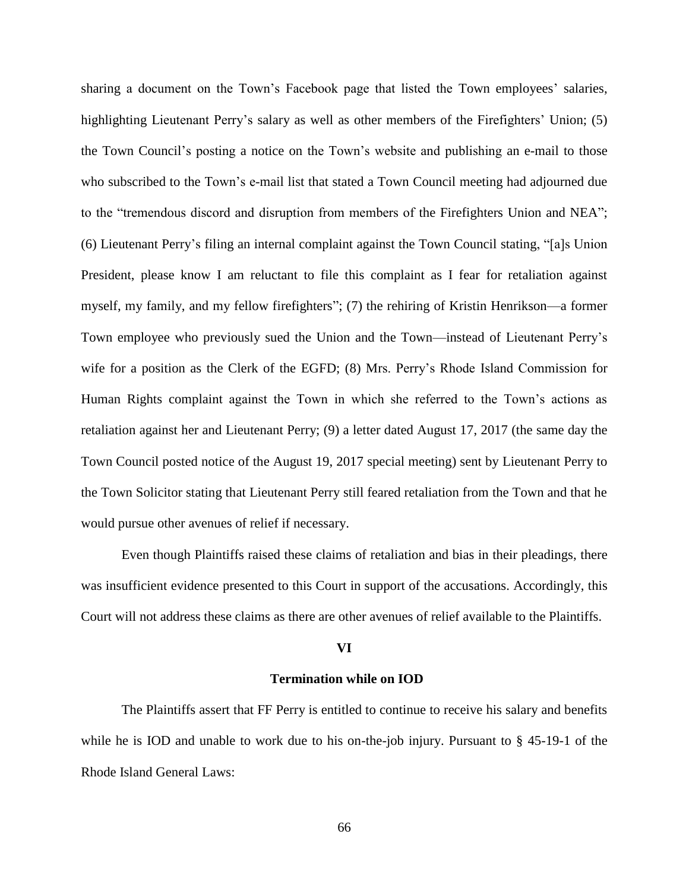sharing a document on the Town's Facebook page that listed the Town employees' salaries, highlighting Lieutenant Perry's salary as well as other members of the Firefighters' Union; (5) the Town Council's posting a notice on the Town's website and publishing an e-mail to those who subscribed to the Town's e-mail list that stated a Town Council meeting had adjourned due to the "tremendous discord and disruption from members of the Firefighters Union and NEA"; (6) Lieutenant Perry's filing an internal complaint against the Town Council stating, "[a]s Union President, please know I am reluctant to file this complaint as I fear for retaliation against myself, my family, and my fellow firefighters"; (7) the rehiring of Kristin Henrikson—a former Town employee who previously sued the Union and the Town—instead of Lieutenant Perry's wife for a position as the Clerk of the EGFD; (8) Mrs. Perry's Rhode Island Commission for Human Rights complaint against the Town in which she referred to the Town's actions as retaliation against her and Lieutenant Perry; (9) a letter dated August 17, 2017 (the same day the Town Council posted notice of the August 19, 2017 special meeting) sent by Lieutenant Perry to the Town Solicitor stating that Lieutenant Perry still feared retaliation from the Town and that he would pursue other avenues of relief if necessary.

Even though Plaintiffs raised these claims of retaliation and bias in their pleadings, there was insufficient evidence presented to this Court in support of the accusations. Accordingly, this Court will not address these claims as there are other avenues of relief available to the Plaintiffs.

#### **VI**

### **Termination while on IOD**

The Plaintiffs assert that FF Perry is entitled to continue to receive his salary and benefits while he is IOD and unable to work due to his on-the-job injury. Pursuant to  $\S$  45-19-1 of the Rhode Island General Laws: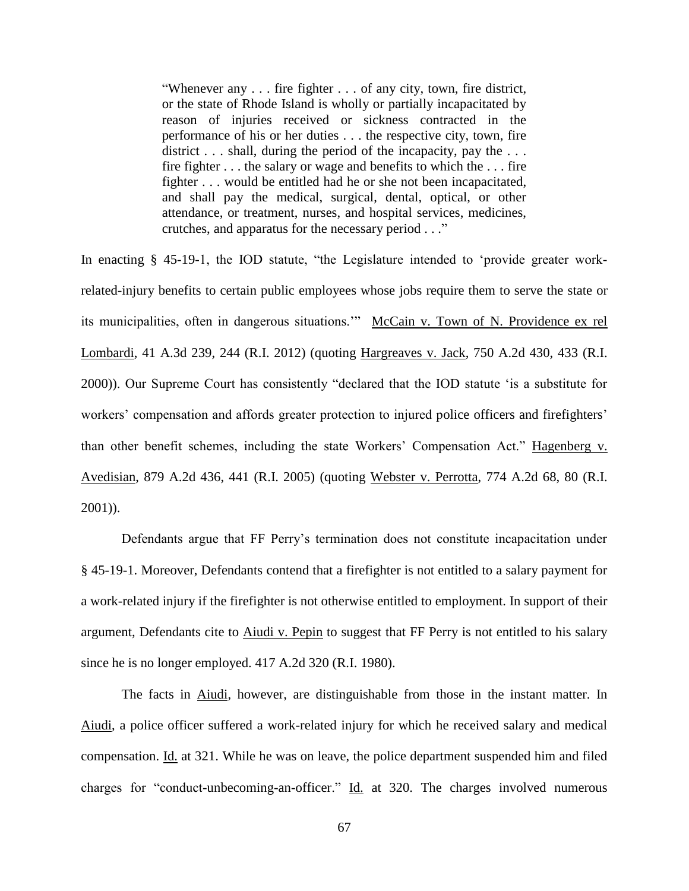"Whenever any . . . fire fighter . . . of any city, town, fire district, or the state of Rhode Island is wholly or partially incapacitated by reason of injuries received or sickness contracted in the performance of his or her duties . . . the respective city, town, fire district  $\ldots$  shall, during the period of the incapacity, pay the  $\ldots$ fire fighter . . . the salary or wage and benefits to which the . . . fire fighter . . . would be entitled had he or she not been incapacitated, and shall pay the medical, surgical, dental, optical, or other attendance, or treatment, nurses, and hospital services, medicines, crutches, and apparatus for the necessary period . . ."

In enacting § 45-19-1, the IOD statute, "the Legislature intended to 'provide greater workrelated-injury benefits to certain public employees whose jobs require them to serve the state or its municipalities, often in dangerous situations.'" McCain v. Town of N. Providence ex rel Lombardi, 41 A.3d 239, 244 (R.I. 2012) (quoting Hargreaves v. Jack, 750 A.2d 430, 433 (R.I. 2000)). Our Supreme Court has consistently "declared that the IOD statute 'is a substitute for workers' compensation and affords greater protection to injured police officers and firefighters' than other benefit schemes, including the state Workers' Compensation Act." Hagenberg v. Avedisian, 879 A.2d 436, 441 (R.I. 2005) (quoting Webster v. Perrotta, 774 A.2d 68, 80 (R.I. 2001)).

Defendants argue that FF Perry's termination does not constitute incapacitation under § 45-19-1. Moreover, Defendants contend that a firefighter is not entitled to a salary payment for a work-related injury if the firefighter is not otherwise entitled to employment. In support of their argument, Defendants cite to Aiudi v. Pepin to suggest that FF Perry is not entitled to his salary since he is no longer employed. 417 A.2d 320 (R.I. 1980).

The facts in Aiudi, however, are distinguishable from those in the instant matter. In Aiudi, a police officer suffered a work-related injury for which he received salary and medical compensation. Id. at 321. While he was on leave, the police department suspended him and filed charges for "conduct-unbecoming-an-officer." Id. at 320. The charges involved numerous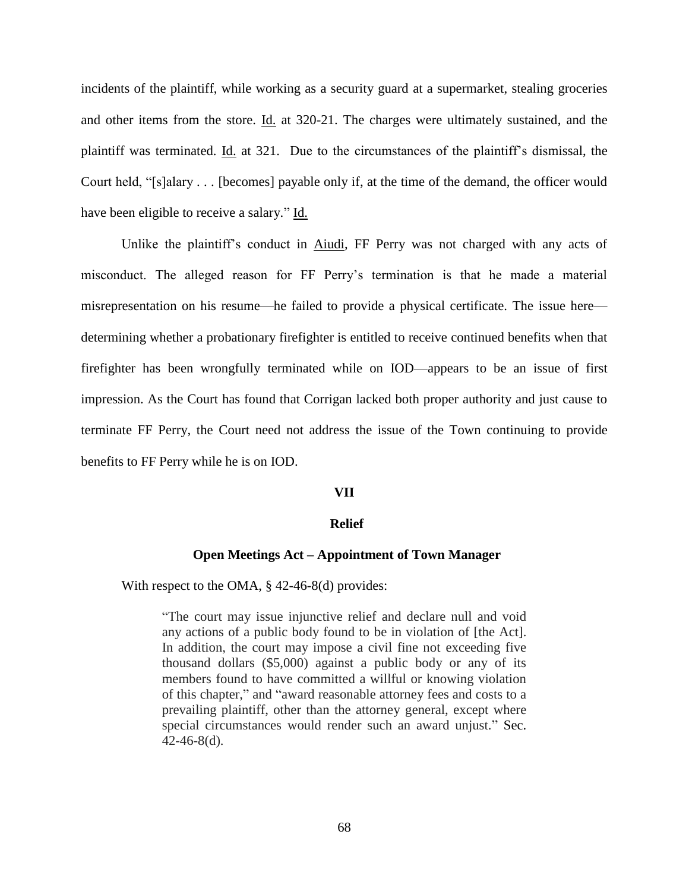incidents of the plaintiff, while working as a security guard at a supermarket, stealing groceries and other items from the store. Id. at 320-21. The charges were ultimately sustained, and the plaintiff was terminated. Id. at 321. Due to the circumstances of the plaintiff's dismissal, the Court held, "[s]alary . . . [becomes] payable only if, at the time of the demand, the officer would have been eligible to receive a salary." Id.

Unlike the plaintiff's conduct in Aiudi, FF Perry was not charged with any acts of misconduct. The alleged reason for FF Perry's termination is that he made a material misrepresentation on his resume—he failed to provide a physical certificate. The issue here determining whether a probationary firefighter is entitled to receive continued benefits when that firefighter has been wrongfully terminated while on IOD—appears to be an issue of first impression. As the Court has found that Corrigan lacked both proper authority and just cause to terminate FF Perry, the Court need not address the issue of the Town continuing to provide benefits to FF Perry while he is on IOD.

### **VII**

## **Relief**

# **Open Meetings Act – Appointment of Town Manager**

With respect to the OMA, § 42-46-8(d) provides:

"The court may issue injunctive relief and declare null and void any actions of a public body found to be in violation of [the Act]. In addition, the court may impose a civil fine not exceeding five thousand dollars (\$5,000) against a public body or any of its members found to have committed a willful or knowing violation of this chapter," and "award reasonable attorney fees and costs to a prevailing plaintiff, other than the attorney general, except where special circumstances would render such an award unjust." Sec.  $42-46-8(d)$ .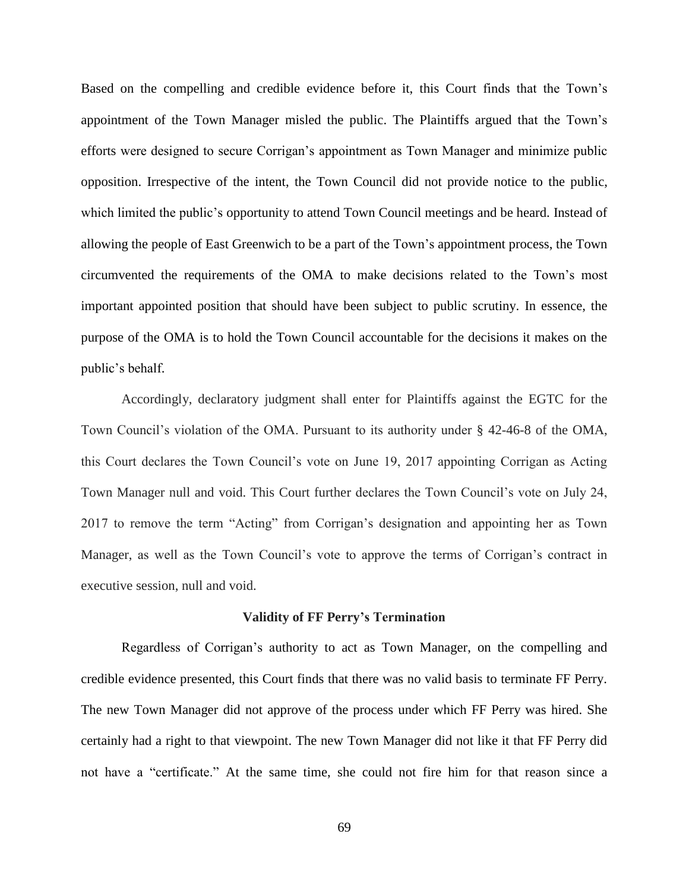Based on the compelling and credible evidence before it, this Court finds that the Town's appointment of the Town Manager misled the public. The Plaintiffs argued that the Town's efforts were designed to secure Corrigan's appointment as Town Manager and minimize public opposition. Irrespective of the intent, the Town Council did not provide notice to the public, which limited the public's opportunity to attend Town Council meetings and be heard. Instead of allowing the people of East Greenwich to be a part of the Town's appointment process, the Town circumvented the requirements of the OMA to make decisions related to the Town's most important appointed position that should have been subject to public scrutiny. In essence, the purpose of the OMA is to hold the Town Council accountable for the decisions it makes on the public's behalf.

Accordingly, declaratory judgment shall enter for Plaintiffs against the EGTC for the Town Council's violation of the OMA. Pursuant to its authority under § 42-46-8 of the OMA, this Court declares the Town Council's vote on June 19, 2017 appointing Corrigan as Acting Town Manager null and void. This Court further declares the Town Council's vote on July 24, 2017 to remove the term "Acting" from Corrigan's designation and appointing her as Town Manager, as well as the Town Council's vote to approve the terms of Corrigan's contract in executive session, null and void.

#### **Validity of FF Perry's Termination**

Regardless of Corrigan's authority to act as Town Manager, on the compelling and credible evidence presented, this Court finds that there was no valid basis to terminate FF Perry. The new Town Manager did not approve of the process under which FF Perry was hired. She certainly had a right to that viewpoint. The new Town Manager did not like it that FF Perry did not have a "certificate." At the same time, she could not fire him for that reason since a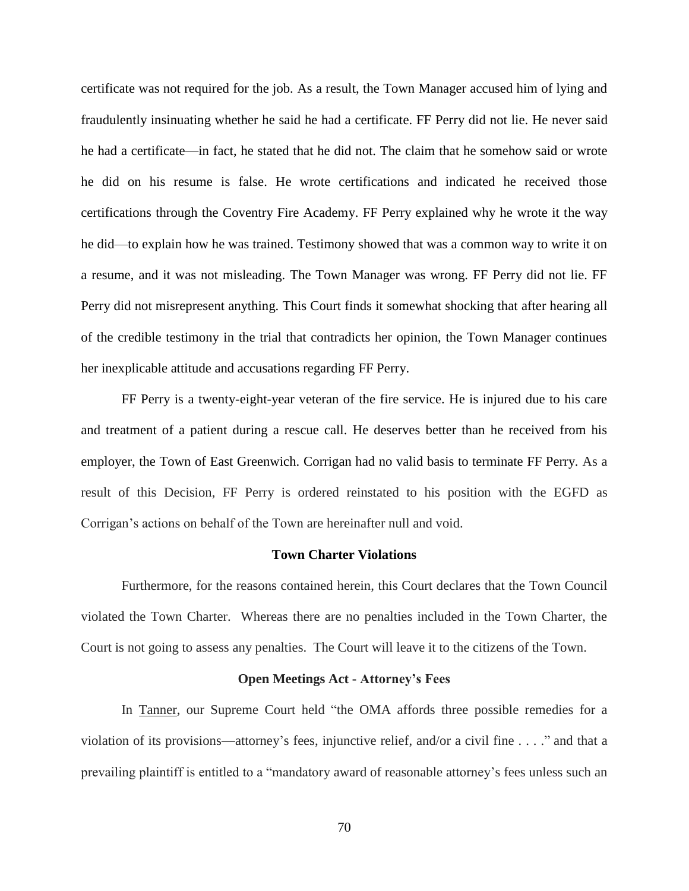certificate was not required for the job. As a result, the Town Manager accused him of lying and fraudulently insinuating whether he said he had a certificate. FF Perry did not lie. He never said he had a certificate—in fact, he stated that he did not. The claim that he somehow said or wrote he did on his resume is false. He wrote certifications and indicated he received those certifications through the Coventry Fire Academy. FF Perry explained why he wrote it the way he did—to explain how he was trained. Testimony showed that was a common way to write it on a resume, and it was not misleading. The Town Manager was wrong. FF Perry did not lie. FF Perry did not misrepresent anything. This Court finds it somewhat shocking that after hearing all of the credible testimony in the trial that contradicts her opinion, the Town Manager continues her inexplicable attitude and accusations regarding FF Perry.

FF Perry is a twenty-eight-year veteran of the fire service. He is injured due to his care and treatment of a patient during a rescue call. He deserves better than he received from his employer, the Town of East Greenwich. Corrigan had no valid basis to terminate FF Perry. As a result of this Decision, FF Perry is ordered reinstated to his position with the EGFD as Corrigan's actions on behalf of the Town are hereinafter null and void.

### **Town Charter Violations**

Furthermore, for the reasons contained herein, this Court declares that the Town Council violated the Town Charter. Whereas there are no penalties included in the Town Charter, the Court is not going to assess any penalties. The Court will leave it to the citizens of the Town.

#### **Open Meetings Act - Attorney's Fees**

In Tanner, our Supreme Court held "the OMA affords three possible remedies for a violation of its provisions—attorney's fees, injunctive relief, and/or a civil fine . . . ." and that a prevailing plaintiff is entitled to a "mandatory award of reasonable attorney's fees unless such an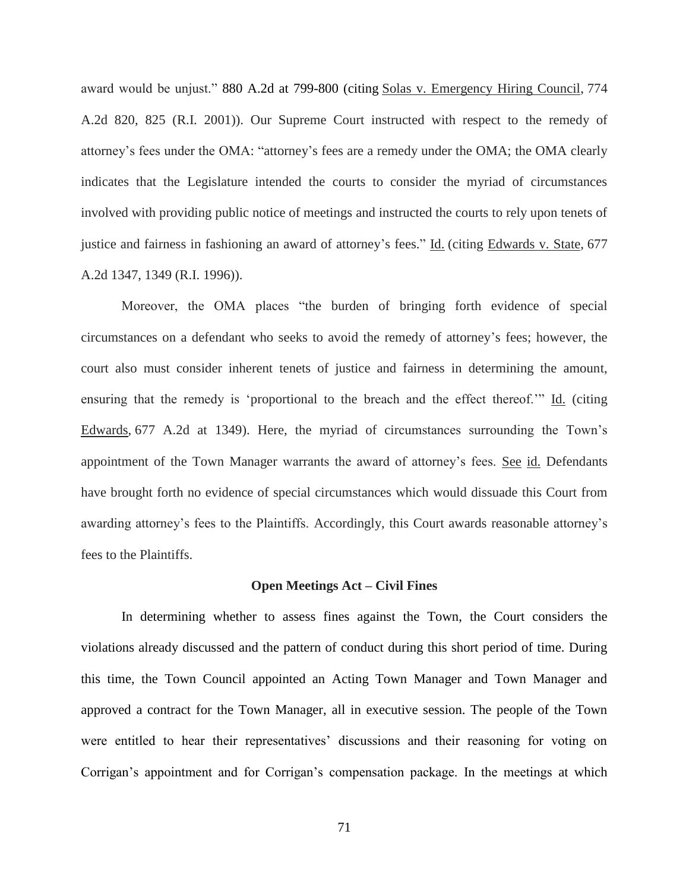award would be unjust." 880 A.2d at 799-800 (citing Solas v. Emergency Hiring Council, 774 A.2d 820, 825 (R.I. 2001)). Our Supreme Court instructed with respect to the remedy of attorney's fees under the OMA: "attorney's fees are a remedy under the OMA; the OMA clearly indicates that the Legislature intended the courts to consider the myriad of circumstances involved with providing public notice of meetings and instructed the courts to rely upon tenets of justice and fairness in fashioning an award of attorney's fees." Id. (citing Edwards v. State, 677 A.2d 1347, 1349 (R.I. 1996)).

Moreover, the OMA places "the burden of bringing forth evidence of special circumstances on a defendant who seeks to avoid the remedy of attorney's fees; however, the court also must consider inherent tenets of justice and fairness in determining the amount, ensuring that the remedy is 'proportional to the breach and the effect thereof.'" Id. (citing Edwards, 677 A.2d at 1349). Here, the myriad of circumstances surrounding the Town's appointment of the Town Manager warrants the award of attorney's fees. See id. Defendants have brought forth no evidence of special circumstances which would dissuade this Court from awarding attorney's fees to the Plaintiffs. Accordingly, this Court awards reasonable attorney's fees to the Plaintiffs.

#### **Open Meetings Act – Civil Fines**

In determining whether to assess fines against the Town, the Court considers the violations already discussed and the pattern of conduct during this short period of time. During this time, the Town Council appointed an Acting Town Manager and Town Manager and approved a contract for the Town Manager, all in executive session. The people of the Town were entitled to hear their representatives' discussions and their reasoning for voting on Corrigan's appointment and for Corrigan's compensation package. In the meetings at which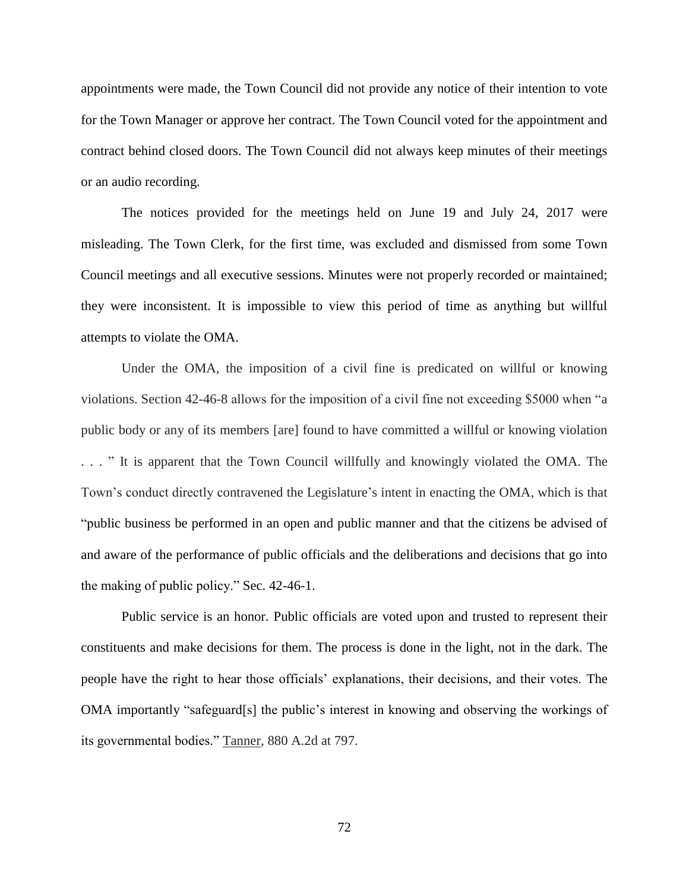appointments were made, the Town Council did not provide any notice of their intention to vote for the Town Manager or approve her contract. The Town Council voted for the appointment and contract behind closed doors. The Town Council did not always keep minutes of their meetings or an audio recording.

The notices provided for the meetings held on June 19 and July 24, 2017 were misleading. The Town Clerk, for the first time, was excluded and dismissed from some Town Council meetings and all executive sessions. Minutes were not properly recorded or maintained; they were inconsistent. It is impossible to view this period of time as anything but willful attempts to violate the OMA.

Under the OMA, the imposition of a civil fine is predicated on willful or knowing violations. Section 42-46-8 allows for the imposition of a civil fine not exceeding \$5000 when "a public body or any of its members [are] found to have committed a willful or knowing violation . . . " It is apparent that the Town Council willfully and knowingly violated the OMA. The Town's conduct directly contravened the Legislature's intent in enacting the OMA, which is that "public business be performed in an open and public manner and that the citizens be advised of and aware of the performance of public officials and the deliberations and decisions that go into the making of public policy." Sec. 42-46-1.

Public service is an honor. Public officials are voted upon and trusted to represent their constituents and make decisions for them. The process is done in the light, not in the dark. The people have the right to hear those officials' explanations, their decisions, and their votes. The OMA importantly "safeguard[s] the public's interest in knowing and observing the workings of its governmental bodies." Tanner, 880 A.2d at 797.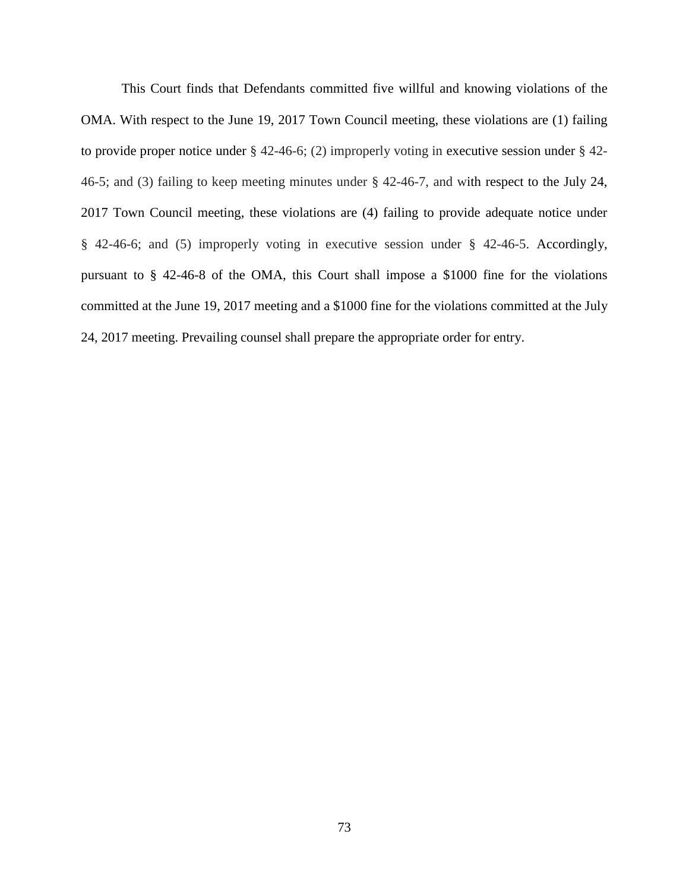This Court finds that Defendants committed five willful and knowing violations of the OMA. With respect to the June 19, 2017 Town Council meeting, these violations are (1) failing to provide proper notice under § 42-46-6; (2) improperly voting in executive session under § 42- 46-5; and (3) failing to keep meeting minutes under § 42-46-7, and with respect to the July 24, 2017 Town Council meeting, these violations are (4) failing to provide adequate notice under § 42-46-6; and (5) improperly voting in executive session under § 42-46-5. Accordingly, pursuant to § 42-46-8 of the OMA, this Court shall impose a \$1000 fine for the violations committed at the June 19, 2017 meeting and a \$1000 fine for the violations committed at the July 24, 2017 meeting. Prevailing counsel shall prepare the appropriate order for entry.